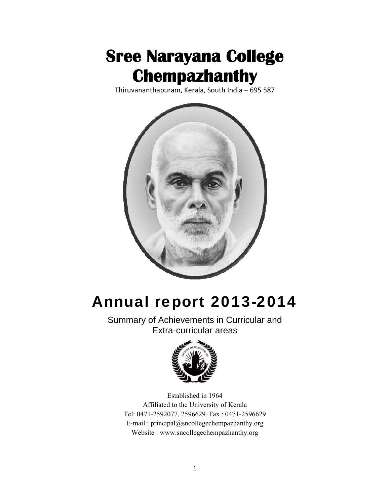

Thiruvananthapuram, Kerala, South India – 695 587



# Annual report 2013-2014

Summary of Achievements in Curricular and Extra-curricular areas



Established in 1964 Affiliated to the University of Kerala Tel: 0471-2592077, 2596629. Fax : 0471-2596629 E-mail : [principal@sncollegechempazhanthy.org](mailto:principal@sncollegechempazhanthy.org)  Website : [www.sncollegechempazhanthy.org](http://www.sncollegechempazhanthy.org/)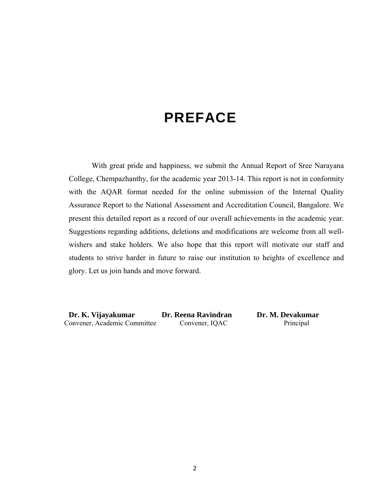# PREFACE

With great pride and happiness, we submit the Annual Report of Sree Narayana College, Chempazhanthy, for the academic year 2013-14. This report is not in conformity with the AQAR format needed for the online submission of the Internal Quality Assurance Report to the National Assessment and Accreditation Council, Bangalore. We present this detailed report as a record of our overall achievements in the academic year. Suggestions regarding additions, deletions and modifications are welcome from all wellwishers and stake holders. We also hope that this report will motivate our staff and students to strive harder in future to raise our institution to heights of excellence and glory. Let us join hands and move forward.

 **Dr. K. Vijayakumar Dr. Reena Ravindran Dr. M. Devakumar**  Convener, Academic Committee Convener, IQAC Principal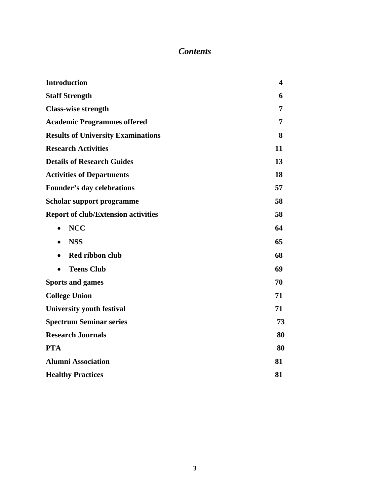## *Contents*

| <b>Introduction</b>                        | $\overline{\mathbf{4}}$ |  |  |  |
|--------------------------------------------|-------------------------|--|--|--|
| <b>Staff Strength</b>                      | 6                       |  |  |  |
| <b>Class-wise strength</b>                 |                         |  |  |  |
| <b>Academic Programmes offered</b>         |                         |  |  |  |
| <b>Results of University Examinations</b>  |                         |  |  |  |
| <b>Research Activities</b>                 | 11                      |  |  |  |
| <b>Details of Research Guides</b>          | 13                      |  |  |  |
| <b>Activities of Departments</b>           | 18                      |  |  |  |
| <b>Founder's day celebrations</b>          |                         |  |  |  |
| <b>Scholar support programme</b>           |                         |  |  |  |
| <b>Report of club/Extension activities</b> | 58                      |  |  |  |
| <b>NCC</b><br>$\bullet$                    | 64                      |  |  |  |
| <b>NSS</b><br>$\bullet$                    | 65                      |  |  |  |
| Red ribbon club<br>$\bullet$               | 68                      |  |  |  |
| <b>Teens Club</b>                          | 69                      |  |  |  |
| <b>Sports and games</b>                    | 70                      |  |  |  |
| <b>College Union</b>                       | 71                      |  |  |  |
| <b>University youth festival</b>           | 71                      |  |  |  |
| <b>Spectrum Seminar series</b>             | 73                      |  |  |  |
| <b>Research Journals</b>                   | 80                      |  |  |  |
| <b>PTA</b>                                 | 80                      |  |  |  |
| <b>Alumni Association</b>                  | 81                      |  |  |  |
| <b>Healthy Practices</b>                   | 81                      |  |  |  |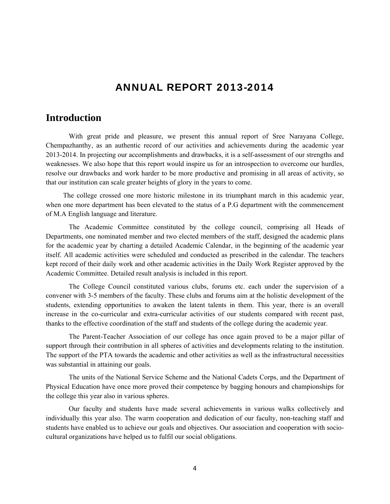## ANNUAL REPORT 2013-2014

## **Introduction**

 With great pride and pleasure, we present this annual report of Sree Narayana College, Chempazhanthy, as an authentic record of our activities and achievements during the academic year 2013-2014. In projecting our accomplishments and drawbacks, it is a self-assessment of our strengths and weaknesses. We also hope that this report would inspire us for an introspection to overcome our hurdles, resolve our drawbacks and work harder to be more productive and promising in all areas of activity, so that our institution can scale greater heights of glory in the years to come.

 The college crossed one more historic milestone in its triumphant march in this academic year, when one more department has been elevated to the status of a P.G department with the commencement of M.A English language and literature.

The Academic Committee constituted by the college council, comprising all Heads of Departments, one nominated member and two elected members of the staff, designed the academic plans for the academic year by charting a detailed Academic Calendar, in the beginning of the academic year itself. All academic activities were scheduled and conducted as prescribed in the calendar. The teachers kept record of their daily work and other academic activities in the Daily Work Register approved by the Academic Committee. Detailed result analysis is included in this report.

The College Council constituted various clubs, forums etc. each under the supervision of a convener with 3-5 members of the faculty. These clubs and forums aim at the holistic development of the students, extending opportunities to awaken the latent talents in them. This year, there is an overall increase in the co-curricular and extra-curricular activities of our students compared with recent past, thanks to the effective coordination of the staff and students of the college during the academic year.

The Parent-Teacher Association of our college has once again proved to be a major pillar of support through their contribution in all spheres of activities and developments relating to the institution. The support of the PTA towards the academic and other activities as well as the infrastructural necessities was substantial in attaining our goals.

The units of the National Service Scheme and the National Cadets Corps, and the Department of Physical Education have once more proved their competence by bagging honours and championships for the college this year also in various spheres.

Our faculty and students have made several achievements in various walks collectively and individually this year also. The warm cooperation and dedication of our faculty, non-teaching staff and students have enabled us to achieve our goals and objectives. Our association and cooperation with sociocultural organizations have helped us to fulfil our social obligations.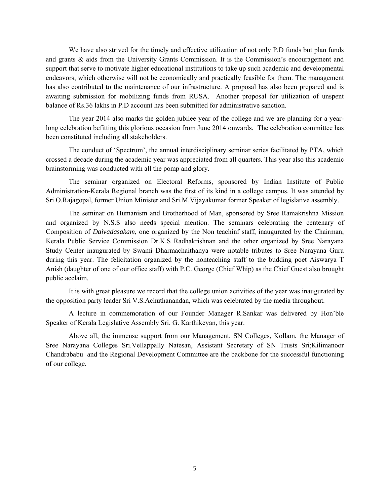We have also strived for the timely and effective utilization of not only P.D funds but plan funds and grants & aids from the University Grants Commission. It is the Commission's encouragement and support that serve to motivate higher educational institutions to take up such academic and developmental endeavors, which otherwise will not be economically and practically feasible for them. The management has also contributed to the maintenance of our infrastructure. A proposal has also been prepared and is awaiting submission for mobilizing funds from RUSA. Another proposal for utilization of unspent balance of Rs.36 lakhs in P.D account has been submitted for administrative sanction.

The year 2014 also marks the golden jubilee year of the college and we are planning for a yearlong celebration befitting this glorious occasion from June 2014 onwards. The celebration committee has been constituted including all stakeholders.

The conduct of 'Spectrum', the annual interdisciplinary seminar series facilitated by PTA, which crossed a decade during the academic year was appreciated from all quarters. This year also this academic brainstorming was conducted with all the pomp and glory.

The seminar organized on Electoral Reforms, sponsored by Indian Institute of Public Administration-Kerala Regional branch was the first of its kind in a college campus. It was attended by Sri O.Rajagopal, former Union Minister and Sri.M.Vijayakumar former Speaker of legislative assembly.

The seminar on Humanism and Brotherhood of Man, sponsored by Sree Ramakrishna Mission and organized by N.S.S also needs special mention. The seminars celebrating the centenary of Composition of *Daivadasakam*, one organized by the Non teachinf staff, inaugurated by the Chairman, Kerala Public Service Commission Dr.K.S Radhakrishnan and the other organized by Sree Narayana Study Center inaugurated by Swami Dharmachaithanya were notable tributes to Sree Narayana Guru during this year. The felicitation organized by the nonteaching staff to the budding poet Aiswarya T Anish (daughter of one of our office staff) with P.C. George (Chief Whip) as the Chief Guest also brought public acclaim.

It is with great pleasure we record that the college union activities of the year was inaugurated by the opposition party leader Sri V.S.Achuthanandan, which was celebrated by the media throughout.

A lecture in commemoration of our Founder Manager R.Sankar was delivered by Hon'ble Speaker of Kerala Legislative Assembly Sri. G. Karthikeyan, this year.

Above all, the immense support from our Management, SN Colleges, Kollam, the Manager of Sree Narayana Colleges Sri.Vellappally Natesan, Assistant Secretary of SN Trusts Sri;Kilimanoor Chandrababu and the Regional Development Committee are the backbone for the successful functioning of our college.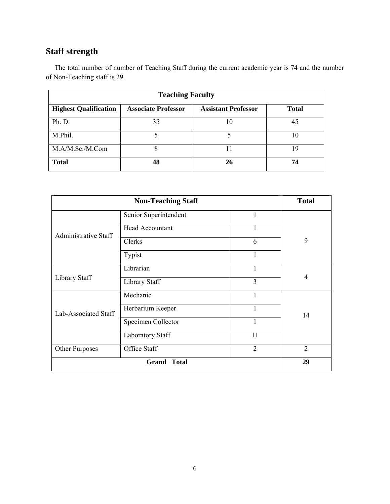## **Staff strength**

The total number of number of Teaching Staff during the current academic year is 74 and the number of Non-Teaching staff is 29.

| <b>Teaching Faculty</b>      |                            |                            |              |  |  |  |
|------------------------------|----------------------------|----------------------------|--------------|--|--|--|
| <b>Highest Qualification</b> | <b>Associate Professor</b> | <b>Assistant Professor</b> | <b>Total</b> |  |  |  |
| Ph. D.                       | 35                         | 10                         | 45           |  |  |  |
| M.Phil.                      |                            |                            | 10           |  |  |  |
| M.A/M.Sc./M.Com              | 8                          |                            | 19           |  |  |  |
| <b>Total</b>                 | 48                         | 26                         | 74           |  |  |  |

|                             | <b>Total</b>           |                |    |
|-----------------------------|------------------------|----------------|----|
|                             | Senior Superintendent  | 1              |    |
|                             | <b>Head Accountant</b> | 1              |    |
| <b>Administrative Staff</b> | Clerks                 | 6              | 9  |
|                             | Typist                 | 1              |    |
|                             | Librarian              | 1              |    |
| Library Staff               | Library Staff          | $\overline{3}$ | 4  |
|                             | Mechanic               | 1              |    |
| Lab-Associated Staff        | Herbarium Keeper       | 1              | 14 |
|                             | Specimen Collector     | $\mathbf{1}$   |    |
|                             | Laboratory Staff       | 11             |    |
| Other Purposes              | $\overline{2}$         |                |    |
|                             | <b>Grand Total</b>     |                | 29 |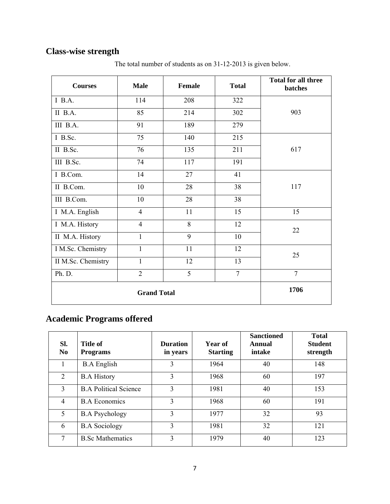## **Class-wise strength**

| <b>Courses</b>     | <b>Male</b>    | <b>Female</b> | <b>Total</b>   | <b>Total for all three</b><br>batches |
|--------------------|----------------|---------------|----------------|---------------------------------------|
| $I$ B.A.           | 114            | 208           | 322            |                                       |
| $II$ B.A.          | 85             | 214           | 302            | 903                                   |
| III B.A.           | 91             | 189           | 279            |                                       |
| I B.Sc.            | 75             | 140           | 215            |                                       |
| II B.Sc.           | 76             | 135           | 211            | 617                                   |
| III B.Sc.          | 74             | 117           | 191            |                                       |
| I B.Com.           | 14             | 27            | 41             |                                       |
| II B.Com.          | 10             | 28            | 38             | 117                                   |
| III B.Com.         | 10             | 28            | 38             |                                       |
| I M.A. English     | $\overline{4}$ | 11            | 15             | 15                                    |
| I M.A. History     | $\overline{4}$ | 8             | 12             | 22                                    |
| II M.A. History    | $\mathbf{1}$   | 9             | 10             |                                       |
| I M.Sc. Chemistry  | $\mathbf{1}$   | 11            | 12             | 25                                    |
| II M.Sc. Chemistry | $\mathbf{1}$   | 12            | 13             |                                       |
| Ph. D.             | $\overline{2}$ | 5             | $\overline{7}$ | $\overline{7}$                        |
|                    | 1706           |               |                |                                       |

The total number of students as on 31-12-2013 is given below.

## **Academic Programs offered**

| SI.<br>N <sub>0</sub> | <b>Title of</b><br><b>Programs</b> | <b>Duration</b><br>in years | Year of<br><b>Starting</b> | <b>Sanctioned</b><br>Annual<br>intake | <b>Total</b><br><b>Student</b><br>strength |
|-----------------------|------------------------------------|-----------------------------|----------------------------|---------------------------------------|--------------------------------------------|
|                       | <b>B.A</b> English                 | 3                           | 1964                       | 40                                    | 148                                        |
| $\overline{2}$        | <b>B.A History</b>                 | $\mathbf{3}$                | 1968                       | 60                                    | 197                                        |
| 3                     | <b>B.A Political Science</b>       | 3                           | 1981                       | 40                                    | 153                                        |
| 4                     | <b>B.A Economics</b>               | 3                           | 1968                       | 60                                    | 191                                        |
| 5                     | <b>B.A Psychology</b>              | 3                           | 1977                       | 32                                    | 93                                         |
| 6                     | <b>B.A Sociology</b>               | 3                           | 1981                       | 32                                    | 121                                        |
| $7\phantom{.0}$       | <b>B.Sc Mathematics</b>            | $\mathcal{E}$               | 1979                       | 40                                    | 123                                        |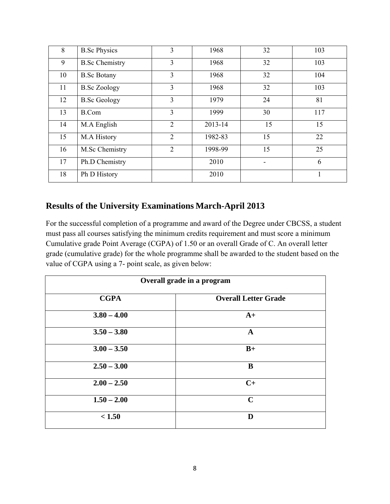| 8  | <b>B.Sc Physics</b>   | 3              | 1968    | 32 | 103 |
|----|-----------------------|----------------|---------|----|-----|
| 9  | <b>B.Sc Chemistry</b> | 3              | 1968    | 32 | 103 |
| 10 | <b>B.Sc Botany</b>    | 3              | 1968    | 32 | 104 |
| 11 | <b>B.Sc Zoology</b>   | 3              | 1968    | 32 | 103 |
| 12 | <b>B.Sc Geology</b>   | $\overline{3}$ | 1979    | 24 | 81  |
| 13 | <b>B.Com</b>          | $\overline{3}$ | 1999    | 30 | 117 |
| 14 | M.A English           | $\overline{2}$ | 2013-14 | 15 | 15  |
| 15 | M.A History           | $\overline{2}$ | 1982-83 | 15 | 22  |
| 16 | M.Sc Chemistry        | $\overline{2}$ | 1998-99 | 15 | 25  |
| 17 | Ph.D Chemistry        |                | 2010    |    | 6   |
| 18 | Ph D History          |                | 2010    |    |     |

## **Results of the University Examinations March-April 2013**

For the successful completion of a programme and award of the Degree under CBCSS, a student must pass all courses satisfying the minimum credits requirement and must score a minimum Cumulative grade Point Average (CGPA) of 1.50 or an overall Grade of C. An overall letter grade (cumulative grade) for the whole programme shall be awarded to the student based on the value of CGPA using a 7- point scale, as given below:

| Overall grade in a program |                             |  |  |  |
|----------------------------|-----------------------------|--|--|--|
| <b>CGPA</b>                | <b>Overall Letter Grade</b> |  |  |  |
| $3.80 - 4.00$              | $A+$                        |  |  |  |
| $3.50 - 3.80$              | $\mathbf{A}$                |  |  |  |
| $3.00 - 3.50$              | $B+$                        |  |  |  |
| $2.50 - 3.00$              | B                           |  |  |  |
| $2.00 - 2.50$              | $C+$                        |  |  |  |
| $1.50 - 2.00$              | $\mathbf C$                 |  |  |  |
| < 1.50                     | D                           |  |  |  |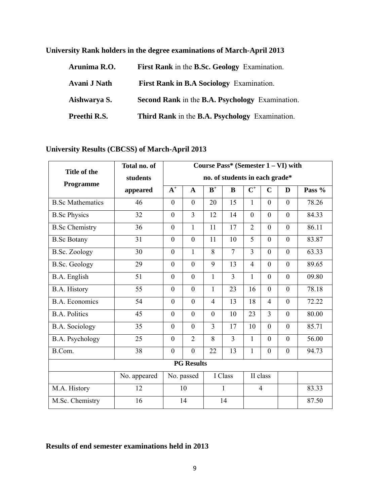| Arunima R.O. | First Rank in the B.Sc. Geology Examination.    |
|--------------|-------------------------------------------------|
| Avani J Nath | <b>First Rank in B.A Sociology Examination.</b> |
| Aishwarya S. | Second Rank in the B.A. Psychology Examination. |
| Preethi R.S. | Third Rank in the B.A. Psychology Examination.  |

**University Rank holders in the degree examinations of March-April 2013** 

**University Results (CBCSS) of March-April 2013** 

| Title of the            | Total no. of | Course Pass* (Semester 1 – VI) with |                  |                |                                |                |                |                  |          |
|-------------------------|--------------|-------------------------------------|------------------|----------------|--------------------------------|----------------|----------------|------------------|----------|
|                         | students     |                                     |                  |                | no. of students in each grade* |                |                |                  |          |
| Programme               | appeared     | $\overline{A^+}$                    | $\mathbf{A}$     | $\mathbf{B}^+$ | B                              | $\mathbf{C}^+$ | $\mathbf C$    | D                | Pass $%$ |
| <b>B.Sc Mathematics</b> | 46           | $\theta$                            | $\overline{0}$   | 20             | 15                             | 1              | $\theta$       | $\theta$         | 78.26    |
| <b>B.Sc Physics</b>     | 32           | $\theta$                            | $\overline{3}$   | 12             | 14                             | $\theta$       | $\theta$       | $\theta$         | 84.33    |
| <b>B.Sc Chemistry</b>   | 36           | $\mathbf{0}$                        | 1                | 11             | 17                             | $\overline{2}$ | $\mathbf{0}$   | $\mathbf{0}$     | 86.11    |
| <b>B.Sc Botany</b>      | 31           | $\mathbf{0}$                        | $\overline{0}$   | 11             | 10                             | 5              | $\mathbf{0}$   | $\mathbf{0}$     | 83.87    |
| <b>B.Sc. Zoology</b>    | 30           | $\overline{0}$                      | $\mathbf{1}$     | 8              | $\overline{7}$                 | $\overline{3}$ | $\theta$       | $\theta$         | 63.33    |
| <b>B.Sc. Geology</b>    | 29           | $\theta$                            | $\theta$         | 9              | 13                             | $\overline{4}$ | $\theta$       | $\theta$         | 89.65    |
| B.A. English            | 51           | $\theta$                            | $\overline{0}$   | 1              | 3                              | 1              | $\theta$       | $\theta$         | 09.80    |
| B.A. History            | 55           | $\mathbf{0}$                        | $\overline{0}$   | $\mathbf{1}$   | 23                             | 16             | $\mathbf{0}$   | $\overline{0}$   | 78.18    |
| <b>B.A. Economics</b>   | 54           | $\theta$                            | $\overline{0}$   | $\overline{4}$ | 13                             | 18             | $\overline{4}$ | $\theta$         | 72.22    |
| <b>B.A. Politics</b>    | 45           | $\mathbf{0}$                        | $\theta$         | $\mathbf{0}$   | 10                             | 23             | $\overline{3}$ | $\theta$         | 80.00    |
| <b>B.A.</b> Sociology   | 35           | $\mathbf{0}$                        | $\overline{0}$   | 3              | 17                             | 10             | $\mathbf{0}$   | $\mathbf{0}$     | 85.71    |
| B.A. Psychology         | 25           | $\theta$                            | $\overline{2}$   | 8              | 3                              | $\mathbf{1}$   | $\theta$       | $\theta$         | 56.00    |
| B.Com.                  | 38           | $\overline{0}$                      | $\boldsymbol{0}$ | 22             | 13                             | $\mathbf{1}$   | $\mathbf{0}$   | $\boldsymbol{0}$ | 94.73    |
| <b>PG Results</b>       |              |                                     |                  |                |                                |                |                |                  |          |
|                         | No. appeared | I Class<br>II class<br>No. passed   |                  |                |                                |                |                |                  |          |
| M.A. History            | 12           |                                     | 10               | 1              |                                | $\overline{4}$ |                |                  | 83.33    |
| M.Sc. Chemistry         | 16           | 14<br>14                            |                  |                |                                |                | 87.50          |                  |          |

## **Results of end semester examinations held in 2013**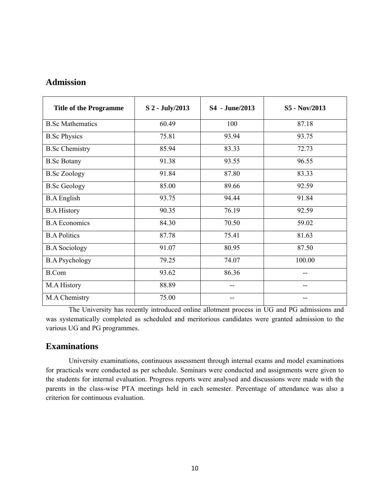## **Admission**

| <b>Title of the Programme</b> | S 2 - July/2013 | S4 - June/2013 | S5 - Nov/2013 |
|-------------------------------|-----------------|----------------|---------------|
| <b>B.Sc Mathematics</b>       | 60.49           | 100            | 87.18         |
| <b>B.Sc Physics</b>           | 75.81           | 93.94          | 93.75         |
| <b>B.Sc Chemistry</b>         | 85.94           | 83.33          | 72.73         |
| <b>B.Sc Botany</b>            | 91.38           | 93.55          | 96.55         |
| <b>B.Sc Zoology</b>           | 91.84           | 87.80          | 83.33         |
| <b>B.Sc Geology</b>           | 85.00           | 89.66          | 92.59         |
| <b>B.A</b> English            | 93.75           | 94.44          | 91.84         |
| <b>B.A History</b>            | 90.35           | 76.19          | 92.59         |
| <b>B.A Economics</b>          | 84.30           | 70.50          | 59.02         |
| <b>B.A Politics</b>           | 87.78           | 75.41          | 81.63         |
| <b>B.A Sociology</b>          | 91.07           | 80.95          | 87.50         |
| <b>B.A Psychology</b>         | 79.25           | 74.07          | 100.00        |
| <b>B.Com</b>                  | 93.62           | 86.36          | --            |
| M.A History                   | 88.89           | --             | --            |
| M.A Chemistry                 | 75.00           |                |               |

The University has recently introduced online allotment process in UG and PG admissions and was systematically completed as scheduled and meritorious candidates were granted admission to the various UG and PG programmes.

## **Examinations**

University examinations, continuous assessment through internal exams and model examinations for practicals were conducted as per schedule. Seminars were conducted and assignments were given to the students for internal evaluation. Progress reports were analysed and discussions were made with the parents in the class-wise PTA meetings held in each semester. Percentage of attendance was also a criterion for continuous evaluation.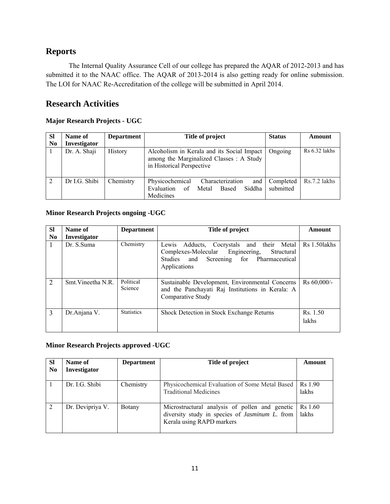## **Reports**

The Internal Quality Assurance Cell of our college has prepared the AQAR of 2012-2013 and has submitted it to the NAAC office. The AQAR of 2013-2014 is also getting ready for online submission. The LOI for NAAC Re-Accreditation of the college will be submitted in April 2014.

## **Research Activities**

## **Major Research Projects - UGC**

| <b>SI</b> | Name of       | <b>Department</b> | Title of project                                                                                                    | <b>Status</b>          | Amount          |
|-----------|---------------|-------------------|---------------------------------------------------------------------------------------------------------------------|------------------------|-----------------|
| No        | Investigator  |                   |                                                                                                                     |                        |                 |
|           | Dr. A. Shaji  | History           | Alcoholism in Kerala and its Social Impact<br>among the Marginalized Classes : A Study<br>in Historical Perspective | Ongoing                | $Rs 6.32$ lakhs |
| 2         | Dr I.G. Shibi | Chemistry         | Physicochemical<br>Characterization<br>and<br>Evaluation<br>Siddha<br>of<br>Metal<br>Based<br>Medicines             | Completed<br>submitted | Rs.7.2 lakhs    |

#### **Minor Research Projects ongoing -UGC**

| <b>SI</b>      | Name of             | <b>Department</b>    | Title of project                                                                                                                                           | Amount            |
|----------------|---------------------|----------------------|------------------------------------------------------------------------------------------------------------------------------------------------------------|-------------------|
| N <sub>0</sub> | <b>Investigator</b> |                      |                                                                                                                                                            |                   |
| 1              | Dr. S.Suma          | Chemistry            | Adducts, Cocrystals and their Metal<br>Lewis<br>Complexes-Molecular Engineering,<br>Structural<br>Studies and Screening for Pharmaceutical<br>Applications | Rs 1.50 lakhs     |
| $\overline{2}$ | Smt Vineetha N.R.   | Political<br>Science | Sustainable Development, Environmental Concerns<br>and the Panchayati Raj Institutions in Kerala: A<br>Comparative Study                                   | $Rs 60,000/-$     |
| 3              | Dr.Anjana V.        | <b>Statistics</b>    | Shock Detection in Stock Exchange Returns                                                                                                                  | Rs. 1.50<br>lakhs |

### **Minor Research Projects approved -UGC**

| SI<br>N <sub>0</sub> | Name of<br>Investigator | <b>Department</b> | Title of project                                                                                                                      | Amount                       |
|----------------------|-------------------------|-------------------|---------------------------------------------------------------------------------------------------------------------------------------|------------------------------|
|                      | Dr. I.G. Shibi          | Chemistry         | Physicochemical Evaluation of Some Metal Based<br><b>Traditional Medicines</b>                                                        | Rs 1.90<br>lakhs             |
|                      | Dr. Devipriya V.        | <b>Botany</b>     | Microstructural analysis of pollen and genetic<br>diversity study in species of <i>Jasminum L</i> . from<br>Kerala using RAPD markers | R <sub>s</sub> 1.60<br>lakhs |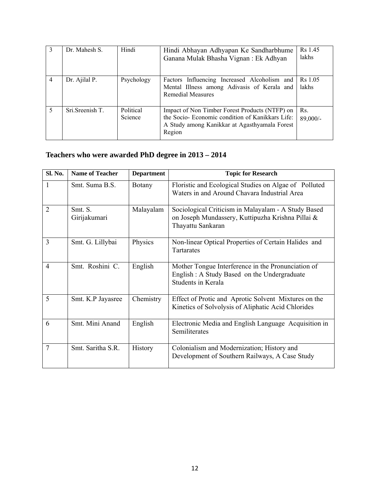|                | Dr. Mahesh S.   | Hindi                | Hindi Abhayan Adhyapan Ke Sandharbhume<br>Ganana Mulak Bhasha Vignan: Ek Adhyan                                                                              | Rs 1.45<br>lakhs             |
|----------------|-----------------|----------------------|--------------------------------------------------------------------------------------------------------------------------------------------------------------|------------------------------|
| $\overline{4}$ | Dr. Ajilal P.   | Psychology           | Factors Influencing Increased Alcoholism and<br>Mental Illness among Adivasis of Kerala and<br>Remedial Measures                                             | R <sub>s</sub> 1.05<br>lakhs |
| 5              | Sri Sreenish T. | Political<br>Science | Impact of Non Timber Forest Products (NTFP) on<br>the Socio-Economic condition of Kanikkars Life:<br>A Study among Kanikkar at Agasthyamala Forest<br>Region | Rs.<br>89,000/-              |

## **Teachers who were awarded PhD degree in 2013 – 2014**

| Sl. No.        | <b>Name of Teacher</b>  | <b>Department</b> | <b>Topic for Research</b>                                                                                                     |
|----------------|-------------------------|-------------------|-------------------------------------------------------------------------------------------------------------------------------|
| 1              | Smt. Suma B.S.          | Botany            | Floristic and Ecological Studies on Algae of Polluted<br>Waters in and Around Chavara Industrial Area                         |
| $\overline{2}$ | Smt. S.<br>Girijakumari | Malayalam         | Sociological Criticism in Malayalam - A Study Based<br>on Joseph Mundassery, Kuttipuzha Krishna Pillai &<br>Thayattu Sankaran |
| 3              | Smt. G. Lillybai        | Physics           | Non-linear Optical Properties of Certain Halides and<br>Tartarates                                                            |
| $\overline{4}$ | Smt. Roshini C.         | English           | Mother Tongue Interference in the Pronunciation of<br>English : A Study Based on the Undergraduate<br>Students in Kerala      |
| 5              | Smt. K.P Jayasree       | Chemistry         | Effect of Protic and Aprotic Solvent Mixtures on the<br>Kinetics of Solvolysis of Aliphatic Acid Chlorides                    |
| 6              | Smt. Mini Anand         | English           | Electronic Media and English Language Acquisition in<br>Semiliterates                                                         |
| 7              | Smt. Saritha S.R.       | <b>History</b>    | Colonialism and Modernization; History and<br>Development of Southern Railways, A Case Study                                  |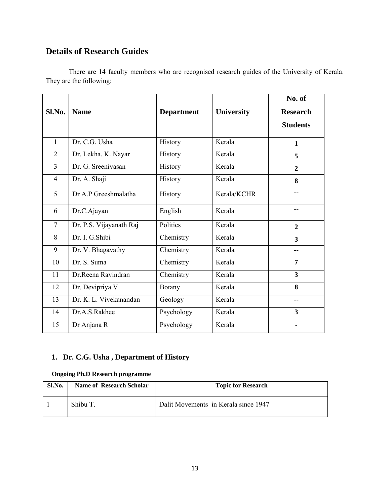## **Details of Research Guides**

There are 14 faculty members who are recognised research guides of the University of Kerala. They are the following:

| Sl.No.         | <b>Name</b>             | <b>Department</b> | <b>University</b> | No. of<br><b>Research</b><br><b>Students</b> |
|----------------|-------------------------|-------------------|-------------------|----------------------------------------------|
| $\mathbf{1}$   | Dr. C.G. Usha           | History           | Kerala            | $\mathbf{1}$                                 |
| $\overline{2}$ | Dr. Lekha. K. Nayar     | History           | Kerala            | 5                                            |
| $\overline{3}$ | Dr. G. Sreenivasan      | History           | Kerala            | $\overline{2}$                               |
| $\overline{4}$ | Dr. A. Shaji            | History           | Kerala            | 8                                            |
| 5              | Dr A.P Greeshmalatha    | History           | Kerala/KCHR       |                                              |
| 6              | Dr.C.Ajayan             | English           | Kerala            | --                                           |
| $\overline{7}$ | Dr. P.S. Vijayanath Raj | Politics          | Kerala            | $\mathbf{2}$                                 |
| 8              | Dr. I. G.Shibi          | Chemistry         | Kerala            | 3                                            |
| 9              | Dr. V. Bhagavathy       | Chemistry         | Kerala            |                                              |
| 10             | Dr. S. Suma             | Chemistry         | Kerala            | $\overline{7}$                               |
| 11             | Dr.Reena Ravindran      | Chemistry         | Kerala            | $\overline{\mathbf{3}}$                      |
| 12             | Dr. Devipriya. V        | <b>Botany</b>     | Kerala            | 8                                            |
| 13             | Dr. K. L. Vivekanandan  | Geology           | Kerala            | --                                           |
| 14             | Dr.A.S.Rakhee           | Psychology        | Kerala            | 3                                            |
| 15             | Dr Anjana R             | Psychology        | Kerala            | ۰                                            |

## **1. Dr. C.G. Usha , Department of History**

## **Ongoing Ph.D Research programme**

| Sl.No. | <b>Name of Research Scholar</b> | <b>Topic for Research</b>            |
|--------|---------------------------------|--------------------------------------|
|        | Shibu T.                        | Dalit Movements in Kerala since 1947 |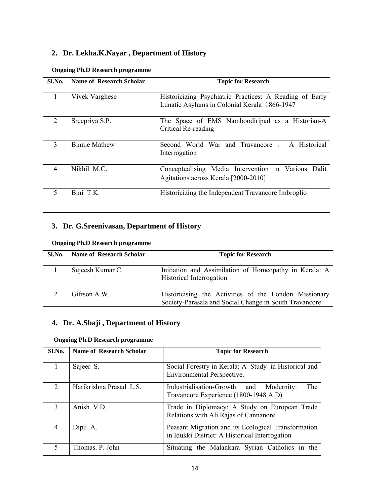## **2. Dr. Lekha.K.Nayar , Department of History**

| Sl.No.         | <b>Name of Research Scholar</b> | <b>Topic for Research</b>                                                                               |
|----------------|---------------------------------|---------------------------------------------------------------------------------------------------------|
| 1              | Vivek Varghese                  | Historicizing Psychiatric Practices: A Reading of Early<br>Lunatic Asylums in Colonial Kerala 1866-1947 |
| 2              | Sreepriya S.P.                  | The Space of EMS Namboodiripad as a Historian-A<br>Critical Re-reading                                  |
| 3              | <b>Binnie Mathew</b>            | Second World War and Travancore : A Historical<br>Interrogation                                         |
| $\overline{4}$ | Nikhil M.C.                     | Conceptualising Media Intervention in Various Dalit<br>Agitations across Kerala [2000-2010]             |
| 5              | Bini T.K.                       | Historicizing the Independent Travancore Imbroglio                                                      |

#### **Ongoing Ph.D Research programme**

## **3. Dr. G.Sreenivasan, Department of History**

#### **Ongoing Ph.D Research programme**

| Sl.No. | Name of Research Scholar | <b>Topic for Research</b>                                                                                       |
|--------|--------------------------|-----------------------------------------------------------------------------------------------------------------|
|        | Sujeesh Kumar C.         | Initiation and Assimilation of Homeopathy in Kerala: A<br>Historical Interrogation                              |
|        | Giftson A.W.             | Historicising the Activities of the London Missionary<br>Society-Parasala and Social Change in South Travancore |

## **4. Dr. A.Shaji , Department of History**

#### **Ongoing Ph.D Research programme**

| Sl.No. | <b>Name of Research Scholar</b> | <b>Topic for Research</b>                                                                             |
|--------|---------------------------------|-------------------------------------------------------------------------------------------------------|
|        | Sajeer S.                       | Social Forestry in Kerala: A Study in Historical and<br><b>Environmental Perspective.</b>             |
| 2      | Harikrishna Prasad L.S.         | The<br>Industrialisation-Growth and<br>Modernity:<br>Travancore Experience (1800-1948 A.D)            |
| 3      | Anish V.D.                      | Trade in Diplomacy: A Study on European Trade<br>Relations with Ali Rajas of Cannanore                |
| 4      | Dipu A.                         | Peasant Migration and its Ecological Transformation<br>in Idukki District: A Historical Interrogation |
| 5      | Thomas. P. John                 | Situating the Malankara Syrian Catholics in the                                                       |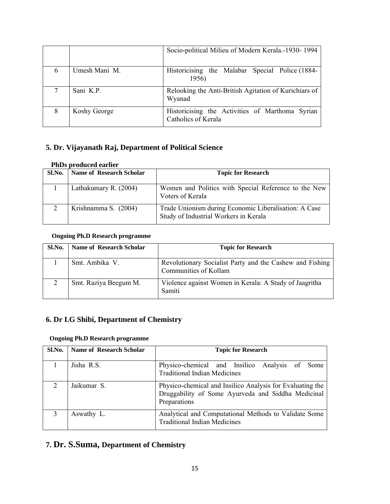|   |               | Socio-political Milieu of Modern Kerala.-1930-1994                     |
|---|---------------|------------------------------------------------------------------------|
| 6 | Umesh Mani M. | Historicising the Malabar Special Police (1884-<br>1956)               |
|   | Sani K.P.     | Relooking the Anti-British Agitation of Kurichiars of<br>Wyanad        |
| 8 | Koshy George  | Historicising the Activities of Marthoma Syrian<br>Catholics of Kerala |

## **5. Dr. Vijayanath Raj, Department of Political Science**

## **PhDs produced earlier**

| Sl.No. | Name of Research Scholar | <b>Topic for Research</b>                                                                      |
|--------|--------------------------|------------------------------------------------------------------------------------------------|
|        | Lathakumary R. (2004)    | Women and Politics with Special Reference to the New<br>Voters of Kerala                       |
|        | Krishnamma S. (2004)     | Trade Unionism during Economic Liberalisation: A Case<br>Study of Industrial Workers in Kerala |

#### **Ongoing Ph.D Research programme**

| Sl.No. | <b>Name of Research Scholar</b> | <b>Topic for Research</b>                                                         |
|--------|---------------------------------|-----------------------------------------------------------------------------------|
|        | Smt. Ambika V.                  | Revolutionary Socialist Party and the Cashew and Fishing<br>Communities of Kollam |
|        | Smt. Raziya Beegum M.           | Violence against Women in Kerala: A Study of Jaagritha<br>Samiti                  |

## **6. Dr I.G Shibi, Department of Chemistry**

#### **Ongoing Ph.D Research programme**

| Sl.No. | Name of Research Scholar | <b>Topic for Research</b>                                                                                                       |
|--------|--------------------------|---------------------------------------------------------------------------------------------------------------------------------|
|        | Jisha R.S.               | Physico-chemical and Insilico Analysis of Some<br><b>Traditional Indian Medicines</b>                                           |
| 2      | Jaikumar S.              | Physico-chemical and Insilico Analysis for Evaluating the<br>Druggability of Some Ayurveda and Siddha Medicinal<br>Preparations |
|        | Aswathy L.               | Analytical and Computational Methods to Validate Some<br><b>Traditional Indian Medicines</b>                                    |

## **7. Dr. S.Suma, Department of Chemistry**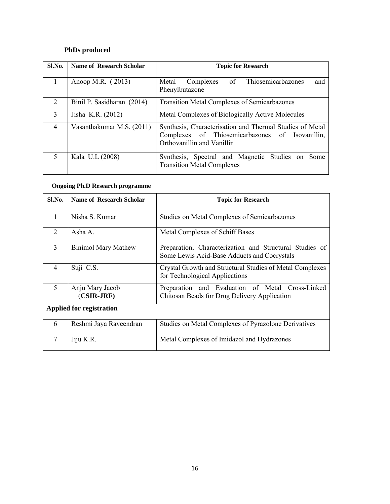## **PhDs produced**

| Sl.No.         | <b>Name of Research Scholar</b> | <b>Topic for Research</b>                                                                                                                 |  |
|----------------|---------------------------------|-------------------------------------------------------------------------------------------------------------------------------------------|--|
|                | Anoop M.R. (2013)               | of Thiosemicarbazones<br>Complexes<br>Metal<br>and<br>Phenylbutazone                                                                      |  |
| $\overline{2}$ | Binil P. Sasidharan (2014)      | <b>Transition Metal Complexes of Semicarbazones</b>                                                                                       |  |
| 3              | Jisha K.R. (2012)               | Metal Complexes of Biologically Active Molecules                                                                                          |  |
| $\overline{4}$ | Vasanthakumar M.S. (2011)       | Synthesis, Characterisation and Thermal Studies of Metal<br>Complexes of Thiosemicarbazones of Isovanillin,<br>Orthovanillin and Vanillin |  |
| 5              | Kala U.L (2008)                 | Synthesis, Spectral and Magnetic Studies on Some<br><b>Transition Metal Complexes</b>                                                     |  |

## **Ongoing Ph.D Research programme**

| Sl.No.         | <b>Name of Research Scholar</b> | <b>Topic for Research</b>                                                                              |  |
|----------------|---------------------------------|--------------------------------------------------------------------------------------------------------|--|
| 1              | Nisha S. Kumar                  | Studies on Metal Complexes of Semicarbazones                                                           |  |
| $\overline{2}$ | Asha A.                         | Metal Complexes of Schiff Bases                                                                        |  |
| 3              | <b>Binimol Mary Mathew</b>      | Preparation, Characterization and Structural Studies of<br>Some Lewis Acid-Base Adducts and Cocrystals |  |
| $\overline{4}$ | Suji C.S.                       | Crystal Growth and Structural Studies of Metal Complexes<br>for Technological Applications             |  |
| 5              | Anju Mary Jacob<br>$(CSIR-JRF)$ | Preparation and Evaluation of Metal Cross-Linked<br>Chitosan Beads for Drug Delivery Application       |  |
|                | <b>Applied for registration</b> |                                                                                                        |  |
| 6              | Reshmi Jaya Raveendran          | Studies on Metal Complexes of Pyrazolone Derivatives                                                   |  |
| 7              | Jiju K.R.                       | Metal Complexes of Imidazol and Hydrazones                                                             |  |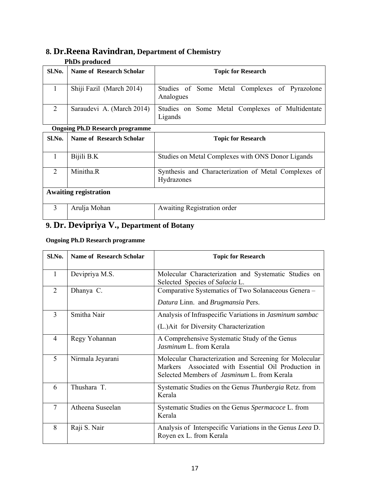## **8. Dr.Reena Ravindran, Department of Chemistry**

#### **PhDs produced**

| Sl.No. | <b>Name of Research Scholar</b> | <b>Topic for Research</b>                                  |  |  |
|--------|---------------------------------|------------------------------------------------------------|--|--|
|        | Shiji Fazil (March 2014)        | Studies of Some Metal Complexes of Pyrazolone<br>Analogues |  |  |
| 2      | Saraudevi A. (March 2014)       | Studies on Some Metal Complexes of Multidentate<br>Ligands |  |  |

#### **Ongoing Ph.D Research programme**

|        | ongoing I lip Research programme |                                                                    |  |
|--------|----------------------------------|--------------------------------------------------------------------|--|
| Sl.No. | <b>Name of Research Scholar</b>  | <b>Topic for Research</b>                                          |  |
|        | Bijili B.K                       | Studies on Metal Complexes with ONS Donor Ligands                  |  |
| 2      | Minitha <sub>.R</sub>            | Synthesis and Characterization of Metal Complexes of<br>Hydrazones |  |
|        | <b>Awaiting registration</b>     |                                                                    |  |
|        | Arulja Mohan                     | Awaiting Registration order                                        |  |

## **9. Dr. Devipriya V., Department of Botany**

## **Ongoing Ph.D Research programme**

| Sl.No.                      | <b>Name of Research Scholar</b> | <b>Topic for Research</b>                                                                                                                                           |  |
|-----------------------------|---------------------------------|---------------------------------------------------------------------------------------------------------------------------------------------------------------------|--|
| 1                           | Devipriya M.S.                  | Molecular Characterization and Systematic Studies on<br>Selected Species of Salacia L.                                                                              |  |
| $\mathcal{D}_{\mathcal{L}}$ | Dhanya C.                       | Comparative Systematics of Two Solanaceous Genera -<br>Datura Linn. and Brugmansia Pers.                                                                            |  |
| $\overline{3}$              | Smitha Nair                     | Analysis of Infraspecific Variations in Jasminum sambac<br>(L.) Ait for Diversity Characterization                                                                  |  |
| $\overline{4}$              | Regy Yohannan                   | A Comprehensive Systematic Study of the Genus<br>Jasminum L. from Kerala                                                                                            |  |
| 5                           | Nirmala Jeyarani                | Molecular Characterization and Screening for Molecular<br>Markers Associated with Essential Oil Production in<br>Selected Members of <i>Jasminum</i> L. from Kerala |  |
| 6                           | Thushara T.                     | Systematic Studies on the Genus <i>Thunbergia</i> Retz. from<br>Kerala                                                                                              |  |
| $\overline{7}$              | Atheena Suseelan                | Systematic Studies on the Genus Spermacoce L. from<br>Kerala                                                                                                        |  |
| 8                           | Raji S. Nair                    | Analysis of Interspecific Variations in the Genus Leea D.<br>Royen ex L. from Kerala                                                                                |  |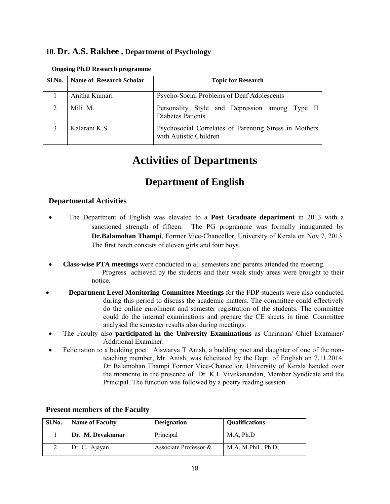## **10. Dr. A.S. Rakhee , Department of Psychology**

| Sl.No.         | Name of Research Scholar | <b>Topic for Research</b>                                                        |  |
|----------------|--------------------------|----------------------------------------------------------------------------------|--|
|                | Anitha Kumari            | Psycho-Social Problems of Deaf Adolescents                                       |  |
| $\overline{2}$ | Mili M.                  | Personality Style and Depression among Type II<br><b>Diabetes Patients</b>       |  |
|                | Kalarani K.S.            | Psychosocial Correlates of Parenting Stress in Mothers<br>with Autistic Children |  |

#### **Ongoing Ph.D Research programme**

## **Activities of Departments**

## **Department of English**

### **Departmental Activities**

- The Department of English was elevated to a **Post Graduate department** in 2013 with a sanctioned strength of fifteen. The PG programme was formally inaugurated by **Dr.Balamohan Thampi**, Former Vice-Chancellor, University of Kerala on Nov 7, 2013. The first batch consists of eleven girls and four boys.
- **Class-wise PTA meetings** were conducted in all semesters and parents attended the meeting. Progress achieved by the students and their weak study areas were brought to their notice.
- **Department Level Monitoring Committee Meetings** for the FDP students were also conducted during this period to discuss the academic matters. The committee could effectively do the online enrollment and semester registration of the students. The committee could do the internal examinations and prepare the CE sheets in time. Committee analysed the semester results also during meetings.
- The Faculty also **participated in the University Examinations** as Chairman/ Chief Examiner/ Additional Examiner.
- Felicitation to a budding poet: Aiswarya T Anish, a budding poet and daughter of one of the nonteaching member, Mr. Anish, was felicitated by the Dept. of English on 7.11.2014. Dr Balamohan Thampi Former Vice-Chancellor, University of Kerala handed over the momento in the presence of Dr. K.L Vivekanandan, Member Syndicate and the Principal. The function was followed by a poetry reading session.

| Sl.No. | <b>Name of Faculty</b> | <b>Designation</b>    | <b>Qualifications</b> |
|--------|------------------------|-----------------------|-----------------------|
|        | Dr. M. Devakumar       | Principal             | M.A, Ph.D             |
|        | Dr. C. Ajayan          | Associate Professor & | M.A, M.Phil., Ph.D.   |

### **Present members of the Faculty**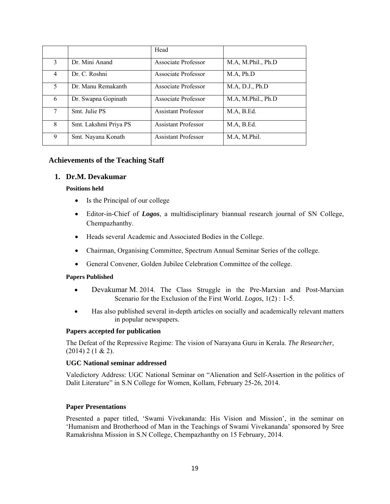|   |                       | Head                       |                    |
|---|-----------------------|----------------------------|--------------------|
| 3 | Dr. Mini Anand        | Associate Professor        | M.A, M.Phil., Ph.D |
| 4 | Dr. C. Roshni         | Associate Professor        | M.A, Ph.D          |
| 5 | Dr. Manu Remakanth    | Associate Professor        | M.A, D.J., Ph.D    |
| 6 | Dr. Swapna Gopinath   | Associate Professor        | M.A, M.Phil., Ph.D |
| 7 | Smt. Julie PS         | <b>Assistant Professor</b> | M.A., B.Ed.        |
| 8 | Smt. Lakshmi Priya PS | <b>Assistant Professor</b> | M.A, B.Ed.         |
| 9 | Smt. Nayana Konath    | <b>Assistant Professor</b> | M.A, M.Phil.       |

#### **Achievements of the Teaching Staff**

#### **1. Dr.M. Devakumar**

#### **Positions held**

- Is the Principal of our college
- Editor-in-Chief of *Logos*, a multidisciplinary biannual research journal of SN College, Chempazhanthy.
- Heads several Academic and Associated Bodies in the College.
- Chairman, Organising Committee, Spectrum Annual Seminar Series of the college.
- General Convener, Golden Jubilee Celebration Committee of the college.

#### **Papers Published**

- Devakumar M. 2014. The Class Struggle in the Pre-Marxian and Post-Marxian Scenario for the Exclusion of the First World. *Logos*, 1(2) : 1-5.
- Has also published several in-depth articles on socially and academically relevant matters in popular newspapers.

#### **Papers accepted for publication**

The Defeat of the Repressive Regime: The vision of Narayana Guru in Kerala. *The Researcher*,  $(2014)$  2 (1 & 2).

#### **UGC National seminar addressed**

Valedictory Address: UGC National Seminar on "Alienation and Self-Assertion in the politics of Dalit Literature" in S.N College for Women, Kollam, February 25-26, 2014.

#### **Paper Presentations**

Presented a paper titled, 'Swami Vivekananda: His Vision and Mission', in the seminar on 'Humanism and Brotherhood of Man in the Teachings of Swami Vivekananda' sponsored by Sree Ramakrishna Mission in S.N College, Chempazhanthy on 15 February, 2014.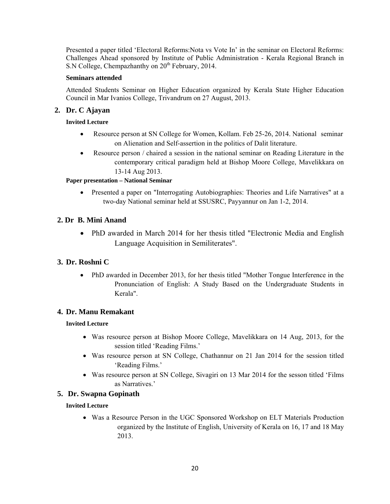Presented a paper titled 'Electoral Reforms:Nota vs Vote In' in the seminar on Electoral Reforms: Challenges Ahead sponsored by Institute of Public Administration - Kerala Regional Branch in S.N College, Chempazhanthy on 20<sup>th</sup> February, 2014.

#### **Seminars attended**

Attended Students Seminar on Higher Education organized by Kerala State Higher Education Council in Mar Ivanios College, Trivandrum on 27 August, 2013.

## **2. Dr. C Ajayan**

#### **Invited Lecture**

- Resource person at SN College for Women, Kollam. Feb 25-26, 2014. National seminar on Alienation and Self-assertion in the politics of Dalit literature.
- Resource person / chaired a session in the national seminar on Reading Literature in the contemporary critical paradigm held at Bishop Moore College, Mavelikkara on 13-14 Aug 2013.

#### **Paper presentation – National Seminar**

• Presented a paper on "Interrogating Autobiographies: Theories and Life Narratives" at a two-day National seminar held at SSUSRC, Payyannur on Jan 1-2, 2014.

## **2. Dr B. Mini Anand**

• PhD awarded in March 2014 for her thesis titled "Electronic Media and English Language Acquisition in Semiliterates".

## **3. Dr. Roshni C**

• PhD awarded in December 2013, for her thesis titled "Mother Tongue Interference in the Pronunciation of English: A Study Based on the Undergraduate Students in Kerala".

### **4. Dr. Manu Remakant**

### **Invited Lecture**

- Was resource person at Bishop Moore College, Mavelikkara on 14 Aug, 2013, for the session titled 'Reading Films.'
- Was resource person at SN College, Chathannur on 21 Jan 2014 for the session titled 'Reading Films.'
- Was resource person at SN College, Sivagiri on 13 Mar 2014 for the sesson titled 'Films as Narratives.'

### **5. Dr. Swapna Gopinath**

### **Invited Lecture**

• Was a Resource Person in the UGC Sponsored Workshop on ELT Materials Production organized by the Institute of English, University of Kerala on 16, 17 and 18 May 2013.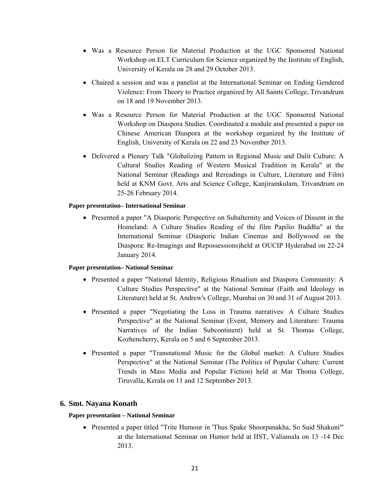- Was a Resource Person for Material Production at the UGC Sponsored National Workshop on ELT Curriculum for Science organized by the Institute of English, University of Kerala on 28 and 29 October 2013.
- Chaired a session and was a panelist at the International Seminar on Ending Gendered Violence: From Theory to Practice organized by All Saints College, Trivandrum on 18 and 19 November 2013.
- Was a Resource Person for Material Production at the UGC Sponsored National Workshop on Diaspora Studies. Coordinated a module and presented a paper on Chinese American Diaspora at the workshop organized by the Institute of English, University of Kerala on 22 and 23 November 2013.
- Delivered a Plenary Talk "Globalizing Pattern in Regional Music and Dalit Culture: A Cultural Studies Reading of Western Musical Tradition in Kerala" at the National Seminar (Readings and Rereadings in Culture, Literature and Film) held at KNM Govt. Arts and Science College, Kanjiramkulam, Trivandrum on 25-26 February 2014.

#### **Paper presentation– International Seminar**

• Presented a paper "A Diasporic Perspective on Subalternity and Voices of Dissent in the Homeland: A Culture Studies Reading of the film Papilio Buddha" at the International Seminar (Diasporic Indian Cinemas and Bollywood on the Diaspora: Re-Imagings and Repossessions)held at OUCIP Hyderabad on 22-24 January 2014.

#### **Paper presentation– National Seminar**

- Presented a paper "National Identity, Religious Ritualism and Diaspora Community: A Culture Studies Perspective" at the National Seminar (Faith and Ideology in Literature) held at St. Andrew's College, Mumbai on 30 and 31 of August 2013.
- Presented a paper "Negotiating the Loss in Trauma narratives: A Culture Studies Perspective" at the National Seminar (Event, Memory and Literature: Trauma Narratives of the Indian Subcontinent) held at St. Thomas College, Kozhencherry, Kerala on 5 and 6 September 2013.
- Presented a paper "Transnational Music for the Global market: A Culture Studies Perspective" at the National Seminar (The Politics of Popular Culture: Current Trends in Mass Media and Popular Fiction) held at Mar Thoma College, Tiruvalla, Kerala on 11 and 12 September 2013.

#### **6. Smt. Nayana Konath**

#### **Paper presentation – National Seminar**

• Presented a paper titled "Trite Humour in 'Thus Spake Shoorpanakha, So Said Shakuni'" at the International Seminar on Humor held at IIST, Valiamala on 13 -14 Dec 2013.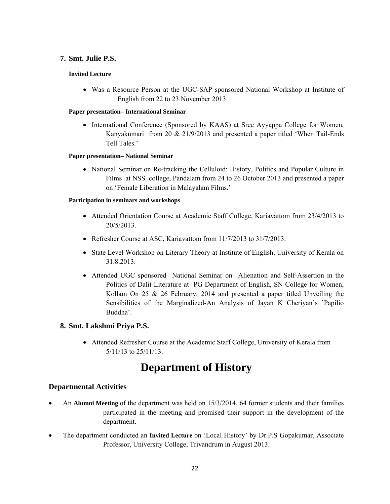## **7. Smt. Julie P.S.**

#### **Invited Lecture**

• Was a Resource Person at the UGC-SAP sponsored National Workshop at Institute of English from 22 to 23 November 2013

#### **Paper presentation– International Seminar**

• International Conference (Sponsored by KAAS) at Sree Ayyappa College for Women, Kanyakumari from 20 & 21/9/2013 and presented a paper titled 'When Tail-Ends Tell Tales.'

#### **Paper presentation– National Seminar**

• National Seminar on Re-tracking the Celluloid: History, Politics and Popular Culture in Films at NSS college, Pandalam from 24 to 26 October 2013 and presented a paper on 'Female Liberation in Malayalam Films.'

#### **Participation in seminars and workshops**

- Attended Orientation Course at Academic Staff College, Kariavattom from 23/4/2013 to 20/5/2013.
- Refresher Course at ASC, Kariavattom from 11/7/2013 to 31/7/2013.
- State Level Workshop on Literary Theory at Institute of English, University of Kerala on 31.8.2013.
- Attended UGC sponsored National Seminar on Alienation and Self-Assertion in the Politics of Dalit Literature at PG Department of English, SN College for Women, Kollam On  $25 \& 26$  February, 2014 and presented a paper titled Unveiling the Sensibilities of the Marginalized-An Analysis of Jayan K Cheriyan's `Papilio Buddha'.

## **8. Smt. Lakshmi Priya P.S.**

• Attended Refresher Course at the Academic Staff College, University of Kerala from 5/11/13 to 25/11/13.

## **Department of History**

## **Departmental Activities**

- An **Alumni Meeting** of the department was held on 15/3/2014. 64 former students and their families participated in the meeting and promised their support in the development of the department.
- The department conducted an **Invited Lecture** on 'Local History' by Dr.P.S Gopakumar, Associate Professor, University College, Trivandrum in August 2013.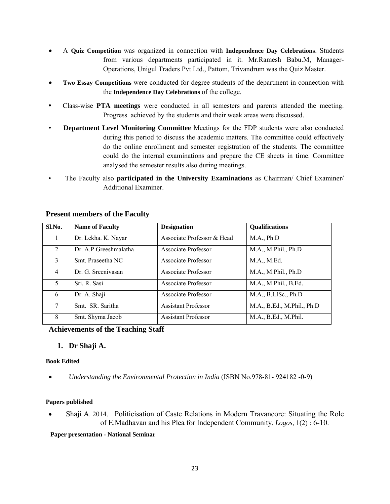- A **Quiz Competition** was organized in connection with **Independence Day Celebrations**. Students from various departments participated in it. Mr.Ramesh Babu.M, Manager-Operations, Unigul Traders Pvt Ltd., Pattom, Trivandrum was the Quiz Master.
- **Two Essay Competitions** were conducted for degree students of the department in connection with the **Independence Day Celebrations** of the college.
- Class-wise **PTA meetings** were conducted in all semesters and parents attended the meeting. Progress achieved by the students and their weak areas were discussed.
- **Department Level Monitoring Committee** Meetings for the FDP students were also conducted during this period to discuss the academic matters. The committee could effectively do the online enrollment and semester registration of the students. The committee could do the internal examinations and prepare the CE sheets in time. Committee analysed the semester results also during meetings.
- The Faculty also **participated in the University Examinations** as Chairman/ Chief Examiner/ Additional Examiner.

| Sl.No.                      | <b>Name of Faculty</b> | <b>Designation</b>         | Qualifications             |
|-----------------------------|------------------------|----------------------------|----------------------------|
|                             | Dr. Lekha. K. Nayar    | Associate Professor & Head | M.A., Ph.D                 |
| $\mathcal{D}_{\mathcal{L}}$ | Dr. A.P Greeshmalatha  | <b>Associate Professor</b> | M.A., M.Phil., Ph.D        |
| 3                           | Smt. Praseetha NC      | Associate Professor        | M.A., M.Ed.                |
| $\overline{4}$              | Dr. G. Sreenivasan     | Associate Professor        | M.A., M.Phil., Ph.D        |
| 5                           | Sri. R. Sasi           | Associate Professor        | M.A., M.Phil., B.Ed.       |
| 6                           | Dr. A. Shaji           | Associate Professor        | M.A., B.LISc., Ph.D        |
| $\tau$                      | Smt. SR. Saritha       | <b>Assistant Professor</b> | M.A., B.Ed., M.Phil., Ph.D |
| 8                           | Smt. Shyma Jacob       | <b>Assistant Professor</b> | M.A., B.Ed., M.Phil.       |

### **Present members of the Faculty**

**Achievements of the Teaching Staff** 

### **1. Dr Shaji A.**

#### **Book Edited**

• *Understanding the Environmental Protection in India* (ISBN No.978-81- 924182 -0-9)

#### **Papers published**

• Shaji A. 2014. Politicisation of Caste Relations in Modern Travancore: Situating the Role of E.Madhavan and his Plea for Independent Community. *Logos*, 1(2) : 6-10.

**Paper presentation - National Seminar**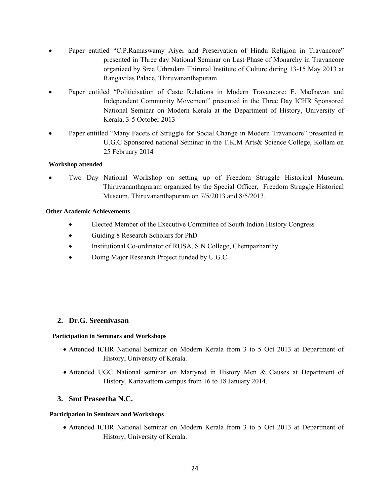- Paper entitled "C.P.Ramaswamy Aiyer and Preservation of Hindu Religion in Travancore" presented in Three day National Seminar on Last Phase of Monarchy in Travancore organized by Sree Uthradam Thirunal Institute of Culture during 13-15 May 2013 at Rangavilas Palace, Thiruvananthapuram
- Paper entitled "Politicisation of Caste Relations in Modern Travancore: E. Madhavan and Independent Community Movement" presented in the Three Day ICHR Sponsored National Seminar on Modern Kerala at the Department of History, University of Kerala, 3-5 October 2013
- Paper entitled "Many Facets of Struggle for Social Change in Modern Travancore" presented in U.G.C Sponsored national Seminar in the T.K.M Arts& Science College, Kollam on 25 February 2014

#### **Workshop attended**

• Two Day National Workshop on setting up of Freedom Struggle Historical Museum, Thiruvananthapuram organized by the Special Officer, Freedom Struggle Historical Museum, Thiruvananthapuram on 7/5/2013 and 8/5/2013.

#### **Other Academic Achievements**

- Elected Member of the Executive Committee of South Indian History Congress
- Guiding 8 Research Scholars for PhD
- Institutional Co-ordinator of RUSA, S.N College, Chempazhanthy
- Doing Major Research Project funded by U.G.C.

### **2. Dr.G. Sreenivasan**

#### **Participation in Seminars and Workshops**

- Attended ICHR National Seminar on Modern Kerala from 3 to 5 Oct 2013 at Department of History, University of Kerala.
- Attended UGC National seminar on Martyred in History Men & Causes at Department of History, Kariavattom campus from 16 to 18 January 2014.

#### **3. Smt Praseetha N.C.**

#### **Participation in Seminars and Workshops**

• Attended ICHR National Seminar on Modern Kerala from 3 to 5 Oct 2013 at Department of History, University of Kerala.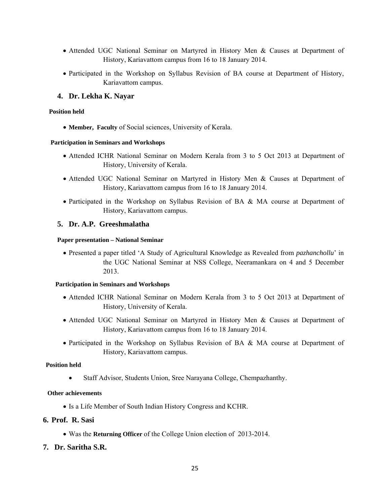- Attended UGC National Seminar on Martyred in History Men & Causes at Department of History, Kariavattom campus from 16 to 18 January 2014.
- Participated in the Workshop on Syllabus Revision of BA course at Department of History, Kariavattom campus.

#### **4. Dr. Lekha K. Nayar**

#### **Position held**

• **Member, Faculty** of Social sciences, University of Kerala.

#### **Participation in Seminars and Workshops**

- Attended ICHR National Seminar on Modern Kerala from 3 to 5 Oct 2013 at Department of History, University of Kerala.
- Attended UGC National Seminar on Martyred in History Men & Causes at Department of History, Kariavattom campus from 16 to 18 January 2014.
- Participated in the Workshop on Syllabus Revision of BA & MA course at Department of History, Kariavattom campus.

#### **5. Dr. A.P. Greeshmalatha**

#### **Paper presentation – National Seminar**

• Presented a paper titled 'A Study of Agricultural Knowledge as Revealed from *pazhanchollu*' in the UGC National Seminar at NSS College, Neeramankara on 4 and 5 December 2013.

#### **Participation in Seminars and Workshops**

- Attended ICHR National Seminar on Modern Kerala from 3 to 5 Oct 2013 at Department of History, University of Kerala.
- Attended UGC National Seminar on Martyred in History Men & Causes at Department of History, Kariavattom campus from 16 to 18 January 2014.
- Participated in the Workshop on Syllabus Revision of BA & MA course at Department of History, Kariavattom campus.

#### **Position held**

•Staff Advisor, Students Union, Sree Narayana College, Chempazhanthy.

#### **Other achievements**

• Is a Life Member of South Indian History Congress and KCHR.

### **6. Prof. R. Sasi**

- Was the **Returning Officer** of the College Union election of 2013-2014.
- **7. Dr. Saritha S.R.**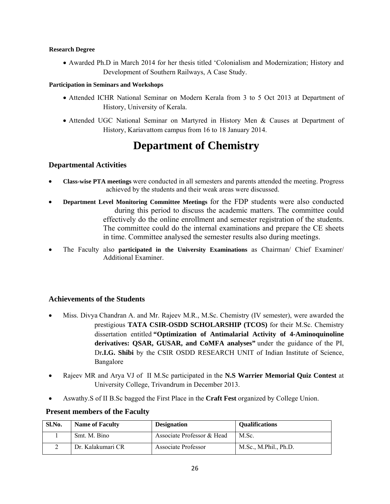#### **Research Degree**

• Awarded Ph.D in March 2014 for her thesis titled 'Colonialism and Modernization; History and Development of Southern Railways, A Case Study.

#### **Participation in Seminars and Workshops**

- Attended ICHR National Seminar on Modern Kerala from 3 to 5 Oct 2013 at Department of History, University of Kerala.
- Attended UGC National Seminar on Martyred in History Men & Causes at Department of History, Kariavattom campus from 16 to 18 January 2014.

## **Department of Chemistry**

### **Departmental Activities**

- **Class-wise PTA meetings** were conducted in all semesters and parents attended the meeting. Progress achieved by the students and their weak areas were discussed.
- **Department Level Monitoring Committee Meetings** for the FDP students were also conducted during this period to discuss the academic matters. The committee could effectively do the online enrollment and semester registration of the students. The committee could do the internal examinations and prepare the CE sheets in time. Committee analysed the semester results also during meetings.
- The Faculty also **participated in the University Examinations** as Chairman/ Chief Examiner/ Additional Examiner.

### **Achievements of the Students**

- Miss. Divya Chandran A. and Mr. Rajeev M.R., M.Sc. Chemistry (IV semester), were awarded the prestigious **TATA CSIR-OSDD SCHOLARSHIP (TCOS)** for their M.Sc. Chemistry dissertation entitled **"Optimization of Antimalarial Activity of 4-Aminoquinoline derivatives: QSAR, GUSAR, and CoMFA analyses"** under the guidance of the PI, Dr**.I.G. Shibi** by the CSIR OSDD RESEARCH UNIT of Indian Institute of Science, Bangalore
- Rajeev MR and Arya VJ of II M.Sc participated in the **N.S Warrier Memorial Quiz Contest** at University College, Trivandrum in December 2013.
- Aswathy.S of II B.Sc bagged the First Place in the **Craft Fest** organized by College Union.

#### **Present members of the Faculty**

| Sl.No. | <b>Name of Faculty</b> | <b>Designation</b>         | <b>Oualifications</b> |
|--------|------------------------|----------------------------|-----------------------|
|        | Smt. M. Bino           | Associate Professor & Head | M.Sc.                 |
|        | Dr. Kalakumari CR      | Associate Professor        | M.Sc., M.Phil., Ph.D. |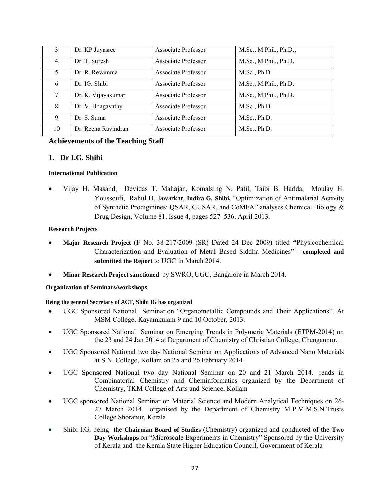| 3      | Dr. KP Jayasree     | Associate Professor        | M.Sc., M.Phil., Ph.D., |
|--------|---------------------|----------------------------|------------------------|
| 4      | Dr. T. Suresh       | <b>Associate Professor</b> | M.Sc., M.Phil., Ph.D.  |
| 5.     | Dr. R. Revamma      | <b>Associate Professor</b> | M.Sc., Ph.D.           |
| 6      | Dr. IG. Shibi       | Associate Professor        | M.Sc., M.Phil., Ph.D.  |
| $\tau$ | Dr. K. Vijayakumar  | <b>Associate Professor</b> | M.Sc., M.Phil., Ph.D.  |
| 8      | Dr. V. Bhagavathy   | Associate Professor        | M.Sc., Ph.D.           |
| 9      | Dr. S. Suma         | Associate Professor        | M.Sc., Ph.D.           |
| 10     | Dr. Reena Ravindran | <b>Associate Professor</b> | M.Sc., Ph.D.           |

## **Achievements of the Teaching Staff**

#### **1. Dr I.G. Shibi**

#### **International Publication**

• Vijay H. Masand, Devidas T. Mahajan, Komalsing N. Patil, Taibi B. Hadda, Moulay H. Youssoufi, Rahul D. Jawarkar, **Indira G. Shibi,** "Optimization of Antimalarial Activity of Synthetic Prodiginines: QSAR, GUSAR, and CoMFA" analyses Chemical Biology & Drug Design, Volume 81, Issue 4, pages 527–536, April 2013.

#### **Research Projects**

- **Major Research Project** (F No. 38-217/2009 (SR) Dated 24 Dec 2009) titled **"**Physicochemical Characterization and Evaluation of Metal Based Siddha Medicines" - **completed and submitted the Report** to UGC in March 2014.
- **Minor Research Project sanctioned** by SWRO, UGC, Bangalore in March 2014.

#### **Organization of Seminars/workshops**

#### **Being the general Secretary of ACT, Shibi IG has organized**

- UGC Sponsored National Seminar on "Organometallic Compounds and Their Applications". At MSM College, Kayamkulam 9 and 10 October, 2013.
- UGC Sponsored National Seminar on Emerging Trends in Polymeric Materials (ETPM-2014) on the 23 and 24 Jan 2014 at Department of Chemistry of Christian College, Chengannur.
- UGC Sponsored National two day National Seminar on Applications of Advanced Nano Materials at S.N. College, Kollam on 25 and 26 February 2014
- UGC Sponsored National two day National Seminar on 20 and 21 March 2014. rends in Combinatorial Chemistry and Cheminformatics organized by the Department of Chemistry, TKM College of Arts and Science, Kollam
- UGC sponsored National Seminar on Material Science and Modern Analytical Techniques on 26- 27 March 2014 organised by the Department of Chemistry M.P.M.M.S.N.Trusts College Shoranur, Kerala
- Shibi I.G**.** being the **Chairman Board of Studies** (Chemistry) organized and conducted of the **Two Day Workshops** on "Microscale Experiments in Chemistry" Sponsored by the University of Kerala and the Kerala State Higher Education Council, Government of Kerala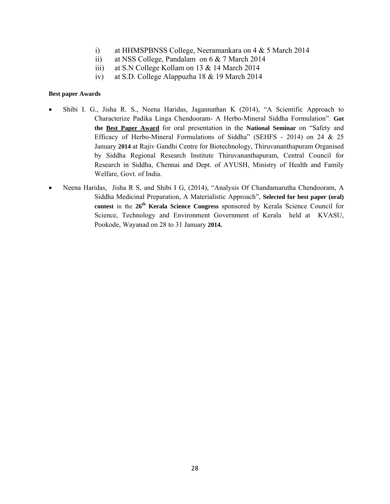- i) at HHMSPBNSS College, Neeramankara on 4 & 5 March 2014
- ii) at NSS College, Pandalam on 6 & 7 March 2014
- iii) at S.N College Kollam on 13 & 14 March 2014
- iv) at S.D. College Alappuzha 18 & 19 March 2014

#### **Best paper Awards**

- Shibi I. G., Jisha R. S., Neena Haridas, Jagannathan K (2014), "A Scientific Approach to Characterize Padika Linga Chendooram- A Herbo-Mineral Siddha Formulation". **Got the Best Paper Award** for oral presentation in the **National Seminar** on "Safety and Efficacy of Herbo-Mineral Formulations of Siddha" (SEHFS - 2014) on 24 & 25 January **2014** at Rajiv Gandhi Centre for Biotechnology, Thiruvananthapuram Organised by Siddha Regional Research Institute Thiruvananthapuram, Central Council for Research in Siddha, Chennai and Dept. of AYUSH, Ministry of Health and Family Welfare, Govt. of India.
- Neena Haridas, Jisha R S, and Shibi I G, (2014), "Analysis Of Chandamarutha Chendooram, A Siddha Medicinal Preparation, A Materialistic Approach", **Selected for best paper (oral) contest** in the **26th Kerala Science Congress** sponsored by Kerala Science Council for Science, Technology and Environment Government of Kerala held at KVASU, Pookode, Wayanad on 28 to 31 January **2014.**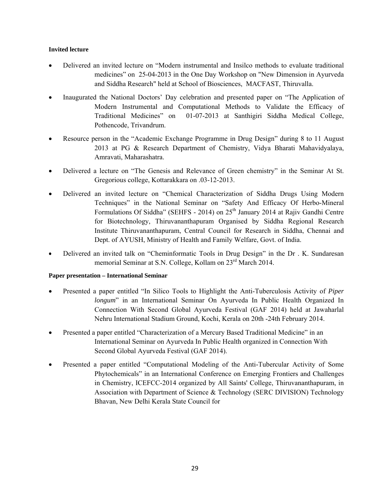#### **Invited lecture**

- Delivered an invited lecture on "Modern instrumental and Insilco methods to evaluate traditional medicines" on 25-04-2013 in the One Day Workshop on "New Dimension in Ayurveda and Siddha Research" held at School of Biosciences, MACFAST, Thiruvalla.
- Inaugurated the National Doctors' Day celebration and presented paper on "The Application of Modern Instrumental and Computational Methods to Validate the Efficacy of Traditional Medicines" on 01-07-2013 at Santhigiri Siddha Medical College, Pothencode, Trivandrum.
- Resource person in the "Academic Exchange Programme in Drug Design" during 8 to 11 August 2013 at PG & Research Department of Chemistry, Vidya Bharati Mahavidyalaya, Amravati, Maharashatra.
- Delivered a lecture on "The Genesis and Relevance of Green chemistry" in the Seminar At St. Gregorious college, Kottarakkara on .03-12-2013.
- Delivered an invited lecture on "Chemical Characterization of Siddha Drugs Using Modern Techniques" in the National Seminar on "Safety And Efficacy Of Herbo-Mineral Formulations Of Siddha" (SEHFS - 2014) on 25<sup>th</sup> January 2014 at Rajiv Gandhi Centre for Biotechnology, Thiruvananthapuram Organised by Siddha Regional Research Institute Thiruvananthapuram, Central Council for Research in Siddha, Chennai and Dept. of AYUSH, Ministry of Health and Family Welfare, Govt. of India.
- Delivered an invited talk on "Cheminformatic Tools in Drug Design" in the Dr . K. Sundaresan memorial Seminar at S.N. College, Kollam on 23<sup>rd</sup> March 2014.

#### **Paper presentation – International Seminar**

- Presented a paper entitled "In Silico Tools to Highlight the Anti-Tuberculosis Activity of *Piper longum*" in an International Seminar On Ayurveda In Public Health Organized In Connection With Second Global Ayurveda Festival (GAF 2014) held at Jawaharlal Nehru International Stadium Ground, Kochi, Kerala on 20th -24th February 2014.
- Presented a paper entitled "Characterization of a Mercury Based Traditional Medicine" in an International Seminar on Ayurveda In Public Health organized in Connection With Second Global Ayurveda Festival (GAF 2014).
- Presented a paper entitled "Computational Modeling of the Anti-Tubercular Activity of Some Phytochemicals" in an International Conference on Emerging Frontiers and Challenges in Chemistry, ICEFCC-2014 organized by All Saints' College, Thiruvananthapuram, in Association with Department of Science & Technology (SERC DIVISION) Technology Bhavan, New Delhi Kerala State Council for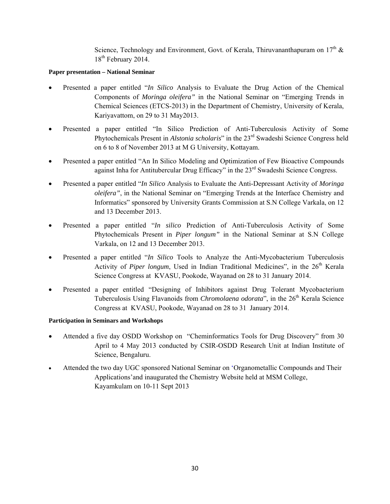Science, Technology and Environment, Govt. of Kerala, Thiruvananthapuram on  $17<sup>th</sup>$  &  $18^{th}$  February 2014.

#### **Paper presentation – National Seminar**

- Presented a paper entitled "*In Silico* Analysis to Evaluate the Drug Action of the Chemical Components of *Moringa oleifera"* in the National Seminar on "Emerging Trends in Chemical Sciences (ETCS-2013) in the Department of Chemistry, University of Kerala, Kariyavattom, on 29 to 31 May2013.
- Presented a paper entitled "In Silico Prediction of Anti-Tuberculosis Activity of Some Phytochemicals Present in *Alstonia scholaris*" in the 23rd Swadeshi Science Congress held on 6 to 8 of November 2013 at M G University, Kottayam.
- Presented a paper entitled "An In Silico Modeling and Optimization of Few Bioactive Compounds against Inha for Antitubercular Drug Efficacy" in the 23rd Swadeshi Science Congress.
- Presented a paper entitled "*In Silico* Analysis to Evaluate the Anti-Depressant Activity of *Moringa oleifera"*, in the National Seminar on "Emerging Trends at the Interface Chemistry and Informatics" sponsored by University Grants Commission at S.N College Varkala, on 12 and 13 December 2013.
- Presented a paper entitled "*In silico* Prediction of Anti-Tuberculosis Activity of Some Phytochemicals Present in *Piper longum"* in the National Seminar at S.N College Varkala, on 12 and 13 December 2013.
- Presented a paper entitled "*In Silico* Tools to Analyze the Anti-Mycobacterium Tuberculosis Activity of *Piper longum*, Used in Indian Traditional Medicines", in the 26<sup>th</sup> Kerala Science Congress at KVASU, Pookode, Wayanad on 28 to 31 January 2014.
- Presented a paper entitled "Designing of Inhibitors against Drug Tolerant Mycobacterium Tuberculosis Using Flavanoids from *Chromolaena odorata*", in the 26<sup>th</sup> Kerala Science Congress at KVASU, Pookode, Wayanad on 28 to 31 January 2014.

#### **Participation in Seminars and Workshops**

- Attended a five day OSDD Workshop on "Cheminformatics Tools for Drug Discovery" from 30 April to 4 May 2013 conducted by CSIR-OSDD Research Unit at Indian Institute of Science, Bengaluru.
- Attended the two day UGC sponsored National Seminar on 'Organometallic Compounds and Their Applications'and inaugurated the Chemistry Website held at MSM College, Kayamkulam on 10-11 Sept 2013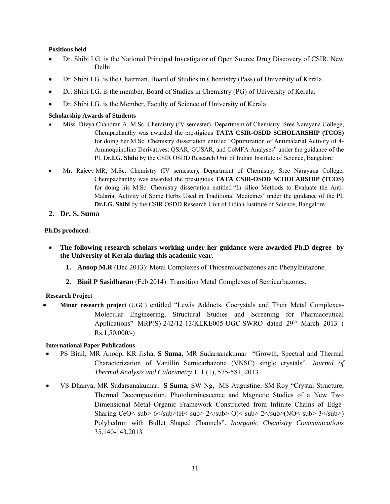#### **Positions held**

- Dr. Shibi I.G. is the National Principal Investigator of Open Source Drug Discovery of CSIR, New Delhi.
- Dr. Shibi I.G. is the Chairman, Board of Studies in Chemistry (Pass) of University of Kerala.
- Dr. Shibi I.G. is the member, Board of Studies in Chemistry (PG) of University of Kerala.
- Dr. Shibi I.G. is the Member, Faculty of Science of University of Kerala.

#### **Scholarship Awards of Students**

- Miss. Divya Chandran A, M.Sc. Chemistry (IV semester), Department of Chemistry, Sree Narayana College, Chempazhanthy was awarded the prestigious **TATA CSIR-OSDD SCHOLARSHIP (TCOS)** for doing her M.Sc. Chemistry dissertation entitled "Optimization of Antimalarial Activity of 4- Aminoquinoline Derivatives: QSAR, GUSAR, and CoMFA Analyses" under the guidance of the PI, Dr**.I.G. Shibi** by the CSIR OSDD Research Unit of Indian Institute of Science, Bangalore
- Mr. Rajeev MR, M.Sc. Chemistry (IV semester), Department of Chemistry, Sree Narayana College, Chempazhanthy was awarded the prestigious **TATA CSIR-OSDD SCHOLARSHIP (TCOS)** for doing his M.Sc. Chemistry dissertation entitled "In silico Methods to Evaluate the Anti-Malarial Activity of Some Herbs Used in Traditional Medicines" under the guidance of the PI, **Dr.I.G. Shibi** by the CSIR OSDD Research Unit of Indian Institute of Science, Bangalore
- **2. Dr. S. Suma**

#### **Ph.Ds produced:**

- **The following research scholars working under her guidance were awarded Ph.D degree by the University of Kerala during this academic year.** 
	- **1. Anoop M.R** (Dec 2013): Metal Complexes of Thiosemicarbazones and Phenylbutazone.
	- **2. Binil P Sasidharan** (Feb 2014): Transition Metal Complexes of Semicarbazones.

#### **Research Project**

• **Minor research project** (UGC) entitled "Lewis Adducts, Cocrystals and Their Metal Complexes-Molecular Engineering, Structural Studies and Screening for Pharmaceutical Applications" MRP(S)-242/12-13/KLKE005-UGC-SWRO dated  $29<sup>th</sup>$  March 2013 ( Rs.1,50,000/-)

#### **International Paper Publications**

- PS Binil, MR Anoop, KR Jisha, **S Suma**, MR Sudarsanakumar ["Growth, Spectral and Thermal](http://scholar.google.co.in/citations?view_op=view_citation&hl=en&user=LdcrpooAAAAJ&citation_for_view=LdcrpooAAAAJ:roLk4NBRz8UC)  [Characterization of Vanillin Semicarbazone \(VNSC\) single crystals"](http://scholar.google.co.in/citations?view_op=view_citation&hl=en&user=LdcrpooAAAAJ&citation_for_view=LdcrpooAAAAJ:roLk4NBRz8UC). *Journal of Thermal Analysis and Calorimetry* 111 (1), 575-581, 2013
- VS Dhanya, MR Sudarsanakumar, **S Suma**, SW Ng, MS Augustine, SM Roy ["Crystal Structure,](http://scholar.google.co.in/citations?view_op=view_citation&hl=en&user=LdcrpooAAAAJ&cstart=20&citation_for_view=LdcrpooAAAAJ:Wp0gIr-vW9MC)  [Thermal Decomposition, Photoluminescence and Magnetic Studies of a New Two](http://scholar.google.co.in/citations?view_op=view_citation&hl=en&user=LdcrpooAAAAJ&cstart=20&citation_for_view=LdcrpooAAAAJ:Wp0gIr-vW9MC)  [Dimensional Metal–Organic Framework Constructed from Infinite Chains of Edge-](http://scholar.google.co.in/citations?view_op=view_citation&hl=en&user=LdcrpooAAAAJ&cstart=20&citation_for_view=LdcrpooAAAAJ:Wp0gIr-vW9MC)Sharing CeO< sub>  $6$ </sub>(H< sub>  $2$ </sub> O)< sub>  $2$ </sub>(NO< sub>  $3$ </sub>) [Polyhedron with Bullet Shaped Channels"](http://scholar.google.co.in/citations?view_op=view_citation&hl=en&user=LdcrpooAAAAJ&cstart=20&citation_for_view=LdcrpooAAAAJ:Wp0gIr-vW9MC). *Inorganic Chemistry Communications* 35,140-143,2013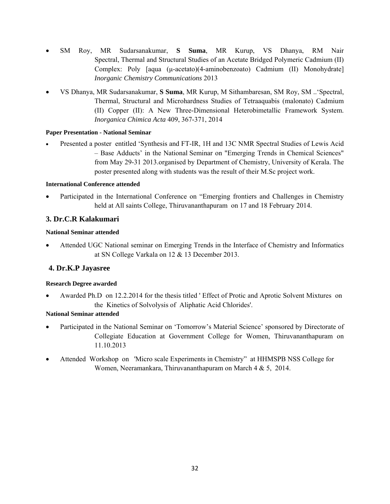- SM Roy, MR Sudarsanakumar, **S Suma**, MR Kurup, VS Dhanya, RM Nair [Spectral, Thermal and Structural Studies of an Acetate Bridged Polymeric Cadmium \(II\)](http://scholar.google.co.in/citations?view_op=view_citation&hl=en&user=LdcrpooAAAAJ&cstart=20&citation_for_view=LdcrpooAAAAJ:9ZlFYXVOiuMC)  Complex: Poly [aqua (μ[-acetato\)\(4-aminobenzoato\) Cadmium \(II\) Monohydrate\]](http://scholar.google.co.in/citations?view_op=view_citation&hl=en&user=LdcrpooAAAAJ&cstart=20&citation_for_view=LdcrpooAAAAJ:9ZlFYXVOiuMC) *Inorganic Chemistry Communications* 2013
- VS Dhanya, MR Sudarsanakumar, **S Suma**, MR Kurup, M Sithambaresan, SM Roy, SM ..['Spectral,](http://scholar.google.co.in/citations?view_op=view_citation&hl=en&user=LdcrpooAAAAJ&cstart=20&citation_for_view=LdcrpooAAAAJ:mVmsd5A6BfQC)  [Thermal, Structural and Microhardness Studies of Tetraaquabis \(malonato\) Cadmium](http://scholar.google.co.in/citations?view_op=view_citation&hl=en&user=LdcrpooAAAAJ&cstart=20&citation_for_view=LdcrpooAAAAJ:mVmsd5A6BfQC)  [\(II\) Copper \(II\): A New Three-Dimensional Heterobimetallic Framework System](http://scholar.google.co.in/citations?view_op=view_citation&hl=en&user=LdcrpooAAAAJ&cstart=20&citation_for_view=LdcrpooAAAAJ:mVmsd5A6BfQC). *Inorganica Chimica Acta* 409, 367-371, 2014

#### **Paper Presentation - National Seminar**

• Presented a poster entitled 'Synthesis and FT-IR, 1H and 13C NMR Spectral Studies of Lewis Acid – Base Adducts' in the National Seminar on "Emerging Trends in Chemical Sciences" from May 29-31 2013.organised by Department of Chemistry, University of Kerala. The poster presented along with students was the result of their M.Sc project work.

#### **International Conference attended**

• Participated in the International Conference on "Emerging frontiers and Challenges in Chemistry held at All saints College, Thiruvananthapuram on 17 and 18 February 2014.

## **3. Dr.C.R Kalakumari**

#### **National Seminar attended**

• Attended UGC National seminar on Emerging Trends in the Interface of Chemistry and Informatics at SN College Varkala on 12 & 13 December 2013.

## **4. Dr.K.P Jayasree**

#### **Research Degree awarded**

• Awarded Ph.D on 12.2.2014 for the thesis titled ' Effect of Protic and Aprotic Solvent Mixtures on the Kinetics of Solvolysis of Aliphatic Acid Chlorides'.

#### **National Seminar attended**

- Participated in the National Seminar on 'Tomorrow's Material Science' sponsored by Directorate of Collegiate Education at Government College for Women, Thiruvananthapuram on 11.10.2013
- Attended Workshop on 'Micro scale Experiments in Chemistry'' at HHMSPB NSS College for Women, Neeramankara, Thiruvananthapuram on March 4 & 5, 2014.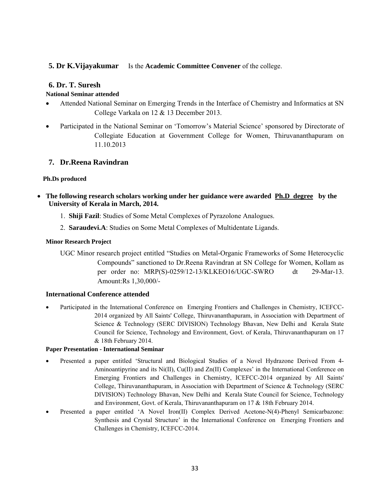### **5. Dr K.Vijayakumar** Is the **Academic Committee Convener** of the college.

#### **6. Dr. T. Suresh**

#### **National Seminar attended**

- Attended National Seminar on Emerging Trends in the Interface of Chemistry and Informatics at SN College Varkala on 12 & 13 December 2013.
- Participated in the National Seminar on 'Tomorrow's Material Science' sponsored by Directorate of Collegiate Education at Government College for Women, Thiruvananthapuram on 11.10.2013

### **7. Dr.Reena Ravindran**

#### **Ph.Ds produced**

- **The following research scholars working under her guidance were awarded Ph.D degree by the University of Kerala in March, 2014.** 
	- 1. **Shiji Fazil**: Studies of Some Metal Complexes of Pyrazolone Analogues.
	- 2. **Saraudevi.A**: Studies on Some Metal Complexes of Multidentate Ligands.

#### **Minor Research Project**

UGC Minor research project entitled "Studies on Metal-Organic Frameworks of Some Heterocyclic Compounds" sanctioned to Dr.Reena Ravindran at SN College for Women, Kollam as per order no: MRP(S)-0259/12-13/KLKEO16/UGC-SWRO dt 29-Mar-13. Amount:Rs 1,30,000/-

#### **International Conference attended**

• Participated in the International Conference on Emerging Frontiers and Challenges in Chemistry, ICEFCC-2014 organized by All Saints' College, Thiruvananthapuram, in Association with Department of Science & Technology (SERC DIVISION) Technology Bhavan, New Delhi and Kerala State Council for Science, Technology and Environment, Govt. of Kerala, Thiruvananthapuram on 17 & 18th February 2014.

#### **Paper Presentation - International Seminar**

- Presented a paper entitled 'Structural and Biological Studies of a Novel Hydrazone Derived From 4- Aminoantipyrine and its Ni(II), Cu(II) and Zn(II) Complexes' in the International Conference on Emerging Frontiers and Challenges in Chemistry, ICEFCC-2014 organized by All Saints' College, Thiruvananthapuram, in Association with Department of Science & Technology (SERC DIVISION) Technology Bhavan, New Delhi and Kerala State Council for Science, Technology and Environment, Govt. of Kerala, Thiruvananthapuram on 17 & 18th February 2014.
- Presented a paper entitled 'A Novel Iron(II) Complex Derived Acetone-N(4)-Phenyl Semicarbazone: Synthesis and Crystal Structure' in the International Conference on Emerging Frontiers and Challenges in Chemistry, ICEFCC-2014.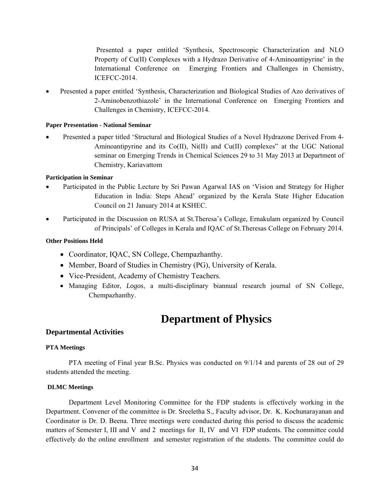Presented a paper entitled 'Synthesis, Spectroscopic Characterization and NLO Property of Cu(II) Complexes with a Hydrazo Derivative of 4-Aminoantipyrine' in the International Conference on Emerging Frontiers and Challenges in Chemistry, ICEFCC-2014.

• Presented a paper entitled 'Synthesis, Characterization and Biological Studies of Azo derivatives of 2-Aminobenzothiazole' in the International Conference on Emerging Frontiers and Challenges in Chemistry, ICEFCC-2014.

#### **Paper Presentation - National Seminar**

• Presented a paper titled 'Structural and Biological Studies of a Novel Hydrazone Derived From 4- Aminoantipyrine and its  $Co(II)$ ,  $Ni(II)$  and  $Cu(II)$  complexes" at the UGC National seminar on Emerging Trends in Chemical Sciences 29 to 31 May 2013 at Department of Chemistry, Kariavattom

#### **Participation in Seminar**

- Participated in the Public Lecture by Sri Pawan Agarwal IAS on 'Vision and Strategy for Higher Education in India: Steps Ahead' organized by the Kerala State Higher Education Council on 21 January 2014 at KSHEC.
- Participated in the Discussion on RUSA at St.Theresa's College, Ernakulam organized by Council of Principals' of Colleges in Kerala and IQAC of St.Theresas College on February 2014.

#### **Other Positions Held**

- Coordinator, IQAC, SN College, Chempazhanthy.
- Member, Board of Studies in Chemistry (PG), University of Kerala.
- Vice-President, Academy of Chemistry Teachers.
- Managing Editor, *Logos*, a multi-disciplinary biannual research journal of SN College, Chempazhanthy.

## **Department of Physics**

#### **Departmental Activities**

#### **PTA Meetings**

PTA meeting of Final year B.Sc. Physics was conducted on 9/1/14 and parents of 28 out of 29 students attended the meeting.

#### **DLMC Meetings**

Department Level Monitoring Committee for the FDP students is effectively working in the Department. Convener of the committee is Dr. Sreeletha S., Faculty advisor, Dr. K. Kochunarayanan and Coordinator is Dr. D. Beena. Three meetings were conducted during this period to discuss the academic matters of Semester I, III and V and 2 meetings for II, IV and VI FDP students. The committee could effectively do the online enrollment and semester registration of the students. The committee could do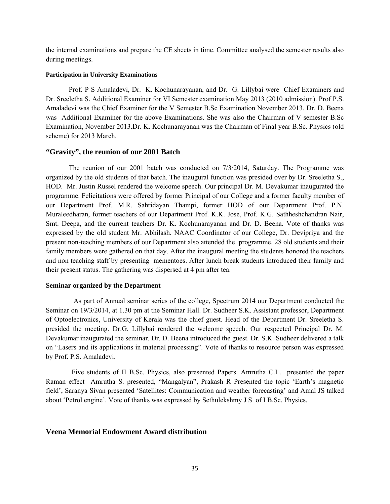the internal examinations and prepare the CE sheets in time. Committee analysed the semester results also during meetings.

#### **Participation in University Examinations**

 Prof. P S Amaladevi, Dr. K. Kochunarayanan, and Dr. G. Lillybai were Chief Examiners and Dr. Sreeletha S. Additional Examiner for VI Semester examination May 2013 (2010 admission). Prof P.S. Amaladevi was the Chief Examiner for the V Semester B.Sc Examination November 2013. Dr. D. Beena was Additional Examiner for the above Examinations. She was also the Chairman of V semester B.Sc Examination, November 2013.Dr. K. Kochunarayanan was the Chairman of Final year B.Sc. Physics (old scheme) for 2013 March.

#### **"Gravity", the reunion of our 2001 Batch**

The reunion of our 2001 batch was conducted on 7/3/2014, Saturday. The Programme was organized by the old students of that batch. The inaugural function was presided over by Dr. Sreeletha S., HOD. Mr. Justin Russel rendered the welcome speech. Our principal Dr. M. Devakumar inaugurated the programme. Felicitations were offered by former Principal of our College and a former faculty member of our Department Prof. M.R. Sahridayan Thampi, former HOD of our Department Prof. P.N. Muraleedharan, former teachers of our Department Prof. K.K. Jose, Prof. K.G. Sathheshchandran Nair, Smt. Deepa, and the current teachers Dr. K. Kochunarayanan and Dr. D. Beena. Vote of thanks was expressed by the old student Mr. Abhilash. NAAC Coordinator of our College, Dr. Devipriya and the present non-teaching members of our Department also attended the programme. 28 old students and their family members were gathered on that day. After the inaugural meeting the students honored the teachers and non teaching staff by presenting mementoes. After lunch break students introduced their family and their present status. The gathering was dispersed at 4 pm after tea.

#### **Seminar organized by the Department**

As part of Annual seminar series of the college, Spectrum 2014 our Department conducted the Seminar on 19/3/2014, at 1.30 pm at the Seminar Hall. Dr. Sudheer S.K. Assistant professor, Department of Optoelectronics, University of Kerala was the chief guest. Head of the Department Dr. Sreeletha S. presided the meeting. Dr.G. Lillybai rendered the welcome speech. Our respected Principal Dr. M. Devakumar inaugurated the seminar. Dr. D. Beena introduced the guest. Dr. S.K. Sudheer delivered a talk on "Lasers and its applications in material processing". Vote of thanks to resource person was expressed by Prof. P.S. Amaladevi.

Five students of II B.Sc. Physics, also presented Papers. Amrutha C.L. presented the paper Raman effect Amrutha S. presented, "Mangalyan", Prakash R Presented the topic 'Earth's magnetic field', Saranya Sivan presented 'Satellites: Communication and weather forecasting' and Amal JS talked about 'Petrol engine'. Vote of thanks was expressed by Sethulekshmy J S of I B.Sc. Physics.

#### **Veena Memorial Endowment Award distribution**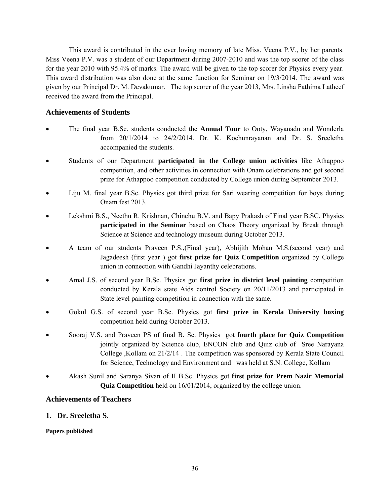This award is contributed in the ever loving memory of late Miss. Veena P.V., by her parents. Miss Veena P.V. was a student of our Department during 2007-2010 and was the top scorer of the class for the year 2010 with 95.4% of marks. The award will be given to the top scorer for Physics every year. This award distribution was also done at the same function for Seminar on 19/3/2014. The award was given by our Principal Dr. M. Devakumar. The top scorer of the year 2013, Mrs. Linsha Fathima Latheef received the award from the Principal.

### **Achievements of Students**

- The final year B.Sc. students conducted the **Annual Tour** to Ooty, Wayanadu and Wonderla from 20/1/2014 to 24/2/2014. Dr. K. Kochunrayanan and Dr. S. Sreeletha accompanied the students.
- Students of our Department **participated in the College union activities** like Athappoo competition, and other activities in connection with Onam celebrations and got second prize for Athappoo competition conducted by College union during September 2013.
- Liju M. final year B.Sc. Physics got third prize for Sari wearing competition for boys during Onam fest 2013.
- Lekshmi B.S., Neethu R. Krishnan, Chinchu B.V. and Bapy Prakash of Final year B.SC. Physics **participated in the Seminar** based on Chaos Theory organized by Break through Science at Science and technology museum during October 2013.
- A team of our students Praveen P.S.,(Final year), Abhijith Mohan M.S.(second year) and Jagadeesh (first year ) got **first prize for Quiz Competition** organized by College union in connection with Gandhi Jayanthy celebrations.
- Amal J.S. of second year B.Sc. Physics got **first prize in district level painting** competition conducted by Kerala state Aids control Society on 20/11/2013 and participated in State level painting competition in connection with the same.
- Gokul G.S. of second year B.Sc. Physics got **first prize in Kerala University boxing** competition held during October 2013.
- Sooraj V.S. and Praveen PS of final B. Sc. Physics got **fourth place for Quiz Competition**  jointly organized by Science club, ENCON club and Quiz club of Sree Narayana College ,Kollam on 21/2/14 . The competition was sponsored by Kerala State Council for Science, Technology and Environment and was held at S.N. College, Kollam
- Akash Sunil and Saranya Sivan of II B.Sc. Physics got **first prize for Prem Nazir Memorial Quiz Competition** held on 16/01/2014, organized by the college union.

#### **Achievements of Teachers**

#### **1. Dr. Sreeletha S.**

#### **Papers published**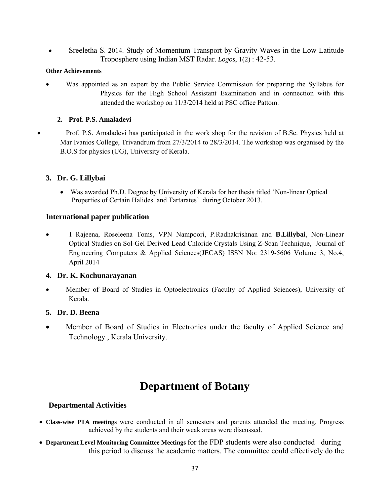• Sreeletha S. 2014. Study of Momentum Transport by Gravity Waves in the Low Latitude Troposphere using Indian MST Radar. *Logos*, 1(2) : 42-53.

#### **Other Achievements**

Was appointed as an expert by the Public Service Commission for preparing the Syllabus for Physics for the High School Assistant Examination and in connection with this attended the workshop on 11/3/2014 held at PSC office Pattom.

### **2. Prof. P.S. Amaladevi**

• Prof. P.S. Amaladevi has participated in the work shop for the revision of B.Sc. Physics held at Mar Ivanios College, Trivandrum from 27/3/2014 to 28/3/2014. The workshop was organised by the B.O.S for physics (UG), University of Kerala.

## **3. Dr. G. Lillybai**

• Was awarded Ph.D. Degree by University of Kerala for her thesis titled 'Non-linear Optical Properties of Certain Halides and Tartarates' during October 2013.

### **International paper publication**

• I Rajeena, Roseleena Toms, VPN Nampoori, P.Radhakrishnan and **B.Lillybai**, Non-Linear Optical Studies on Sol-Gel Derived Lead Chloride Crystals Using Z-Scan Technique, Journal of Engineering Computers & Applied Sciences(JECAS) ISSN No: 2319-5606 Volume 3, No.4, April 2014

### **4. Dr. K. Kochunarayanan**

• Member of Board of Studies in Optoelectronics (Faculty of Applied Sciences), University of Kerala.

### **5. Dr. D. Beena**

• Member of Board of Studies in Electronics under the faculty of Applied Science and Technology , Kerala University.

# **Department of Botany**

### **Departmental Activities**

- **Class-wise PTA meetings** were conducted in all semesters and parents attended the meeting. Progress achieved by the students and their weak areas were discussed.
- **Department Level Monitoring Committee Meetings** for the FDP students were also conducted during this period to discuss the academic matters. The committee could effectively do the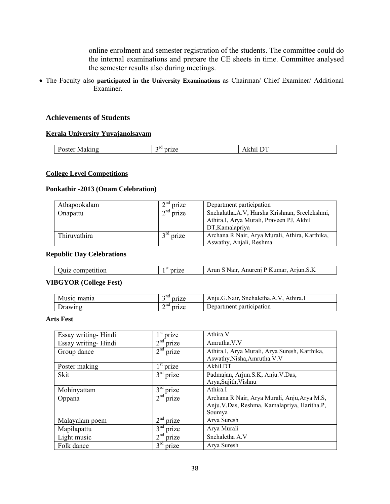online enrolment and semester registration of the students. The committee could do the internal examinations and prepare the CE sheets in time. Committee analysed the semester results also during meetings.

• The Faculty also **participated in the University Examinations** as Chairman/ Chief Examiner/ Additional Examiner.

#### **Achievements of Students**

#### **Kerala University Yuvajanolsavam**

| - | าเน<br>- | ш<br>. | $\overline{ }$<br>- - |
|---|----------|--------|-----------------------|
|   |          |        |                       |

#### **College Level Competitions**

#### **Ponkathir -2013 (Onam Celebration)**

| Athapookalam | $2nd$ prize | Department participation                       |
|--------------|-------------|------------------------------------------------|
| Onapattu     | $2nd$ prize | Snehalatha.A.V, Harsha Krishnan, Sreelekshmi,  |
|              |             | Athira.I, Arya Murali, Praveen PJ, Akhil       |
|              |             | DT.Kamalapriva                                 |
| Thiruvathira | $3rd$ prize | Archana R Nair, Arya Murali, Athira, Karthika, |
|              |             | Aswathy, Anjali, Reshma                        |

#### **Republic Day Celebrations**

| Juiz<br><sup>,</sup> competition | Arjun.S.K<br>P Kumar.<br>, Nair-<br>Anureni<br>Arun |
|----------------------------------|-----------------------------------------------------|
|----------------------------------|-----------------------------------------------------|

#### **VIBGYOR (College Fest)**

| Musiq mania | $\gamma$ nd<br>-            | prize | Anju.G.Nair, Snehaletha.A.V.<br>Athira.1 |
|-------------|-----------------------------|-------|------------------------------------------|
| Drawing     | $\boldsymbol{\sim}$ nd<br>∸ | prize | Department participation                 |

#### **Arts Fest**

| Essay writing-Hindi | <sup>st</sup> prize      | Athira.V                                                                                               |
|---------------------|--------------------------|--------------------------------------------------------------------------------------------------------|
| Essay writing-Hindi | 2 <sup>nd</sup><br>prize | Amrutha.V.V                                                                                            |
| Group dance         | 2 <sup>nd</sup><br>prize | Athira.I, Arya Murali, Arya Suresh, Karthika,<br>Aswathy, Nisha, Amrutha. V.V                          |
| Poster making       | $1st$ prize              | Akhil.DT                                                                                               |
| <b>Skit</b>         | $3rd$ prize              | Padmajan, Arjun.S.K, Anju.V.Das,<br>Arya, Sujith, Vishnu                                               |
| Mohinyattam         | $3^{\text{rd}}$<br>prize | Athira <sub>.I</sub>                                                                                   |
| Oppana              | 2 <sup>nd</sup><br>prize | Archana R Nair, Arya Murali, Anju, Arya M.S,<br>Anju. V.Das, Reshma, Kamalapriya, Haritha.P,<br>Soumya |
| Malayalam poem      | 2 <sup>nd</sup><br>prize | Arya Suresh                                                                                            |
| Mapilapattu         | 3 <sup>nd</sup><br>prize | Arya Murali                                                                                            |
| Light music         | 2 <sup>nd</sup><br>prize | Snehaletha A.V                                                                                         |
| Folk dance          | $3^{\text{rd}}$<br>prize | Arya Suresh                                                                                            |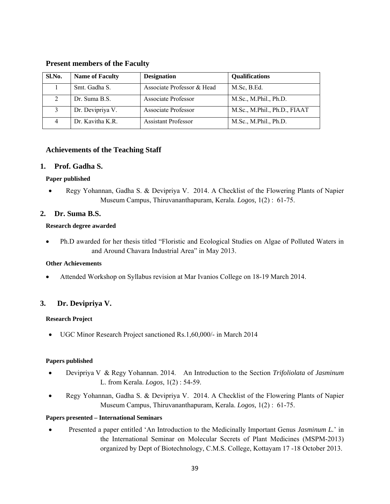#### **Present members of the Faculty**

| Sl.No. | <b>Name of Faculty</b> | <b>Designation</b>         | Qualifications               |
|--------|------------------------|----------------------------|------------------------------|
|        | Smt. Gadha S.          | Associate Professor & Head | M.Sc, B.Ed.                  |
|        | Dr. Suma B.S.          | Associate Professor        | M.Sc., M.Phil., Ph.D.        |
|        | Dr. Devipriya V.       | Associate Professor        | M.Sc., M.Phil., Ph.D., FIAAT |
|        | Dr. Kavitha K.R.       | <b>Assistant Professor</b> | M.Sc., M.Phil., Ph.D.        |

### **Achievements of the Teaching Staff**

#### **1. Prof. Gadha S.**

#### **Paper published**

• Regy Yohannan, Gadha S. & Devipriya V. 2014. A Checklist of the Flowering Plants of Napier Museum Campus, Thiruvananthapuram, Kerala. *Logos,* 1(2) : 61-75.

### **2. Dr. Suma B.S.**

#### **Research degree awarded**

• Ph.D awarded for her thesis titled "Floristic and Ecological Studies on Algae of Polluted Waters in and Around Chavara Industrial Area" in May 2013.

#### **Other Achievements**

• Attended Workshop on Syllabus revision at Mar Ivanios College on 18-19 March 2014.

## **3. Dr. Devipriya V.**

#### **Research Project**

• UGC Minor Research Project sanctioned Rs.1,60,000/- in March 2014

#### **Papers published**

- Devipriya V & Regy Yohannan. 2014. An Introduction to the Section *Trifoliolata* of *Jasminum* L. from Kerala. *Logos*, 1(2) : 54-59.
- Regy Yohannan, Gadha S. & Devipriya V. 2014. A Checklist of the Flowering Plants of Napier Museum Campus, Thiruvananthapuram, Kerala. *Logos,* 1(2) : 61-75.

#### **Papers presented – International Seminars**

• Presented a paper entitled 'An Introduction to the Medicinally Important Genus *Jasminum L.*' in the International Seminar on Molecular Secrets of Plant Medicines (MSPM-2013) organized by Dept of Biotechnology, C.M.S. College, Kottayam 17 -18 October 2013.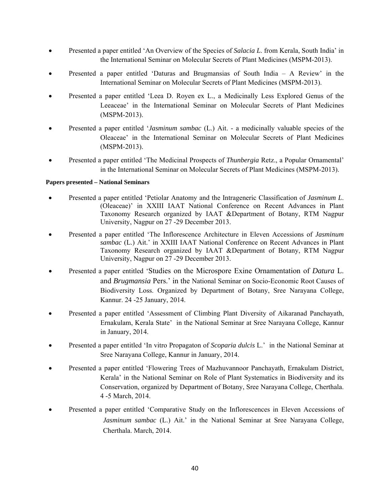- Presented a paper entitled 'An Overview of the Species of *Salacia L*. from Kerala, South India' in the International Seminar on Molecular Secrets of Plant Medicines (MSPM-2013).
- Presented a paper entitled 'Daturas and Brugmansias of South India A Review' in the International Seminar on Molecular Secrets of Plant Medicines (MSPM-2013).
- Presented a paper entitled 'Leea D. Royen ex L., a Medicinally Less Explored Genus of the Leeaceae' in the International Seminar on Molecular Secrets of Plant Medicines (MSPM-2013).
- Presented a paper entitled '*Jasminum sambac* (L.) Ait. a medicinally valuable species of the Oleaceae' in the International Seminar on Molecular Secrets of Plant Medicines (MSPM-2013).
- Presented a paper entitled 'The Medicinal Prospects of *Thunbergia* Retz., a Popular Ornamental' in the International Seminar on Molecular Secrets of Plant Medicines (MSPM-2013).

#### **Papers presented – National Seminars**

- Presented a paper entitled 'Petiolar Anatomy and the Intrageneric Classification of *Jasminum L*. (Oleaceae)' in XXIII IAAT National Conference on Recent Advances in Plant Taxonomy Research organized by IAAT &Department of Botany, RTM Nagpur University, Nagpur on 27 -29 December 2013.
- Presented a paper entitled 'The Inflorescence Architecture in Eleven Accessions of *Jasminum sambac* (L.) Ait.' in XXIII IAAT National Conference on Recent Advances in Plant Taxonomy Research organized by IAAT &Department of Botany, RTM Nagpur University, Nagpur on 27 -29 December 2013.
- Presented a paper entitled 'Studies on the Microspore Exine Ornamentation of *Datura* L. and *Brugmansia* Pers.' in the National Seminar on Socio-Economic Root Causes of Biodiversity Loss. Organized by Department of Botany, Sree Narayana College, Kannur. 24 -25 January, 2014.
- Presented a paper entitled 'Assessment of Climbing Plant Diversity of Aikaranad Panchayath, Ernakulam, Kerala State' in the National Seminar at Sree Narayana College, Kannur in January, 2014.
- Presented a paper entitled 'In vitro Propagaton of *Scoparia dulcis* L.' in the National Seminar at Sree Narayana College, Kannur in January, 2014.
- Presented a paper entitled 'Flowering Trees of Mazhuvannoor Panchayath, Ernakulam District, Kerala' in the National Seminar on Role of Plant Systematics in Biodiversity and its Conservation, organized by Department of Botany, Sree Narayana College, Cherthala. 4 -5 March, 2014.
- Presented a paper entitled 'Comparative Study on the Inflorescences in Eleven Accessions of *Jasminum sambac* (L.) Ait.' in the National Seminar at Sree Narayana College, Cherthala. March, 2014.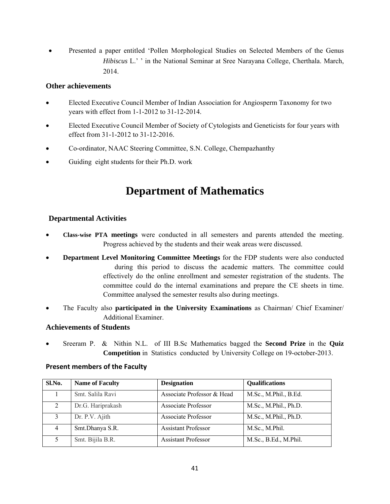• Presented a paper entitled 'Pollen Morphological Studies on Selected Members of the Genus *Hibiscus* L.' ' in the National Seminar at Sree Narayana College, Cherthala. March, 2014.

## **Other achievements**

- Elected Executive Council Member of Indian Association for Angiosperm Taxonomy for two years with effect from 1-1-2012 to 31-12-2014.
- Elected Executive Council Member of Society of Cytologists and Geneticists for four years with effect from 31-1-2012 to 31-12-2016.
- Co-ordinator, NAAC Steering Committee, S.N. College, Chempazhanthy
- Guiding eight students for their Ph.D. work

# **Department of Mathematics**

## **Departmental Activities**

- **Class-wise PTA meetings** were conducted in all semesters and parents attended the meeting. Progress achieved by the students and their weak areas were discussed.
- **Department Level Monitoring Committee Meetings** for the FDP students were also conducted during this period to discuss the academic matters. The committee could effectively do the online enrollment and semester registration of the students. The committee could do the internal examinations and prepare the CE sheets in time. Committee analysed the semester results also during meetings.
- The Faculty also **participated in the University Examinations** as Chairman/ Chief Examiner/ Additional Examiner.

## **Achievements of Students**

• Sreeram P. & Nithin N.L. of III B.Sc Mathematics bagged the **Second Prize** in the **Quiz Competition** in Statistics conducted by University College on 19-october-2013.

### **Present members of the Faculty**

| Sl.No.         | <b>Name of Faculty</b> | <b>Designation</b>         | <b>Qualifications</b> |
|----------------|------------------------|----------------------------|-----------------------|
|                | Smt. Salila Ravi       | Associate Professor & Head | M.Sc., M.Phil., B.Ed. |
|                | Dr.G. Hariprakash      | <b>Associate Professor</b> | M.Sc., M.Phil., Ph.D. |
|                | Dr. P.V. Ajith         | <b>Associate Professor</b> | M.Sc., M.Phil., Ph.D. |
| $\overline{4}$ | Smt.Dhanya S.R.        | <b>Assistant Professor</b> | M.Sc., M.Phil.        |
|                | Smt. Bijila B.R.       | <b>Assistant Professor</b> | M.Sc., B.Ed., M.Phil. |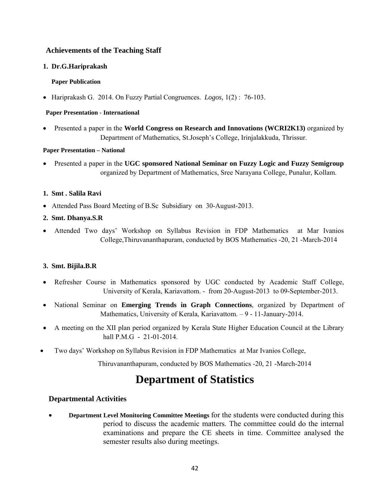## **Achievements of the Teaching Staff**

### **1. Dr.G.Hariprakash**

### **Paper Publication**

• Hariprakash G. 2014. On Fuzzy Partial Congruences. *Logos,* 1(2) : 76-103.

### **Paper Presentation - International**

• Presented a paper in the **World Congress on Research and Innovations (WCRI2K13)** organized by Department of Mathematics, St.Joseph's College, Irinjalakkuda, Thrissur.

### **Paper Presentation – National**

• Presented a paper in the **UGC sponsored National Seminar on Fuzzy Logic and Fuzzy Semigroup**  organized by Department of Mathematics, Sree Narayana College, Punalur, Kollam.

## **1. Smt . Salila Ravi**

- Attended Pass Board Meeting of B.Sc Subsidiary on 30-August-2013.
- **2. Smt. Dhanya.S.R**
- Attended Two days' Workshop on Syllabus Revision in FDP Mathematics at Mar Ivanios College,Thiruvananthapuram, conducted by BOS Mathematics -20, 21 -March-2014

## **3. Smt. Bijila.B.R**

- Refresher Course in Mathematics sponsored by UGC conducted by Academic Staff College, University of Kerala, Kariavattom. - from 20-August-2013 to 09-September-2013.
- National Seminar on **Emerging Trends in Graph Connections**, organized by Department of Mathematics, University of Kerala, Kariavattom. – 9 - 11-January-2014.
- A meeting on the XII plan period organized by Kerala State Higher Education Council at the Library hall P.M.G - 21-01-2014.
- Two days' Workshop on Syllabus Revision in FDP Mathematics at Mar Ivanios College,

Thiruvananthapuram, conducted by BOS Mathematics -20, 21 -March-2014

# **Department of Statistics**

## **Departmental Activities**

• **Department Level Monitoring Committee Meetings** for the students were conducted during this period to discuss the academic matters. The committee could do the internal examinations and prepare the CE sheets in time. Committee analysed the semester results also during meetings.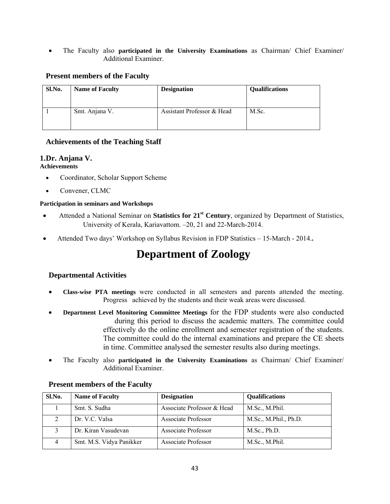• The Faculty also **participated in the University Examinations** as Chairman/ Chief Examiner/ Additional Examiner.

## **Present members of the Faculty**

| Sl.No. | <b>Name of Faculty</b> | <b>Designation</b>         | <b>Qualifications</b> |
|--------|------------------------|----------------------------|-----------------------|
|        | Smt. Anjana V.         | Assistant Professor & Head | M.Sc.                 |

### **Achievements of the Teaching Staff**

## **1.Dr. Anjana V.**

#### **Achievements**

- Coordinator, Scholar Support Scheme
- Convener, CLMC

### **Participation in seminars and Workshops**

- Attended a National Seminar on **Statistics for 21st Century**, organized by Department of Statistics, University of Kerala, Kariavattom. –20, 21 and 22-March-2014.
- Attended Two days' Workshop on Syllabus Revision in FDP Statistics 15-March 2014.**.**

# **Department of Zoology**

## **Departmental Activities**

- **Class-wise PTA meetings** were conducted in all semesters and parents attended the meeting. Progress achieved by the students and their weak areas were discussed.
- **Department Level Monitoring Committee Meetings** for the FDP students were also conducted during this period to discuss the academic matters. The committee could effectively do the online enrollment and semester registration of the students. The committee could do the internal examinations and prepare the CE sheets in time. Committee analysed the semester results also during meetings.
- The Faculty also **participated in the University Examinations** as Chairman/ Chief Examiner/ Additional Examiner.

| Sl.No.         | <b>Name of Faculty</b>   | <b>Designation</b>         | <b>Qualifications</b> |
|----------------|--------------------------|----------------------------|-----------------------|
|                | Smt. S. Sudha            | Associate Professor & Head | M.Sc., M.Phil.        |
|                | Dr. V.C. Valsa           | Associate Professor        | M.Sc., M.Phil., Ph.D. |
|                | Dr. Kiran Vasudevan      | Associate Professor        | M.Sc., Ph.D.          |
| $\overline{4}$ | Smt. M.S. Vidya Panikker | Associate Professor        | M.Sc., M.Phil.        |

### **Present members of the Faculty**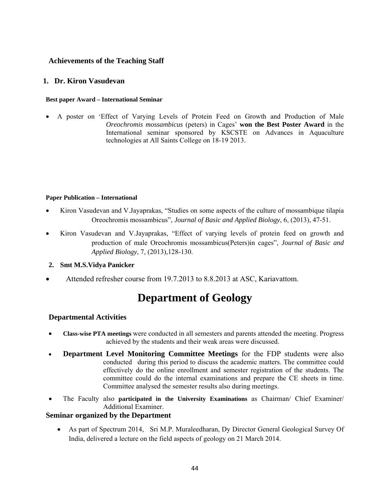## **Achievements of the Teaching Staff**

#### **1. Dr. Kiron Vasudevan**

#### **Best paper Award – International Seminar**

• A poster on 'Effect of Varying Levels of Protein Feed on Growth and Production of Male *Oreochromis mossambicus* (peters) in Cages' **won the Best Poster Award** in the International seminar sponsored by KSCSTE on Advances in Aquaculture technologies at All Saints College on 18-19 2013.

#### **Paper Publication – International**

- Kiron Vasudevan and V.Jayaprakas, "Studies on some aspects of the culture of mossambique tilapia Oreochromis mossambicus", *Journal of Basic and Applied Biology*, 6, (2013), 47-51.
- Kiron Vasudevan and V.Jayaprakas, "Effect of varying levels of protein feed on growth and production of male Oreochromis mossambicus(Peters)in cages", *Journal of Basic and Applied Biology*, 7, (2013),128-130.
- **2. Smt M.S.Vidya Panicker**
- Attended refresher course from 19.7.2013 to 8.8.2013 at ASC, Kariavattom.

# **Department of Geology**

### **Departmental Activities**

- **Class-wise PTA meetings** were conducted in all semesters and parents attended the meeting. Progress achieved by the students and their weak areas were discussed.
- **Department Level Monitoring Committee Meetings** for the FDP students were also conducted during this period to discuss the academic matters. The committee could effectively do the online enrollment and semester registration of the students. The committee could do the internal examinations and prepare the CE sheets in time. Committee analysed the semester results also during meetings.
- The Faculty also **participated in the University Examinations** as Chairman/ Chief Examiner/ Additional Examiner.

#### **Seminar organized by the Department**

• As part of Spectrum 2014, Sri M.P. Muraleedharan, Dy Director General Geological Survey Of India, delivered a lecture on the field aspects of geology on 21 March 2014.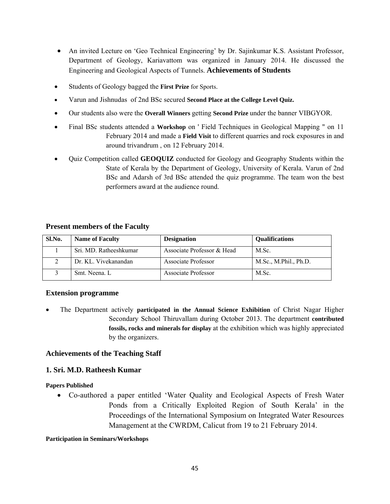- An invited Lecture on 'Geo Technical Engineering' by Dr. Sajinkumar K.S. Assistant Professor, Department of Geology, Kariavattom was organized in January 2014. He discussed the Engineering and Geological Aspects of Tunnels. **Achievements of Students**
- Students of Geology bagged the **First Prize** for Sports.
- Varun and Jishnudas of 2nd BSc secured **Second Place at the College Level Quiz.**
- Our students also were the **Overall Winners** getting **Second Prize** under the banner VIBGYOR.
- Final BSc students attended a **Workshop** on ' Field Techniques in Geological Mapping " on 11 February 2014 and made a **Field Visit** to different quarries and rock exposures in and around trivandrum , on 12 February 2014.
- Quiz Competition called **GEOQUIZ** conducted for Geology and Geography Students within the State of Kerala by the Department of Geology, University of Kerala. Varun of 2nd BSc and Adarsh of 3rd BSc attended the quiz programme. The team won the best performers award at the audience round.

| Sl.No. | <b>Name of Faculty</b> | <b>Designation</b>         | <b>Oualifications</b> |
|--------|------------------------|----------------------------|-----------------------|
|        | Sri. MD. Ratheeshkumar | Associate Professor & Head | M.Sc.                 |
|        | Dr. KL. Vivekanandan   | Associate Professor        | M.Sc., M.Phil., Ph.D. |
|        | Smt. Neena. L          | Associate Professor        | M.Sc.                 |

#### **Present members of the Faculty**

#### **Extension programme**

• The Department actively **participated in the Annual Science Exhibition** of Christ Nagar Higher Secondary School Thiruvallam during October 2013. The department **contributed fossils, rocks and minerals for display** at the exhibition which was highly appreciated by the organizers.

### **Achievements of the Teaching Staff**

### **1. Sri. M.D. Ratheesh Kumar**

#### **Papers Published**

• Co-authored a paper entitled 'Water Quality and Ecological Aspects of Fresh Water Ponds from a Critically Exploited Region of South Kerala' in the Proceedings of the International Symposium on Integrated Water Resources Management at the CWRDM, Calicut from 19 to 21 February 2014.

#### **Participation in Seminars/Workshops**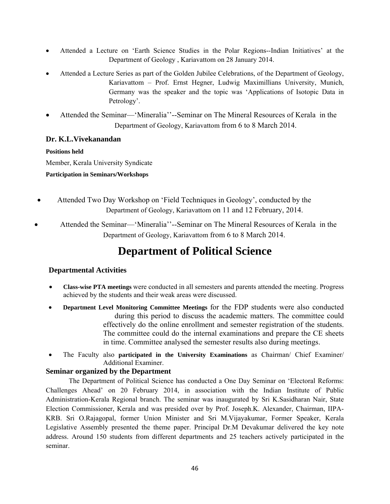- Attended a Lecture on 'Earth Science Studies in the Polar Regions--Indian Initiatives' at the Department of Geology , Kariavattom on 28 January 2014.
- Attended a Lecture Series as part of the Golden Jubilee Celebrations, of the Department of Geology, Kariavattom – Prof. Ernst Hegner, Ludwig Maximillians University, Munich, Germany was the speaker and the topic was 'Applications of Isotopic Data in Petrology'.
- Attended the Seminar—'Mineralia''--Seminar on The Mineral Resources of Kerala in the Department of Geology, Kariavattom from 6 to 8 March 2014.

## **Dr. K.L.Vivekanandan**

### **Positions held**

Member, Kerala University Syndicate

**Participation in Seminars/Workshops** 

- Attended Two Day Workshop on 'Field Techniques in Geology', conducted by the Department of Geology, Kariavattom on 11 and 12 February, 2014.
- Attended the Seminar—'Mineralia''--Seminar on The Mineral Resources of Kerala in the Department of Geology, Kariavattom from 6 to 8 March 2014.

# **Department of Political Science**

## **Departmental Activities**

- **Class-wise PTA meetings** were conducted in all semesters and parents attended the meeting. Progress achieved by the students and their weak areas were discussed.
- **Department Level Monitoring Committee Meetings** for the FDP students were also conducted during this period to discuss the academic matters. The committee could effectively do the online enrollment and semester registration of the students. The committee could do the internal examinations and prepare the CE sheets in time. Committee analysed the semester results also during meetings.
- The Faculty also **participated in the University Examinations** as Chairman/ Chief Examiner/ Additional Examiner.

## **Seminar organized by the Department**

The Department of Political Science has conducted a One Day Seminar on 'Electoral Reforms: Challenges Ahead' on 20 February 2014, in association with the Indian Institute of Public Administration-Kerala Regional branch. The seminar was inaugurated by Sri K.Sasidharan Nair, State Election Commissioner, Kerala and was presided over by Prof. Joseph.K. Alexander, Chairman, IIPA-KRB. Sri O.Rajagopal, former Union Minister and Sri M.Vijayakumar, Former Speaker, Kerala Legislative Assembly presented the theme paper. Principal Dr.M Devakumar delivered the key note address. Around 150 students from different departments and 25 teachers actively participated in the seminar.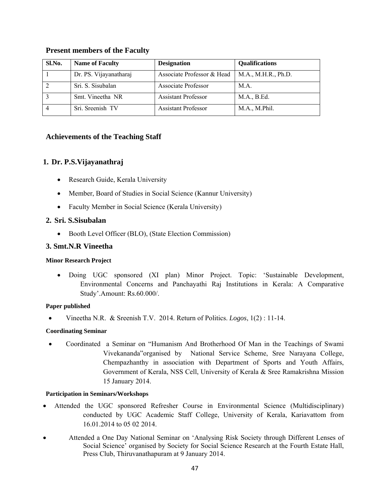| Sl.No. | <b>Name of Faculty</b> | <b>Designation</b>         | Qualifications      |
|--------|------------------------|----------------------------|---------------------|
|        | Dr. PS. Vijayanatharaj | Associate Professor & Head | M.A., M.H.R., Ph.D. |
|        | Sri. S. Sisubalan      | Associate Professor        | MA.                 |
|        | Smt. Vineetha NR       | <b>Assistant Professor</b> | M.A., B.Ed.         |
|        | Sri. Sreenish TV       | <b>Assistant Professor</b> | M.A., M.Phil.       |

#### **Present members of the Faculty**

#### **Achievements of the Teaching Staff**

#### **1. Dr. P.S.Vijayanathraj**

- Research Guide, Kerala University
- Member, Board of Studies in Social Science (Kannur University)
- Faculty Member in Social Science (Kerala University)

#### **2. Sri. S.Sisubalan**

• Booth Level Officer (BLO), (State Election Commission)

#### **3. Smt.N.R Vineetha**

#### **Minor Research Project**

• Doing UGC sponsored (XI plan) Minor Project. Topic: 'Sustainable Development, Environmental Concerns and Panchayathi Raj Institutions in Kerala: A Comparative Study'.Amount: Rs.60.000/.

#### **Paper published**

• Vineetha N.R. & Sreenish T.V. 2014. Return of Politics. *Logos*, 1(2) : 11-14.

#### **Coordinating Seminar**

• Coordinated a Seminar on "Humanism And Brotherhood Of Man in the Teachings of Swami Vivekananda"organised by National Service Scheme, Sree Narayana College, Chempazhanthy in association with Department of Sports and Youth Affairs, Government of Kerala, NSS Cell, University of Kerala & Sree Ramakrishna Mission 15 January 2014.

#### **Participation in Seminars/Workshops**

- Attended the UGC sponsored Refresher Course in Environmental Science (Multidisciplinary) conducted by UGC Academic Staff College, University of Kerala, Kariavattom from 16.01.2014 to 05 02 2014.
- Attended a One Day National Seminar on 'Analysing Risk Society through Different Lenses of Social Science' organised by Society for Social Science Research at the Fourth Estate Hall, Press Club, Thiruvanathapuram at 9 January 2014.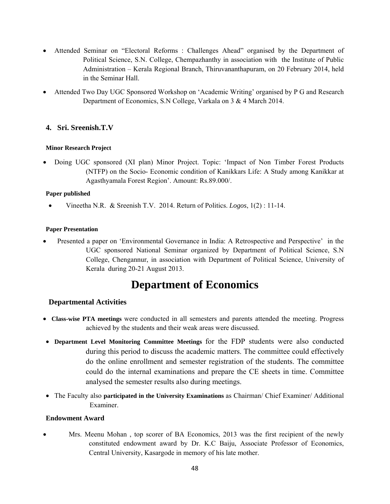- Attended Seminar on "Electoral Reforms : Challenges Ahead" organised by the Department of Political Science, S.N. College, Chempazhanthy in association with the Institute of Public Administration – Kerala Regional Branch, Thiruvananthapuram, on 20 February 2014, held in the Seminar Hall.
- Attended Two Day UGC Sponsored Workshop on 'Academic Writing' organised by P G and Research Department of Economics, S.N College, Varkala on 3 & 4 March 2014.

### **4. Sri. Sreenish.T.V**

#### **Minor Research Project**

• Doing UGC sponsored (XI plan) Minor Project. Topic: 'Impact of Non Timber Forest Products (NTFP) on the Socio- Economic condition of Kanikkars Life: A Study among Kanikkar at Agasthyamala Forest Region'. Amount: Rs.89.000/.

#### **Paper published**

• Vineetha N.R. & Sreenish T.V. 2014. Return of Politics. *Logos*, 1(2) : 11-14.

#### **Paper Presentation**

Presented a paper on 'Environmental Governance in India: A Retrospective and Perspective' in the UGC sponsored National Seminar organized by Department of Political Science, S.N College, Chengannur, in association with Department of Political Science, University of Kerala during 20-21 August 2013.

# **Department of Economics**

### **Departmental Activities**

- **Class-wise PTA meetings** were conducted in all semesters and parents attended the meeting. Progress achieved by the students and their weak areas were discussed.
- **Department Level Monitoring Committee Meetings** for the FDP students were also conducted during this period to discuss the academic matters. The committee could effectively do the online enrollment and semester registration of the students. The committee could do the internal examinations and prepare the CE sheets in time. Committee analysed the semester results also during meetings.
- The Faculty also **participated in the University Examinations** as Chairman/ Chief Examiner/ Additional Examiner.

#### **Endowment Award**

• Mrs. Meenu Mohan , top scorer of BA Economics, 2013 was the first recipient of the newly constituted endowment award by Dr. K.C Baiju, Associate Professor of Economics, Central University, Kasargode in memory of his late mother.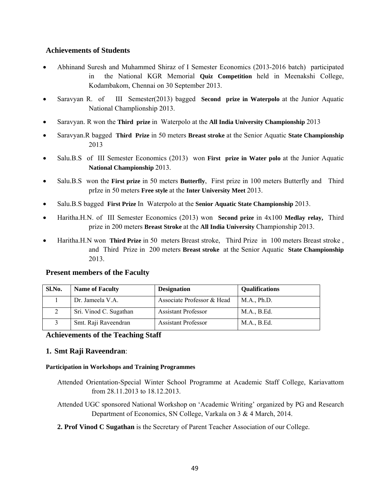### **Achievements of Students**

- Abhinand Suresh and Muhammed Shiraz of I Semester Economics (2013-2016 batch) participated in the National KGR Memorial **Quiz Competition** held in Meenakshi College, Kodambakom, Chennai on 30 September 2013.
- Saravyan R. of III Semester(2013) bagged **Second prize in Waterpolo** at the Junior Aquatic National Champlionship 2013.
- Saravyan. R won the **Third prize** in Waterpolo at the **All India University Championship** 2013
- Saravyan.R bagged **Third Prize** in 50 meters **Breast stroke** at the Senior Aquatic **State Championship** 2013
- Salu.B.S of III Semester Economics (2013) won **First prize in Water polo** at the Junior Aquatic **National Championship** 2013.
- Salu.B.S won the **First prize** in 50 meters **Butterfly**, First prize in 100 meters Butterfly and Third prIze in 50 meters **Free style** at the **Inter University Meet** 2013.
- Salu.B.S bagged **First Prize** In Waterpolo at the **Senior Aquatic State Championship** 2013.
- Haritha.H.N. of III Semester Economics (2013) won **Second prize** in 4x100 **Medlay relay,** Third prize in 200 meters **Breast Stroke** at the **All India University** Championship 2013.
- Haritha.H.N won **Third Prize** in 50 meters Breast stroke, Third Prize in 100 meters Breast stroke , and Third Prize in 200 meters **Breast stroke** at the Senior Aquatic **State Championship**  2013.

### **Present members of the Faculty**

| Sl.No. | <b>Name of Faculty</b> | <b>Designation</b>         | <b>Qualifications</b> |
|--------|------------------------|----------------------------|-----------------------|
|        | Dr. Jameela V.A.       | Associate Professor & Head | M.A., Ph.D.           |
|        | Sri. Vinod C. Sugathan | <b>Assistant Professor</b> | M.A., B.Ed.           |
|        | Smt. Raji Raveendran   | <b>Assistant Professor</b> | M.A., B.Ed.           |

**Achievements of the Teaching Staff** 

### **1. Smt Raji Raveendran**:

#### **Participation in Workshops and Training Programmes**

- Attended Orientation-Special Winter School Programme at Academic Staff College, Kariavattom from 28.11.2013 to 18.12.2013.
- Attended UGC sponsored National Workshop on 'Academic Writing' organized by PG and Research Department of Economics, SN College, Varkala on 3 & 4 March, 2014.
- **2. Prof Vinod C Sugathan** is the Secretary of Parent Teacher Association of our College.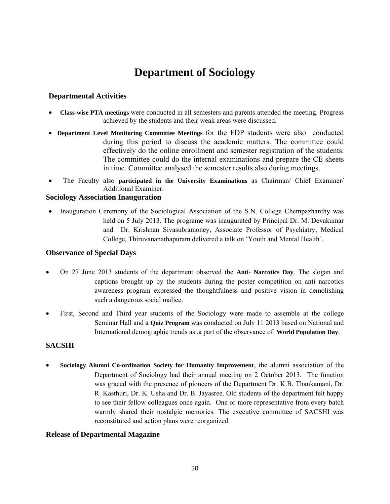# **Department of Sociology**

## **Departmental Activities**

- **Class-wise PTA meetings** were conducted in all semesters and parents attended the meeting. Progress achieved by the students and their weak areas were discussed.
- **Department Level Monitoring Committee Meetings** for the FDP students were also conducted during this period to discuss the academic matters. The committee could effectively do the online enrollment and semester registration of the students. The committee could do the internal examinations and prepare the CE sheets in time. Committee analysed the semester results also during meetings.
- The Faculty also **participated in the University Examinations** as Chairman/ Chief Examiner/ Additional Examiner.

#### **Sociology Association Inauguration**

• Inauguration Ceremony of the Sociological Association of the S.N. College Chempazhanthy was held on 5 July 2013. The programe was inaugurated by Principal Dr. M. Devakumar and Dr. Krishnan Sivasubramoney, Associate Professor of Psychiatry, Medical College, Thiruvananathapuram delivered a talk on 'Youth and Mental Health'.

#### **Observance of Special Days**

- On 27 June 2013 students of the department observed the **Anti- Narcotics Day**. The slogan and captions brought up by the students during the poster competition on anti narcotics awareness program expressed the thoughtfulness and positive vision in demolishing such a dangerous social malice.
- First, Second and Third year students of the Sociology were made to assemble at the college Seminar Hall and a **Quiz Program** was conducted on July 11 2013 based on National and International demographic trends as .a part of the observance of **World Population Day**.

### **SACSHI**

• **Sociology Alumni Co-ordination Society for Humanity Improvement**, the alumni association of the Department of Sociology had their annual meeting on 2 October 2013. The function was graced with the presence of pioneers of the Department Dr. K.B. Thankamani, Dr. R. Kasthuri, Dr. K. Usha and Dr. B. Jayasree. Old students of the department felt happy to see their fellow colleagues once again. One or more representative from every batch warmly shared their nostalgic memories. The executive committee of SACSHI was reconstituted and action plans were reorganized.

#### **Release of Departmental Magazine**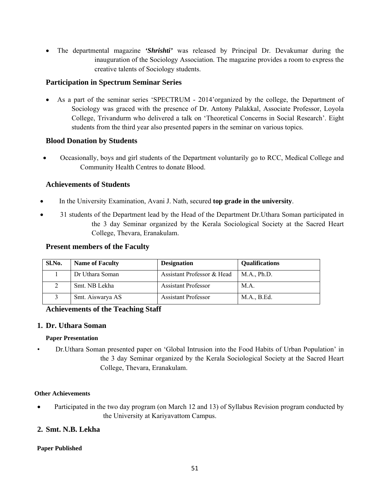• The departmental magazine *'Shrishti'* was released by Principal Dr. Devakumar during the inauguration of the Sociology Association. The magazine provides a room to express the creative talents of Sociology students.

## **Participation in Spectrum Seminar Series**

• As a part of the seminar series 'SPECTRUM - 2014'organized by the college, the Department of Sociology was graced with the presence of Dr. Antony Palakkal, Associate Professor, Loyola College, Trivandurm who delivered a talk on 'Theoretical Concerns in Social Research'. Eight students from the third year also presented papers in the seminar on various topics.

## **Blood Donation by Students**

• Occasionally, boys and girl students of the Department voluntarily go to RCC, Medical College and Community Health Centres to donate Blood.

## **Achievements of Students**

- In the University Examination, Avani J. Nath, secured **top grade in the university**.
- 31 students of the Department lead by the Head of the Department Dr. Uthara Soman participated in the 3 day Seminar organized by the Kerala Sociological Society at the Sacred Heart College, Thevara, Eranakulam.

### **Present members of the Faculty**

| Sl.No. | <b>Name of Faculty</b> | <b>Designation</b>         | <b>Qualifications</b> |
|--------|------------------------|----------------------------|-----------------------|
|        | Dr Uthara Soman        | Assistant Professor & Head | M.A., Ph.D.           |
|        | Smt. NB Lekha          | <b>Assistant Professor</b> | M.A.                  |
|        | Smt. Aiswarya AS       | <b>Assistant Professor</b> | M.A., B.Ed.           |

### **Achievements of the Teaching Staff**

### **1. Dr. Uthara Soman**

### **Paper Presentation**

• Dr.Uthara Soman presented paper on 'Global Intrusion into the Food Habits of Urban Population' in the 3 day Seminar organized by the Kerala Sociological Society at the Sacred Heart College, Thevara, Eranakulam.

#### **Other Achievements**

• Participated in the two day program (on March 12 and 13) of Syllabus Revision program conducted by the University at Kariyavattom Campus.

### **2. Smt. N.B. Lekha**

### **Paper Published**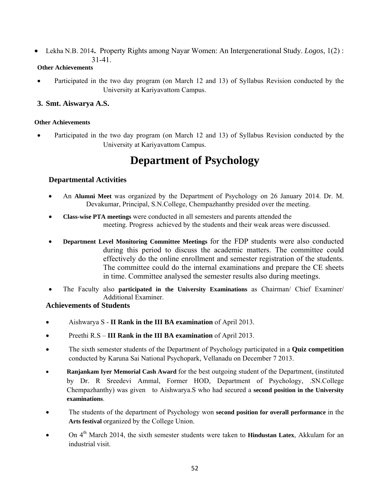• Lekha N.B. 2014**.** Property Rights among Nayar Women: An Intergenerational Study. *Logos*, 1(2) : 31-41.

## **Other Achievements**

• Participated in the two day program (on March 12 and 13) of Syllabus Revision conducted by the University at Kariyavattom Campus.

## **3. Smt. Aiswarya A.S.**

#### **Other Achievements**

• Participated in the two day program (on March 12 and 13) of Syllabus Revision conducted by the University at Kariyavattom Campus.

# **Department of Psychology**

## **Departmental Activities**

- An **Alumni Meet** was organized by the Department of Psychology on 26 January 2014. Dr. M. Devakumar, Principal, S.N.College, Chempazhanthy presided over the meeting.
- **Class-wise PTA meetings** were conducted in all semesters and parents attended the meeting. Progress achieved by the students and their weak areas were discussed.
- **Department Level Monitoring Committee Meetings** for the FDP students were also conducted during this period to discuss the academic matters. The committee could effectively do the online enrollment and semester registration of the students. The committee could do the internal examinations and prepare the CE sheets in time. Committee analysed the semester results also during meetings.
- The Faculty also **participated in the University Examinations** as Chairman/ Chief Examiner/ Additional Examiner.

## **Achievements of Students**

- Aishwarya S **II Rank in the III BA examination** of April 2013.
- Preethi R.S **III Rank in the III BA examination** of April 2013.
- The sixth semester students of the Department of Psychology participated in a **Quiz competition** conducted by Karuna Sai National Psychopark, Vellanadu on December 7 2013.
- **Ranjankam Iyer Memorial Cash Award** for the best outgoing student of the Department, (instituted by Dr. R Sreedevi Ammal, Former HOD, Department of Psychology, .SN.College Chempazhanthy) was given to Aishwarya.S who had secured a **second position in the University examinations**.
- The students of the department of Psychology won **second position for overall performance** in the **Arts festival** organized by the College Union.
- On 4th March 2014, the sixth semester students were taken to **Hindustan Latex**, Akkulam for an industrial visit.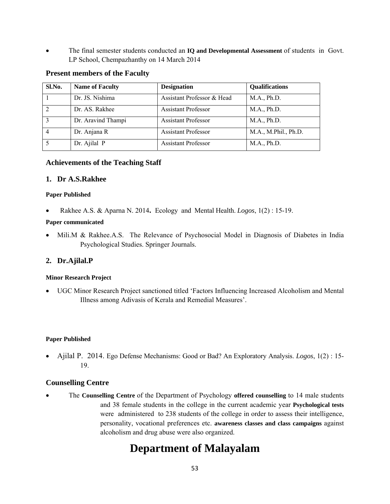• The final semester students conducted an **IQ and Developmental Assessment** of students in Govt. LP School, Chempazhanthy on 14 March 2014

#### **Present members of the Faculty**

| Sl.No.        | <b>Name of Faculty</b> | <b>Designation</b>         | Qualifications       |
|---------------|------------------------|----------------------------|----------------------|
|               | Dr. JS. Nishima        | Assistant Professor & Head | M.A., Ph.D.          |
|               | Dr. AS. Rakhee         | <b>Assistant Professor</b> | M.A., Ph.D.          |
| $\mathcal{E}$ | Dr. Aravind Thampi     | <b>Assistant Professor</b> | M.A., Ph.D.          |
|               | Dr. Anjana R           | <b>Assistant Professor</b> | M.A., M.Phil., Ph.D. |
|               | Dr. Ajilal P           | <b>Assistant Professor</b> | M.A., Ph.D.          |

### **Achievements of the Teaching Staff**

#### **1. Dr A.S.Rakhee**

#### **Paper Published**

• Rakhee A.S. & Aparna N. 2014**.** Ecology and Mental Health. *Logos*, 1(2) : 15-19.

#### **Paper communicated**

• Mili.M & Rakhee.A.S. The Relevance of Psychosocial Model in Diagnosis of Diabetes in India Psychological Studies. Springer Journals.

### **2. Dr.Ajilal.P**

#### **Minor Research Project**

• UGC Minor Research Project sanctioned titled 'Factors Influencing Increased Alcoholism and Mental Illness among Adivasis of Kerala and Remedial Measures'.

#### **Paper Published**

• Ajilal P. 2014. Ego Defense Mechanisms: Good or Bad? An Exploratory Analysis. *Logos*, 1(2) : 15- 19.

### **Counselling Centre**

• The **Counselling Centre** of the Department of Psychology **offered counselling** to 14 male students and 38 female students in the college in the current academic year **Psychological tests** were administered to 238 students of the college in order to assess their intelligence, personality, vocational preferences etc. **awareness classes and class campaigns** against alcoholism and drug abuse were also organized.

# **Department of Malayalam**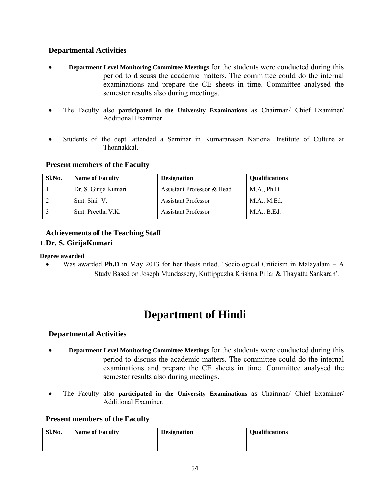## **Departmental Activities**

- **Department Level Monitoring Committee Meetings** for the students were conducted during this period to discuss the academic matters. The committee could do the internal examinations and prepare the CE sheets in time. Committee analysed the semester results also during meetings.
- The Faculty also **participated in the University Examinations** as Chairman/ Chief Examiner/ Additional Examiner.
- Students of the dept. attended a Seminar in Kumaranasan National Institute of Culture at Thonnakkal.

# **Present members of the Faculty**

| Sl.No. | <b>Name of Faculty</b> | <b>Designation</b>         | <b>Qualifications</b> |
|--------|------------------------|----------------------------|-----------------------|
|        | Dr. S. Girija Kumari   | Assistant Professor & Head | M.A., Ph.D.           |
|        | Smt. Sini V.           | <b>Assistant Professor</b> | M.A., M.Ed.           |
|        | Smt. Preetha V.K.      | <b>Assistant Professor</b> | M.A., B.Ed.           |

# **Achievements of the Teaching Staff 1.Dr. S. GirijaKumari**

### **Degree awarded**

Was awarded **Ph.D** in May 2013 for her thesis titled, 'Sociological Criticism in Malayalam – A Study Based on Joseph Mundassery, Kuttippuzha Krishna Pillai & Thayattu Sankaran'.

# **Department of Hindi**

## **Departmental Activities**

- **Department Level Monitoring Committee Meetings** for the students were conducted during this period to discuss the academic matters. The committee could do the internal examinations and prepare the CE sheets in time. Committee analysed the semester results also during meetings.
- The Faculty also **participated in the University Examinations** as Chairman/ Chief Examiner/ Additional Examiner.

### **Present members of the Faculty**

| Sl.No. | <b>Name of Faculty</b> | <b>Designation</b> | <b>Qualifications</b> |
|--------|------------------------|--------------------|-----------------------|
|        |                        |                    |                       |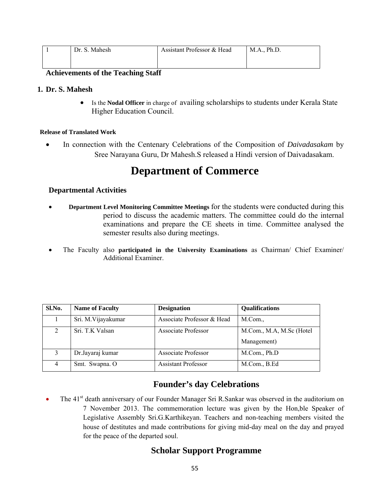|  | Dr. S. Mahesh | Assistant Professor & Head | M.A., Ph.D. |
|--|---------------|----------------------------|-------------|
|  |               |                            |             |
|  |               |                            |             |

#### **Achievements of the Teaching Staff**

#### **1. Dr. S. Mahesh**

• Is the **Nodal Officer** in charge ofavailing scholarships to students under Kerala State Higher Education Council.

#### **Release of Translated Work**

• In connection with the Centenary Celebrations of the Composition of *Daivadasakam* by Sree Narayana Guru, Dr Mahesh.S released a Hindi version of Daivadasakam.

# **Department of Commerce**

### **Departmental Activities**

- **Department Level Monitoring Committee Meetings** for the students were conducted during this period to discuss the academic matters. The committee could do the internal examinations and prepare the CE sheets in time. Committee analysed the semester results also during meetings.
- The Faculty also **participated in the University Examinations** as Chairman/ Chief Examiner/ Additional Examiner.

| Sl.No.        | <b>Name of Faculty</b> | <b>Designation</b>         | <b>Qualifications</b>    |
|---------------|------------------------|----------------------------|--------------------------|
|               | Sri. M. Vijayakumar    | Associate Professor & Head | M.Com.,                  |
| $\mathcal{L}$ | Sri. T.K Valsan        | Associate Professor        | M.Com., M.A, M.Sc (Hotel |
|               |                        |                            | Management)              |
| 3             | Dr.Jayaraj kumar       | <b>Associate Professor</b> | M.Com., Ph.D             |
| 4             | Smt. Swapna. O         | <b>Assistant Professor</b> | M.Com., B.Ed             |

# **Founder's day Celebrations**

• The 41<sup>st</sup> death anniversary of our Founder Manager Sri R.Sankar was observed in the auditorium on 7 November 2013. The commemoration lecture was given by the Hon,ble Speaker of Legislative Assembly Sri.G.Karthikeyan. Teachers and non-teaching members visited the house of destitutes and made contributions for giving mid-day meal on the day and prayed for the peace of the departed soul.

# **Scholar Support Programme**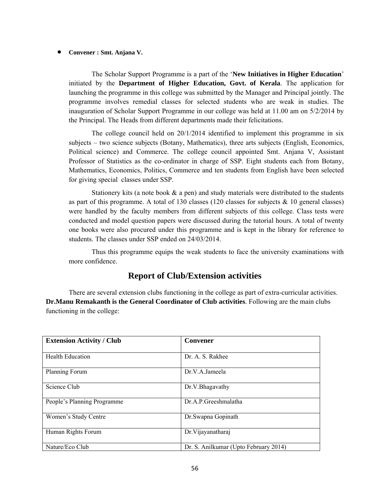#### • **Convener : Smt. Anjana V.**

The Scholar Support Programme is a part of the '**New Initiatives in Higher Education**' initiated by the **Department of Higher Education, Govt. of Kerala**. The application for launching the programme in this college was submitted by the Manager and Principal jointly. The programme involves remedial classes for selected students who are weak in studies. The inauguration of Scholar Support Programme in our college was held at 11.00 am on 5/2/2014 by the Principal. The Heads from different departments made their felicitations.

 The college council held on 20/1/2014 identified to implement this programme in six subjects – two science subjects (Botany, Mathematics), three arts subjects (English, Economics, Political science) and Commerce. The college council appointed Smt. Anjana V, Assistant Professor of Statistics as the co-ordinator in charge of SSP. Eight students each from Botany, Mathematics, Economics, Politics, Commerce and ten students from English have been selected for giving special classes under SSP.

Stationery kits (a note book  $\&$  a pen) and study materials were distributed to the students as part of this programme. A total of 130 classes (120 classes for subjects  $\&$  10 general classes) were handled by the faculty members from different subjects of this college. Class tests were conducted and model question papers were discussed during the tutorial hours. A total of twenty one books were also procured under this programme and is kept in the library for reference to students. The classes under SSP ended on 24/03/2014.

 Thus this programme equips the weak students to face the university examinations with more confidence.

# **Report of Club/Extension activities**

There are several extension clubs functioning in the college as part of extra-curricular activities. **Dr.Manu Remakanth is the General Coordinator of Club activities**. Following are the main clubs functioning in the college:

| <b>Extension Activity / Club</b> | <b>Convener</b>                       |
|----------------------------------|---------------------------------------|
|                                  |                                       |
| <b>Health Education</b>          | Dr. A. S. Rakhee                      |
|                                  |                                       |
| Planning Forum                   | Dr.V.A.Jameela                        |
|                                  |                                       |
| Science Club                     | Dr.V. Bhagavathy                      |
|                                  |                                       |
| People's Planning Programme      | Dr.A.P.Greeshmalatha                  |
|                                  |                                       |
| Women's Study Centre             | Dr.Swapna Gopinath                    |
|                                  |                                       |
| Human Rights Forum               | Dr. Vijayanatharaj                    |
|                                  |                                       |
| Nature/Eco Club                  | Dr. S. Anilkumar (Upto February 2014) |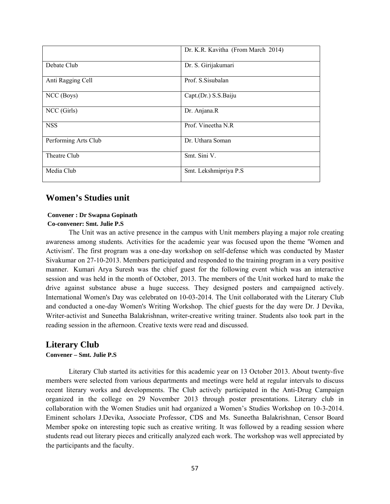|                      | Dr. K.R. Kavitha (From March 2014) |
|----------------------|------------------------------------|
| Debate Club          | Dr. S. Girijakumari                |
| Anti Ragging Cell    | Prof. S.Sisubalan                  |
| NCC (Boys)           | Capt.(Dr.) S.S.Baiju               |
| NCC (Girls)          | Dr. Anjana.R                       |
| <b>NSS</b>           | Prof. Vineetha N.R                 |
| Performing Arts Club | Dr. Uthara Soman                   |
| Theatre Club         | Smt. Sini V.                       |
| Media Club           | Smt. Lekshmipriya P.S              |

## **Women's Studies unit**

# **Convener : Dr Swapna Gopinath**

#### **Co-convener: Smt. Julie P.S**

The Unit was an active presence in the campus with Unit members playing a major role creating awareness among students. Activities for the academic year was focused upon the theme 'Women and Activism'. The first program was a one-day workshop on self-defense which was conducted by Master Sivakumar on 27-10-2013. Members participated and responded to the training program in a very positive manner. Kumari Arya Suresh was the chief guest for the following event which was an interactive session and was held in the month of October, 2013. The members of the Unit worked hard to make the drive against substance abuse a huge success. They designed posters and campaigned actively. International Women's Day was celebrated on 10-03-2014. The Unit collaborated with the Literary Club and conducted a one-day Women's Writing Workshop. The chief guests for the day were Dr. J Devika, Writer-activist and Suneetha Balakrishnan, writer-creative writing trainer. Students also took part in the reading session in the afternoon. Creative texts were read and discussed.

# **Literary Club**

## **Convener – Smt. Julie P.S**

Literary Club started its activities for this academic year on 13 October 2013. About twenty-five members were selected from various departments and meetings were held at regular intervals to discuss recent literary works and developments. The Club actively participated in the Anti-Drug Campaign organized in the college on 29 November 2013 through poster presentations. Literary club in collaboration with the Women Studies unit had organized a Women's Studies Workshop on 10-3-2014. Eminent scholars J.Devika, Associate Professor, CDS and Ms. Suneetha Balakrishnan, Censor Board Member spoke on interesting topic such as creative writing. It was followed by a reading session where students read out literary pieces and critically analyzed each work. The workshop was well appreciated by the participants and the faculty.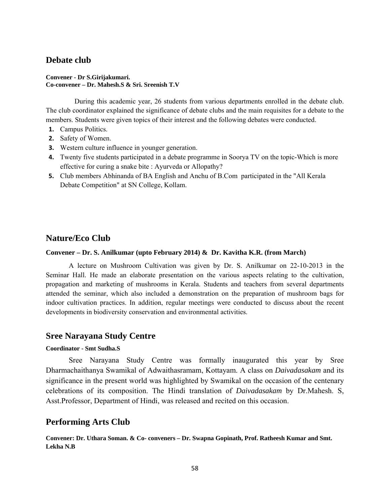# **Debate club**

#### **Convener - Dr S.Girijakumari. Co-convener – Dr. Mahesh.S & Sri. Sreenish T.V**

 During this academic year, 26 students from various departments enrolled in the debate club. The club coordinator explained the significance of debate clubs and the main requisites for a debate to the members. Students were given topics of their interest and the following debates were conducted.

- **1.** Campus Politics.
- **2.** Safety of Women.
- **3.** Western culture influence in younger generation.
- **4.** Twenty five students participated in a debate programme in Soorya TV on the topic-Which is more effective for curing a snake bite : Ayurveda or Allopathy?
- **5.** Club members Abhinanda of BA English and Anchu of B.Com participated in the "All Kerala Debate Competition" at SN College, Kollam.

# **Nature/Eco Club**

#### **Convener – Dr. S. Anilkumar (upto February 2014) & Dr. Kavitha K.R. (from March)**

 A lecture on Mushroom Cultivation was given by Dr. S. Anilkumar on 22-10-2013 in the Seminar Hall. He made an elaborate presentation on the various aspects relating to the cultivation, propagation and marketing of mushrooms in Kerala. Students and teachers from several departments attended the seminar, which also included a demonstration on the preparation of mushroom bags for indoor cultivation practices. In addition, regular meetings were conducted to discuss about the recent developments in biodiversity conservation and environmental activities.

### **Sree Narayana Study Centre**

#### **Coordinator - Smt Sudha.S**

 Sree Narayana Study Centre was formally inaugurated this year by Sree Dharmachaithanya Swamikal of Adwaithasramam, Kottayam. A class on *Daivadasakam* and its significance in the present world was highlighted by Swamikal on the occasion of the centenary celebrations of its composition. The Hindi translation of *Daivadasakam* by Dr.Mahesh. S, Asst.Professor, Department of Hindi, was released and recited on this occasion.

## **Performing Arts Club**

**Convener: Dr. Uthara Soman. & Co- conveners – Dr. Swapna Gopinath, Prof. Ratheesh Kumar and Smt. Lekha N.B**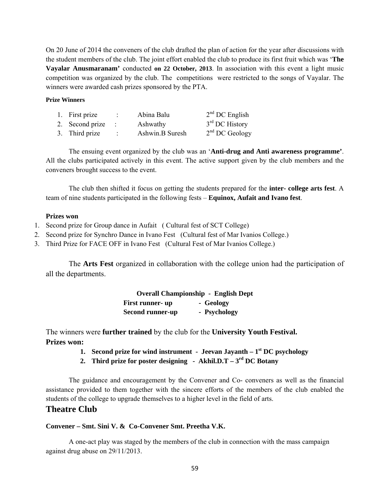On 20 June of 2014 the conveners of the club drafted the plan of action for the year after discussions with the student members of the club. The joint effort enabled the club to produce its first fruit which was '**The Vayalar Anusmaranam'** conducted **on 22 October, 2013**. In association with this event a light music competition was organized by the club. The competitions were restricted to the songs of Vayalar. The winners were awarded cash prizes sponsored by the PTA.

#### **Prize Winners**

| 1. First prize  | $\mathbb{R}^n$ | Abina Balu      | $2nd$ DC English |
|-----------------|----------------|-----------------|------------------|
| 2. Second prize |                | Ashwathy        | $3rd$ DC History |
| 3. Third prize  | ÷              | Ashwin.B Suresh | $2nd$ DC Geology |

The ensuing event organized by the club was an '**Anti-drug and Anti awareness programme'**. All the clubs participated actively in this event. The active support given by the club members and the conveners brought success to the event.

The club then shifted it focus on getting the students prepared for the **inter- college arts fest**. A team of nine students participated in the following fests – **Equinox, Aufait and Ivano fest**.

#### **Prizes won**

- 1. Second prize for Group dance in Aufait ( Cultural fest of SCT College)
- 2. Second prize for Synchro Dance in Ivano Fest (Cultural fest of Mar Ivanios College.)
- 3. Third Prize for FACE OFF in Ivano Fest (Cultural Fest of Mar Ivanios College.)

The **Arts Fest** organized in collaboration with the college union had the participation of all the departments.

|                         | <b>Overall Championship - English Dept</b> |
|-------------------------|--------------------------------------------|
| First runner- up        | - Geology                                  |
| <b>Second runner-up</b> | - Psychology                               |

The winners were **further trained** by the club for the **University Youth Festival. Prizes won:** 

- **1. Second prize for wind instrument Jeevan Jayanth**  $1<sup>st</sup> DC$  **psychology**
- **2. Third prize for poster designing Akhil.D.T**  $3^{\text{rd}}$  DC Botany

The guidance and encouragement by the Convener and Co- conveners as well as the financial assistance provided to them together with the sincere efforts of the members of the club enabled the students of the college to upgrade themselves to a higher level in the field of arts.

## **Theatre Club**

#### **Convener – Smt. Sini V. & Co-Convener Smt. Preetha V.K.**

 A one-act play was staged by the members of the club in connection with the mass campaign against drug abuse on 29/11/2013.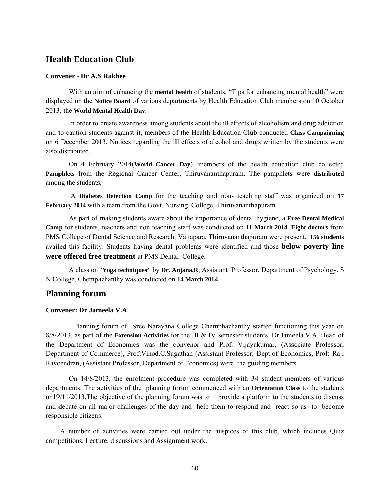## **Health Education Club**

#### **Convener - Dr A.S Rakhee**

 With an aim of enhancing the **mental health** of students, "Tips for enhancing mental health" were displayed on the **Notice Board** of various departments by Health Education Club members on 10 October 2013, the **World Mental Health Day**.

 In order to create awareness among students about the ill effects of alcoholism and drug addiction and to caution students against it, members of the Health Education Club conducted **Class Campaigning** on 6 December 2013. Notices regarding the ill effects of alcohol and drugs written by the students were also distributed.

 On 4 February 2014(**World Cancer Day**), members of the health education club collected **Pamphlets** from the Regional Cancer Center, Thiruvananthapuram. The pamphlets were **distributed** among the students,

 A **Diabetes Detection Camp** for the teaching and non- teaching staff was organized on **17 February 2014** with a team from the Govt. Nursing College, Thiruvananthapuram.

 As part of making students aware about the importance of dental hygiene, a **Free Dental Medical Camp** for students, teachers and non teaching staff was conducted on **11 March 2014**. **Eight doctors** from PMS College of Dental Science and Research, Vattapara, Thiruvananthapuram were present. **156 students** availed this facility. Students having dental problems were identified and those **below poverty line were offered free treatment** at PMS Dental College.

 A class on '**Yoga techniques'** by **Dr. Anjana.R**, Assistant Professor, Department of Psychology, S N College, Chempazhanthy was conducted on **14 March 2014**.

### **Planning forum**

#### **Convener: Dr Jameela V.A**

 Planning forum of Sree Narayana College Chemphazhanthy started functioning this year on 8/8/2013, as part of the **Extension Activities** for the III & IV semester students. Dr.Jameela.V.A, Head of the Department of Economics was the convenor and Prof. Vijayakumar, (Associate Professor, Department of Commerce), Prof:Vinod.C.Sugathan (Assistant Professor, Dept:of Economics, Prof: Raji Raveendran, (Assistant Professor, Department of Economics) were the guiding members.

 On 14/8/2013, the enrolment procedure was completed with 34 student members of various departments. The activities of the planning forum commenced with an **Orientation Class** to the students on19/11/2013.The objective of the planning forum was to provide a platform to the students to discuss and debate on all major challenges of the day and help them to respond and react so as to become responsible citizens.

 A number of activities were carried out under the auspices of this club, which includes Quiz competitions, Lecture, discussions and Assignment work.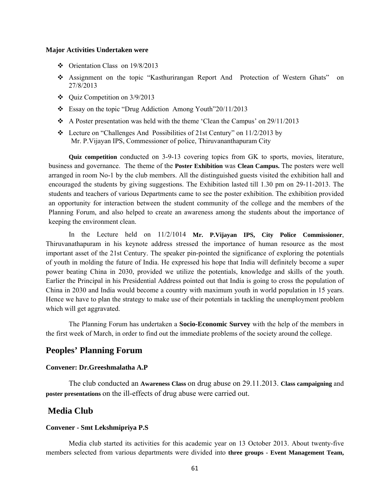#### **Major Activities Undertaken were**

- $\div$  Orientation Class on 19/8/2013
- Assignment on the topic "Kasthurirangan Report And Protection of Western Ghats" on 27/8/2013
- $\div$  Quiz Competition on 3/9/2013
- \* Essay on the topic "Drug Addiction Among Youth"20/11/2013
- $\triangle$  A Poster presentation was held with the theme 'Clean the Campus' on 29/11/2013
- Lecture on "Challenges And Possibilities of 21st Century" on 11/2/2013 by Mr. P.Vijayan IPS, Commessioner of police, Thiruvananthapuram City

**Quiz competition** conducted on 3-9-13 covering topics from GK to sports, movies, literature, business and governance. The theme of the **Poster Exhibition** was **Clean Campus.** The posters were well arranged in room No-1 by the club members. All the distinguished guests visited the exhibition hall and encouraged the students by giving suggestions. The Exhibition lasted till 1.30 pm on 29-11-2013. The students and teachers of various Departments came to see the poster exhibition. The exhibition provided an opportunity for interaction between the student community of the college and the members of the Planning Forum, and also helped to create an awareness among the students about the importance of keeping the environment clean.

 In the Lecture held on 11/2/1014 **Mr. P.Vijayan IPS, City Police Commissioner**, Thiruvanathapuram in his keynote address stressed the importance of human resource as the most important asset of the 21st Century. The speaker pin-pointed the significance of exploring the potentials of youth in molding the future of India. He expressed his hope that India will definitely become a super power beating China in 2030, provided we utilize the potentials, knowledge and skills of the youth. Earlier the Principal in his Presidential Address pointed out that India is going to cross the population of China in 2030 and India would become a country with maximum youth in world population in 15 years. Hence we have to plan the strategy to make use of their potentials in tackling the unemployment problem which will get aggravated.

 The Planning Forum has undertaken a **Socio-Economic Survey** with the help of the members in the first week of March, in order to find out the immediate problems of the society around the college.

#### **Peoples' Planning Forum**

#### **Convener: Dr.Greeshmalatha A.P**

The club conducted an **Awareness Class** on drug abuse on 29.11.2013. **Class campaigning** and **poster presentations** on the ill-effects of drug abuse were carried out.

#### **Media Club**

#### **Convener - Smt Lekshmipriya P.S**

Media club started its activities for this academic year on 13 October 2013. About twenty-five members selected from various departments were divided into **three groups - Event Management Team,**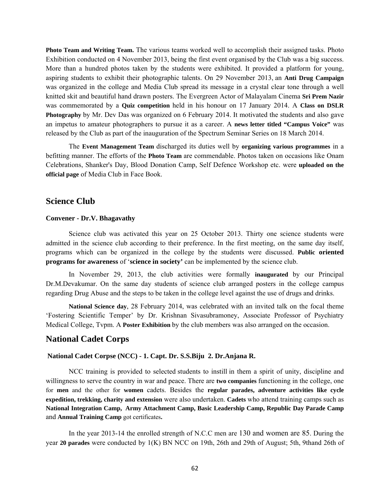**Photo Team and Writing Team.** The various teams worked well to accomplish their assigned tasks. Photo Exhibition conducted on 4 November 2013, being the first event organised by the Club was a big success. More than a hundred photos taken by the students were exhibited. It provided a platform for young, aspiring students to exhibit their photographic talents. On 29 November 2013, an **Anti Drug Campaign** was organized in the college and Media Club spread its message in a crystal clear tone through a well knitted skit and beautiful hand drawn posters. The Evergreen Actor of Malayalam Cinema **Sri Prem Nazir** was commemorated by a **Quiz competition** held in his honour on 17 January 2014. A **Class on DSLR Photography** by Mr. Dev Das was organized on 6 February 2014. It motivated the students and also gave an impetus to amateur photographers to pursue it as a career. A **news letter titled "Campus Voice"** was released by the Club as part of the inauguration of the Spectrum Seminar Series on 18 March 2014.

The **Event Management Team** discharged its duties well by **organizing various programmes** in a befitting manner. The efforts of the **Photo Team** are commendable. Photos taken on occasions like Onam Celebrations, Shanker's Day, Blood Donation Camp, Self Defence Workshop etc. were **uploaded on the official page** of Media Club in Face Book.

#### **Science Club**

#### **Convener - Dr.V. Bhagavathy**

Science club was activated this year on 25 October 2013. Thirty one science students were admitted in the science club according to their preference. In the first meeting, on the same day itself, programs which can be organized in the college by the students were discussed. **Public oriented programs for awareness** of '**science in society'** can be implemented by the science club.

 In November 29, 2013, the club activities were formally **inaugurated** by our Principal Dr.M.Devakumar. On the same day students of science club arranged posters in the college campus regarding Drug Abuse and the steps to be taken in the college level against the use of drugs and drinks.

**National Science day**, 28 February 2014, was celebrated with an invited talk on the focal theme 'Fostering Scientific Temper' by Dr. Krishnan Sivasubramoney, Associate Professor of Psychiatry Medical College, Tvpm. A **Poster Exhibition** by the club members was also arranged on the occasion.

#### **National Cadet Corps**

#### **National Cadet Corpse (NCC) - 1. Capt. Dr. S.S.Biju 2. Dr.Anjana R.**

NCC training is provided to selected students to instill in them a spirit of unity, discipline and willingness to serve the country in war and peace. There are **two companies** functioning in the college, one for **men** and the other for **women** cadets. Besides the **regular parades, adventure activities like cycle expedition, trekking, charity and extension** were also undertaken. **Cadets** who attend training camps such as **National Integration Camp, Army Attachment Camp, Basic Leadership Camp, Republic Day Parade Camp**  and **Annual Training Camp** got certificates**.** 

 In the year 2013-14 the enrolled strength of N.C.C men are 130 and women are 85. During the year **20 parades** were conducted by 1(K) BN NCC on 19th, 26th and 29th of August; 5th, 9thand 26th of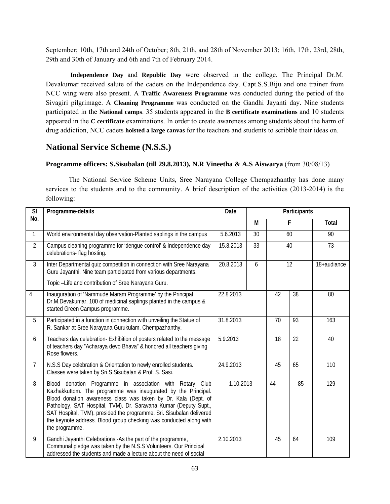September; 10th, 17th and 24th of October; 8th, 21th, and 28th of November 2013; 16th, 17th, 23rd, 28th, 29th and 30th of January and 6th and 7th of February 2014.

 **Independence Day** and **Republic Day** were observed in the college. The Principal Dr.M. Devakumar received salute of the cadets on the Independence day. Capt.S.S.Biju and one trainer from NCC wing were also present. A **Traffic Awareness Programme** was conducted during the period of the Sivagiri pilgrimage. A **Cleaning Programme** was conducted on the Gandhi Jayanti day. Nine students participated in the **National camps**. 35 students appeared in the **B certificate examinations** and 10 students appeared in the **C certificate** examinations. In order to create awareness among students about the harm of drug addiction, NCC cadets **hoisted a large canvas** for the teachers and students to scribble their ideas on.

# **National Service Scheme (N.S.S.)**

### **Programme officers: S.Sisubalan (till 29.8.2013), N.R Vineetha & A.S Aiswarya** (from 30/08/13)

The National Service Scheme Units, Sree Narayana College Chempazhanthy has done many services to the students and to the community. A brief description of the activities (2013-2014) is the following:

| <b>SI</b>      | Programme-details                                                                                                                                                                                                                                                                                                                                                                                                               | Date                  | Participants    |    |    |                        |
|----------------|---------------------------------------------------------------------------------------------------------------------------------------------------------------------------------------------------------------------------------------------------------------------------------------------------------------------------------------------------------------------------------------------------------------------------------|-----------------------|-----------------|----|----|------------------------|
| No.            |                                                                                                                                                                                                                                                                                                                                                                                                                                 |                       | М               |    | F  | Total                  |
| 1.             | World environmental day observation-Planted saplings in the campus                                                                                                                                                                                                                                                                                                                                                              | $\overline{5.6.2013}$ | 30              |    | 60 | 90                     |
| $\overline{2}$ | Campus cleaning programme for 'dengue control' & Independence day<br>celebrations- flag hosting.                                                                                                                                                                                                                                                                                                                                | 15.8.2013             | $\overline{33}$ | 40 |    | $\overline{73}$        |
| $\overline{3}$ | Inter Departmental quiz competition in connection with Sree Narayana<br>Guru Jayanthi. Nine team participated from various departments.                                                                                                                                                                                                                                                                                         | 20.8.2013             | 6               |    | 12 | $18 + \text{audiance}$ |
|                | Topic -Life and contribution of Sree Narayana Guru.                                                                                                                                                                                                                                                                                                                                                                             |                       |                 |    |    |                        |
| 4              | Inauguration of 'Nammude Maram Programme' by the Principal<br>Dr.M.Devakumar. 100 of medicinal saplings planted in the campus &<br>started Green Campus programme.                                                                                                                                                                                                                                                              | 22.8.2013             |                 | 42 | 38 | 80                     |
| $\overline{5}$ | Participated in a function in connection with unveiling the Statue of<br>R. Sankar at Sree Narayana Gurukulam, Chempazhanthy.                                                                                                                                                                                                                                                                                                   | 31.8.2013             |                 | 70 | 93 | 163                    |
| 6              | Teachers day celebration- Exhibition of posters related to the message<br>of teachers day "Acharaya devo Bhava" & honored all teachers giving<br>Rose flowers.                                                                                                                                                                                                                                                                  | 5.9.2013              |                 | 18 | 22 | 40                     |
| $\overline{7}$ | N.S.S Day celebration & Orientation to newly enrolled students.<br>Classes were taken by Sri.S.Sisubalan & Prof. S. Sasi.                                                                                                                                                                                                                                                                                                       | 24.9.2013             |                 | 45 | 65 | 110                    |
| 8              | Blood donation Programme in association with Rotary Club<br>Kazhakkuttom. The programme was inaugurated by the Principal.<br>Blood donation awareness class was taken by Dr. Kala (Dept. of<br>Pathology, SAT Hospital, TVM). Dr. Saravana Kumar (Deputy Supt.,<br>SAT Hospital, TVM), presided the programme. Sri. Sisubalan delivered<br>the keynote address. Blood group checking was conducted along with<br>the programme. | 1.10.2013             |                 | 44 | 85 | 129                    |
| 9              | Gandhi Jayanthi Celebrations.-As the part of the programme,<br>Communal pledge was taken by the N.S.S Volunteers. Our Principal<br>addressed the students and made a lecture about the need of social                                                                                                                                                                                                                           | 2.10.2013             |                 | 45 | 64 | 109                    |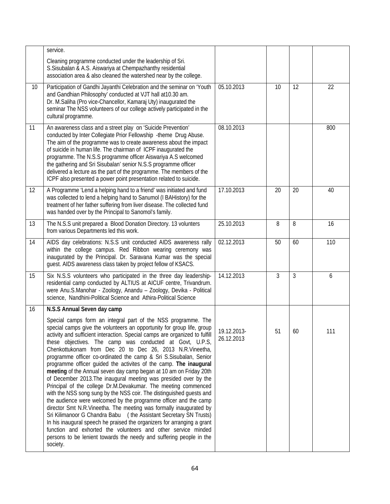|    | service.                                                                                                                                                                                                                                                                                                                                                                                                                                                                                                                                                                                                                                                                                                                                                                                                                                                                                                                                                                                                                                                                                                                                                                                                                   |                           |    |    |     |
|----|----------------------------------------------------------------------------------------------------------------------------------------------------------------------------------------------------------------------------------------------------------------------------------------------------------------------------------------------------------------------------------------------------------------------------------------------------------------------------------------------------------------------------------------------------------------------------------------------------------------------------------------------------------------------------------------------------------------------------------------------------------------------------------------------------------------------------------------------------------------------------------------------------------------------------------------------------------------------------------------------------------------------------------------------------------------------------------------------------------------------------------------------------------------------------------------------------------------------------|---------------------------|----|----|-----|
|    | Cleaning programme conducted under the leadership of Sri.<br>S.Sisubalan & A.S. Aiswariya at Chempazhanthy residential<br>association area & also cleaned the watershed near by the college.                                                                                                                                                                                                                                                                                                                                                                                                                                                                                                                                                                                                                                                                                                                                                                                                                                                                                                                                                                                                                               |                           |    |    |     |
| 10 | Participation of Gandhi Jayanthi Celebration and the seminar on 'Youth<br>and Gandhian Philosophy' conducted at VJT hall at 10.30 am.<br>Dr. M.Saliha (Pro vice-Chancellor, Kamaraj Uty) inaugurated the<br>seminar The NSS volunteers of our college actively participated in the<br>cultural programme.                                                                                                                                                                                                                                                                                                                                                                                                                                                                                                                                                                                                                                                                                                                                                                                                                                                                                                                  | 05.10.2013                | 10 | 12 | 22  |
| 11 | An awareness class and a street play on 'Suicide Prevention'<br>conducted by Inter Collegiate Prior Fellowship -theme Drug Abuse.<br>The aim of the programme was to create awareness about the impact<br>of suicide in human life. The chairman of ICPF inaugurated the<br>programme. The N.S.S programme officer Aiswariya A.S welcomed<br>the gathering and Sri Sisubalan' senior N.S.S programme officer<br>delivered a lecture as the part of the programme. The members of the<br>ICPF also presented a power point presentation related to suicide.                                                                                                                                                                                                                                                                                                                                                                                                                                                                                                                                                                                                                                                                 | 08.10.2013                |    |    | 800 |
| 12 | A Programme 'Lend a helping hand to a friend' was initiated and fund<br>was collected to lend a helping hand to Sanumol (I BAHistory) for the<br>treatment of her father suffering from liver disease. The collected fund<br>was handed over by the Principal to Sanomol's family.                                                                                                                                                                                                                                                                                                                                                                                                                                                                                                                                                                                                                                                                                                                                                                                                                                                                                                                                         | 17.10.2013                | 20 | 20 | 40  |
| 13 | The N.S.S unit prepared a Blood Donation Directory. 13 volunters<br>from various Departments led this work.                                                                                                                                                                                                                                                                                                                                                                                                                                                                                                                                                                                                                                                                                                                                                                                                                                                                                                                                                                                                                                                                                                                | 25.10.2013                | 8  | 8  | 16  |
| 14 | AIDS day celebrations: N.S.S unit conducted AIDS awareness rally<br>within the college campus. Red Ribbon wearing ceremony was<br>inaugurated by the Principal. Dr. Saravana Kumar was the special<br>guest. AIDS awareness class taken by project fellow of KSACS.                                                                                                                                                                                                                                                                                                                                                                                                                                                                                                                                                                                                                                                                                                                                                                                                                                                                                                                                                        | 02.12.2013                | 50 | 60 | 110 |
| 15 | Six N.S.S volunteers who participated in the three day leadership-<br>residential camp conducted by ALTIUS at AICUF centre, Trivandrum.<br>were Anu.S.Manohar - Zoology, Anandu - Zoology, Devika - Political<br>science, Nandhini-Political Science and Athira-Political Science                                                                                                                                                                                                                                                                                                                                                                                                                                                                                                                                                                                                                                                                                                                                                                                                                                                                                                                                          | 14.12.2013                | 3  | 3  | 6   |
| 16 | N.S.S Annual Seven day camp                                                                                                                                                                                                                                                                                                                                                                                                                                                                                                                                                                                                                                                                                                                                                                                                                                                                                                                                                                                                                                                                                                                                                                                                |                           |    |    |     |
|    | Special camps form an integral part of the NSS programme. The<br>special camps give the volunteers an opportunity for group life, group<br>activity and sufficient interaction. Special camps are organized to fulfill<br>these objectives. The camp was conducted at Govt, U.P.S,<br>Chenkottukonam from Dec 20 to Dec 26, 2013 N.R.Vineetha,<br>programme officer co-ordinated the camp & Sri S.Sisubalan, Senior<br>programme officer guided the activites of the camp. The inaugural<br>meeting of the Annual seven day camp began at 10 am on Friday 20th<br>of December 2013. The inaugural meeting was presided over by the<br>Principal of the college Dr.M.Devakumar. The meeting commenced<br>with the NSS song sung by the NSS coir. The distinguished guests and<br>the audience were welcomed by the programme officer and the camp<br>director Smt N.R.Vineetha. The meeting was formally inaugurated by<br>Sri Kilimanoor G Chandra Babu (the Assistant Secretary SN Trusts)<br>In his inaugural speech he praised the organizers for arranging a grant<br>function and exhorted the volunteers and other service minded<br>persons to be lenient towards the needy and suffering people in the<br>society. | 19.12.2013-<br>26.12.2013 | 51 | 60 | 111 |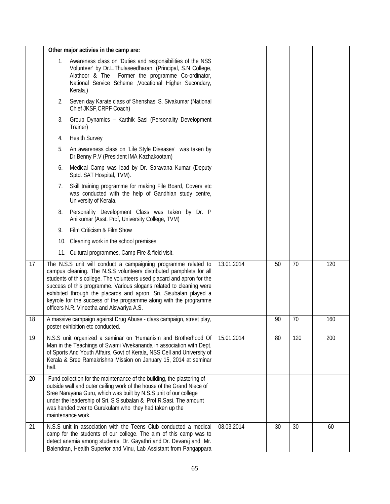|    |       | Other major activies in the camp are:                                                                                                                                                                                                                                                                                                                                                                                                                                          |            |    |     |     |
|----|-------|--------------------------------------------------------------------------------------------------------------------------------------------------------------------------------------------------------------------------------------------------------------------------------------------------------------------------------------------------------------------------------------------------------------------------------------------------------------------------------|------------|----|-----|-----|
|    | 1.    | Awareness class on 'Duties and responsibilities of the NSS<br>Volunteer' by Dr.L.Thulaseedharan, (Principal, S.N College,<br>Alathoor & The Former the programme Co-ordinator,<br>National Service Scheme , Vocational Higher Secondary,<br>Kerala.)                                                                                                                                                                                                                           |            |    |     |     |
|    | 2.    | Seven day Karate class of Shenshasi S. Sivakumar (National<br>Chief JKSF, CRPF Coach)                                                                                                                                                                                                                                                                                                                                                                                          |            |    |     |     |
|    | 3.    | Group Dynamics - Karthik Sasi (Personality Development<br>Trainer)                                                                                                                                                                                                                                                                                                                                                                                                             |            |    |     |     |
|    | 4.    | <b>Health Survey</b>                                                                                                                                                                                                                                                                                                                                                                                                                                                           |            |    |     |     |
|    | 5.    | An awareness class on 'Life Style Diseases' was taken by<br>Dr.Benny P.V (President IMA Kazhakootam)                                                                                                                                                                                                                                                                                                                                                                           |            |    |     |     |
|    | 6.    | Medical Camp was lead by Dr. Saravana Kumar (Deputy<br>Sptd. SAT Hospital, TVM).                                                                                                                                                                                                                                                                                                                                                                                               |            |    |     |     |
|    | 7.    | Skill training programme for making File Board, Covers etc<br>was conducted with the help of Gandhian study centre,<br>University of Kerala.                                                                                                                                                                                                                                                                                                                                   |            |    |     |     |
|    | 8.    | Personality Development Class was taken by Dr. P<br>Anilkumar (Asst. Prof, University College, TVM)                                                                                                                                                                                                                                                                                                                                                                            |            |    |     |     |
|    | 9.    | Film Criticism & Film Show                                                                                                                                                                                                                                                                                                                                                                                                                                                     |            |    |     |     |
|    |       | 10. Cleaning work in the school premises                                                                                                                                                                                                                                                                                                                                                                                                                                       |            |    |     |     |
|    |       | 11. Cultural programmes, Camp Fire & field visit.                                                                                                                                                                                                                                                                                                                                                                                                                              |            |    |     |     |
| 17 |       | The N.S.S unit will conduct a campaigning programme related to<br>campus cleaning. The N.S.S volunteers distributed pamphlets for all<br>students of this college. The volunteers used placard and apron for the<br>success of this programme. Various slogans related to cleaning were<br>exhibited through the placards and apron. Sri. Sisubalan played a<br>keyrole for the success of the programme along with the programme<br>officers N.R. Vineetha and Aiswariya A.S. | 13.01.2014 | 50 | 70  | 120 |
| 18 |       | A massive campaign against Drug Abuse - class campaign, street play,<br>poster exhibition etc conducted.                                                                                                                                                                                                                                                                                                                                                                       |            | 90 | 70  | 160 |
| 19 | hall. | N.S.S unit organized a seminar on 'Humanism and Brotherhood Of<br>Man in the Teachings of Swami Vivekananda in association with Dept.<br>of Sports And Youth Affairs, Govt of Kerala, NSS Cell and University of<br>Kerala & Sree Ramakrishna Mission on January 15, 2014 at seminar                                                                                                                                                                                           | 15.01.2014 | 80 | 120 | 200 |
| 20 |       | Fund collection for the maintenance of the building, the plastering of<br>outside wall and outer ceiling work of the house of the Grand Niece of<br>Sree Narayana Guru, which was built by N.S.S unit of our college<br>under the leadership of Sri. S Sisubalan & Prof.R.Sasi. The amount<br>was handed over to Gurukulam who they had taken up the<br>maintenance work.                                                                                                      |            |    |     |     |
| 21 |       | N.S.S unit in association with the Teens Club conducted a medical<br>camp for the students of our college. The aim of this camp was to<br>detect anemia among students. Dr. Gayathri and Dr. Devaraj and Mr.<br>Balendran, Health Superior and Vinu, Lab Assistant from Pangappara                                                                                                                                                                                             | 08.03.2014 | 30 | 30  | 60  |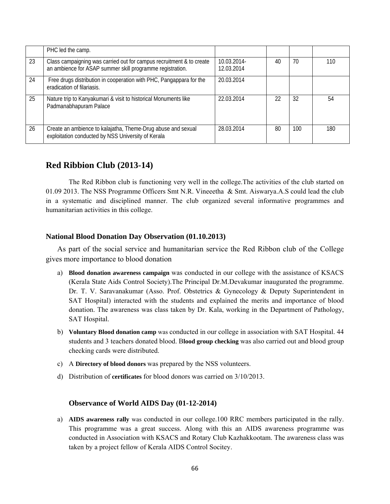|    | PHC led the camp.                                                                                                                 |                           |    |     |     |
|----|-----------------------------------------------------------------------------------------------------------------------------------|---------------------------|----|-----|-----|
| 23 | Class campaigning was carried out for campus recruitment & to create<br>an ambience for ASAP summer skill programme registration. | 10.03.2014-<br>12.03.2014 | 40 | 70  | 110 |
| 24 | Free drugs distribution in cooperation with PHC, Pangappara for the<br>eradication of filariasis.                                 | 20.03.2014                |    |     |     |
| 25 | Nature trip to Kanyakumari & visit to historical Monuments like<br>Padmanabhapuram Palace                                         | 22.03.2014                | 22 | 32  | 54  |
| 26 | Create an ambience to kalajatha, Theme-Drug abuse and sexual<br>exploitation conducted by NSS University of Kerala                | 28.03.2014                | 80 | 100 | 180 |

# **Red Ribbion Club (2013-14)**

The Red Ribbon club is functioning very well in the college.The activities of the club started on 01.09 2013. The NSS Programme Officers Smt N.R. Vineeetha & Smt. Aiswarya.A.S could lead the club in a systematic and disciplined manner. The club organized several informative programmes and humanitarian activities in this college.

### **National Blood Donation Day Observation (01.10.2013)**

As part of the social service and humanitarian service the Red Ribbon club of the College gives more importance to blood donation

- a) **Blood donation awareness campaign** was conducted in our college with the assistance of KSACS (Kerala State Aids Control Society).The Principal Dr.M.Devakumar inaugurated the programme. Dr. T. V. Saravanakumar (Asso. Prof. Obstetrics & Gynecology & Deputy Superintendent in SAT Hospital) interacted with the students and explained the merits and importance of blood donation. The awareness was class taken by Dr. Kala, working in the Department of Pathology, SAT Hospital.
- b) **Voluntary Blood donation camp** was conducted in our college in association with SAT Hospital. 44 students and 3 teachers donated blood. B**lood group checking** was also carried out and blood group checking cards were distributed.
- c) A **Directory of blood donors** was prepared by the NSS volunteers.
- d) Distribution of **certificates** for blood donors was carried on 3/10/2013.

### **Observance of World AIDS Day (01-12-2014)**

a) **AIDS awareness rally** was conducted in our college.100 RRC members participated in the rally. This programme was a great success. Along with this an AIDS awareness programme was conducted in Association with KSACS and Rotary Club Kazhakkootam. The awareness class was taken by a project fellow of Kerala AIDS Control Socitey.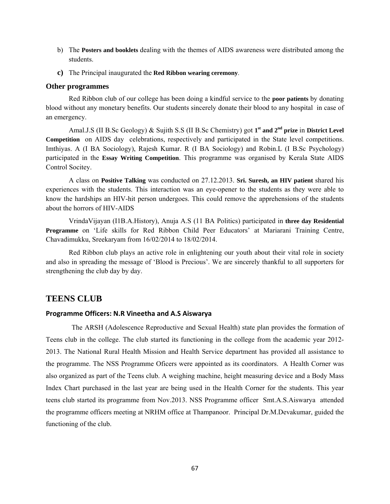- b) The **Posters and booklets** dealing with the themes of AIDS awareness were distributed among the students.
- **c)** The Principal inaugurated the **Red Ribbon wearing ceremony**.

#### **Other programmes**

Red Ribbon club of our college has been doing a kindful service to the **poor patients** by donating blood without any monetary benefits. Our students sincerely donate their blood to any hospital in case of an emergency.

Amal.J.S (II B.Sc Geology) & Sujith S.S (II B.Sc Chemistry) got **1st and 2nd prize** in **District Level Competition** on AIDS day celebrations, respectively and participated in the State level competitions. Imthiyas. A (I BA Sociology), Rajesh Kumar. R (I BA Sociology) and Robin.L (I B.Sc Psychology) participated in the **Essay Writing Competition**. This programme was organised by Kerala State AIDS Control Socitey.

A class on **Positive Talking** was conducted on 27.12.2013. **Sri. Suresh, an HIV patient** shared his experiences with the students. This interaction was an eye-opener to the students as they were able to know the hardships an HIV-hit person undergoes. This could remove the apprehensions of the students about the horrors of HIV-AIDS

VrindaVijayan (I1B.A.History), Anuja A.S (11 BA Politics) participated in **three day Residential Programme** on 'Life skills for Red Ribbon Child Peer Educators' at Mariarani Training Centre, Chavadimukku, Sreekaryam from 16/02/2014 to 18/02/2014.

 Red Ribbon club plays an active role in enlightening our youth about their vital role in society and also in spreading the message of 'Blood is Precious'. We are sincerely thankful to all supporters for strengthening the club day by day.

### **TEENS CLUB**

#### **Programme Officers: N.R Vineetha and A.S Aiswarya**

 The ARSH (Adolescence Reproductive and Sexual Health) state plan provides the formation of Teens club in the college. The club started its functioning in the college from the academic year 2012- 2013. The National Rural Health Mission and Health Service department has provided all assistance to the programme. The NSS Programme Oficers were appointed as its coordinators. A Health Corner was also organized as part of the Teens club. A weighing machine, height measuring device and a Body Mass Index Chart purchased in the last year are being used in the Health Corner for the students. This year teens club started its programme from Nov.2013. NSS Programme officer Smt.A.S.Aiswarya attended the programme officers meeting at NRHM office at Thampanoor. Principal Dr.M.Devakumar, guided the functioning of the club.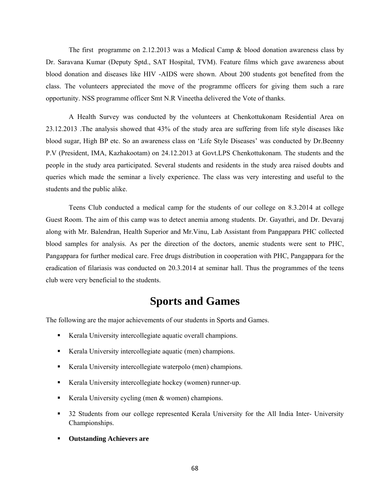The first programme on 2.12.2013 was a Medical Camp & blood donation awareness class by Dr. Saravana Kumar (Deputy Sptd., SAT Hospital, TVM). Feature films which gave awareness about blood donation and diseases like HIV -AIDS were shown. About 200 students got benefited from the class. The volunteers appreciated the move of the programme officers for giving them such a rare opportunity. NSS programme officer Smt N.R Vineetha delivered the Vote of thanks.

A Health Survey was conducted by the volunteers at Chenkottukonam Residential Area on 23.12.2013 .The analysis showed that 43% of the study area are suffering from life style diseases like blood sugar, High BP etc. So an awareness class on 'Life Style Diseases' was conducted by Dr.Beenny P.V (President, IMA, Kazhakootam) on 24.12.2013 at Govt.LPS Chenkottukonam. The students and the people in the study area participated. Several students and residents in the study area raised doubts and queries which made the seminar a lively experience. The class was very interesting and useful to the students and the public alike.

Teens Club conducted a medical camp for the students of our college on 8.3.2014 at college Guest Room. The aim of this camp was to detect anemia among students. Dr. Gayathri, and Dr. Devaraj along with Mr. Balendran, Health Superior and Mr.Vinu, Lab Assistant from Pangappara PHC collected blood samples for analysis. As per the direction of the doctors, anemic students were sent to PHC, Pangappara for further medical care. Free drugs distribution in cooperation with PHC, Pangappara for the eradication of filariasis was conducted on 20.3.2014 at seminar hall. Thus the programmes of the teens club were very beneficial to the students.

# **Sports and Games**

The following are the major achievements of our students in Sports and Games.

- Kerala University intercollegiate aquatic overall champions.
- Kerala University intercollegiate aquatic (men) champions.
- Kerala University intercollegiate waterpolo (men) champions.
- Kerala University intercollegiate hockey (women) runner-up.
- Kerala University cycling (men  $&$  women) champions.
- 32 Students from our college represented Kerala University for the All India Inter- University Championships.
- **Outstanding Achievers are**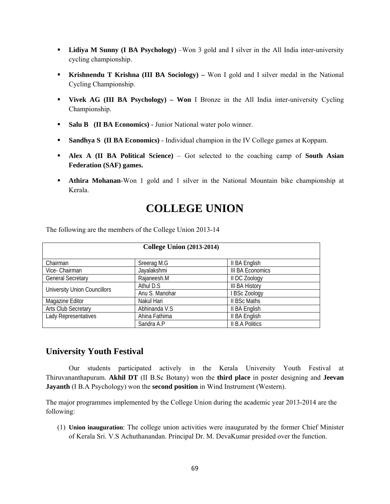- **Lidiya M Sunny (I BA Psychology)** –Won 3 gold and I silver in the All India inter-university cycling championship.
- **Krishnendu T Krishna (III BA Sociology)** Won I gold and I silver medal in the National Cycling Championship.
- **Vivek AG (III BA Psychology) Won** I Bronze in the All India inter-university Cycling Championship.
- **Salu B (II BA Economics) Junior National water polo winner.**
- **Sandhya S (II BA Economics)** Individual champion in the IV College games at Koppam.
- **Alex A (II BA Political Science)** Got selected to the coaching camp of **South Asian Federation (SAF) games.**
- **Athira Mohanan-**Won 1 gold and 1 silver in the National Mountain bike championship at Kerala.

# **COLLEGE UNION**

| <b>College Union (2013-2014)</b>    |                |                         |  |  |  |  |
|-------------------------------------|----------------|-------------------------|--|--|--|--|
|                                     |                |                         |  |  |  |  |
| Chairman                            | Sreerag M.G    | II BA English           |  |  |  |  |
| Vice- Chairman                      | Jayalakshmi    | <b>III BA Economics</b> |  |  |  |  |
| <b>General Secretary</b>            | Rajaneesh.M    | II DC Zoology           |  |  |  |  |
| <b>University Union Councillors</b> | Athul D.S      | <b>III BA History</b>   |  |  |  |  |
|                                     | Anu S. Manohar | <b>BSc Zoology</b>      |  |  |  |  |
| Magazine Editor                     | Nakul Hari     | II BSc Maths            |  |  |  |  |
| Arts Club Secretary                 | Abhinanda V.S  | II BA English           |  |  |  |  |
| Lady Representatives                | Ahina Fathima  | II BA English           |  |  |  |  |
|                                     | Sandra A.P     | <b>II B.A Politics</b>  |  |  |  |  |

The following are the members of the College Union 2013-14

# **University Youth Festival**

Our students participated actively in the Kerala University Youth Festival at Thiruvananthapuram. **Akhil DT** (II B.Sc Botany) won the **third place** in poster designing and **Jeevan Jayanth** (I B.A Psychology) won the **second position** in Wind Instrument (Western).

The major programmes implemented by the College Union during the academic year 2013-2014 are the following:

(1) **Union inauguration**: The college union activities were inaugurated by the former Chief Minister of Kerala Sri. V.S Achuthanandan. Principal Dr. M. DevaKumar presided over the function.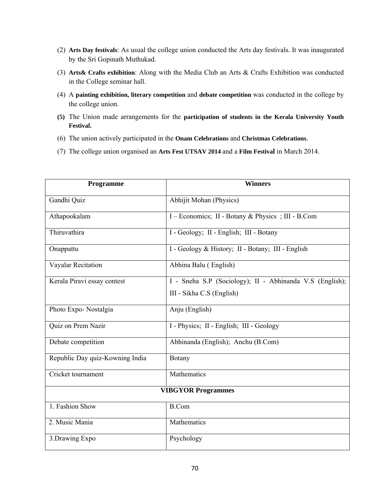- (2) **Arts Day festivals**: As usual the college union conducted the Arts day festivals. It was inaugurated by the Sri Gopinath Muthukad.
- (3) **Arts& Crafts exhibition**: Along with the Media Club an Arts & Crafts Exhibition was conducted in the College seminar hall.
- (4) A **painting exhibition, literary competition** and **debate competition** was conducted in the college by the college union.
- **(5)** The Union made arrangements for the **participation of students in the Kerala University Youth Festival.**
- (6) The union actively participated in the **Onam Celebrations** and **Christmas Celebrations**.
- (7) The college union organised an **Arts Fest UTSAV 2014** and a **Film Festival** in March 2014.

| Programme                       | <b>Winners</b>                                           |  |  |  |
|---------------------------------|----------------------------------------------------------|--|--|--|
| Gandhi Quiz                     | Abhijit Mohan (Physics)                                  |  |  |  |
| Athapookalam                    | I – Economics; II - Botany & Physics; III - B.Com        |  |  |  |
| Thiruvathira                    | I - Geology; II - English; III - Botany                  |  |  |  |
| Onappattu                       | I - Geology & History; II - Botany; III - English        |  |  |  |
| Vayalar Recitation              | Abhina Balu (English)                                    |  |  |  |
| Kerala Piravi essay contest     | I - Sneha S.P (Sociology); II - Abhinanda V.S (English); |  |  |  |
|                                 | III - Sikha C.S (English)                                |  |  |  |
| Photo Expo-Nostalgia            | Anju (English)                                           |  |  |  |
| Quiz on Prem Nazir              | I - Physics; II - English; III - Geology                 |  |  |  |
| Debate competition              | Abhinanda (English); Anchu (B.Com)                       |  |  |  |
| Republic Day quiz-Kowning India | Botany                                                   |  |  |  |
| Cricket tournament              | Mathematics                                              |  |  |  |
| <b>VIBGYOR Programmes</b>       |                                                          |  |  |  |
| 1. Fashion Show                 | <b>B.Com</b>                                             |  |  |  |
| 2. Music Mania                  | Mathematics                                              |  |  |  |
| 3. Drawing Expo                 | Psychology                                               |  |  |  |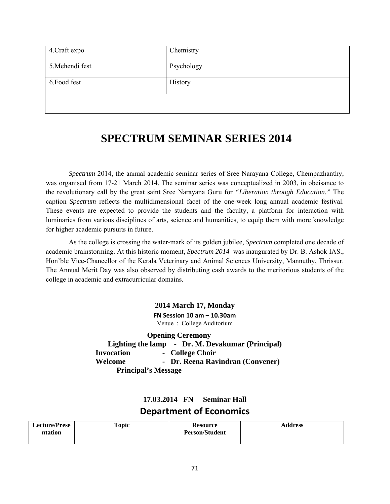| 4. Craft expo   | Chemistry  |
|-----------------|------------|
| 5. Mehendi fest | Psychology |
| 6. Food fest    | History    |
|                 |            |

# **SPECTRUM SEMINAR SERIES 2014**

*Spectrum* 2014, the annual academic seminar series of Sree Narayana College, Chempazhanthy, was organised from 17-21 March 2014. The seminar series was conceptualized in 2003, in obeisance to the revolutionary call by the great saint Sree Narayana Guru for *"Liberation through Education."* The caption *Spectrum* reflects the multidimensional facet of the one-week long annual academic festival. These events are expected to provide the students and the faculty, a platform for interaction with luminaries from various disciplines of arts, science and humanities, to equip them with more knowledge for higher academic pursuits in future.

As the college is crossing the water-mark of its golden jubilee, *Spectrum* completed one decade of academic brainstorming. At this historic moment, *Spectrum 2014* was inaugurated by Dr. B. Ashok IAS., Hon'ble Vice-Chancellor of the Kerala Veterinary and Animal Sciences University, Mannuthy, Thrissur. The Annual Merit Day was also observed by distributing cash awards to the meritorious students of the college in academic and extracurricular domains.

> **2014 March 17, Monday FN Session 10 am – 10.30am** Venue : College Auditorium

 **Opening Ceremony Lighting the lamp - Dr. M. Devakumar (Principal) Invocation - College Choir Welcome - Dr. Reena Ravindran (Convener) Principal's Message** 

**17.03.2014 FN Seminar Hall** 

# **Department of Economics**

| <b>Lecture/Prese</b><br>ntation | <b>Topic</b> | <b>Resource</b><br><b>Person/Student</b> | <b>Address</b> |
|---------------------------------|--------------|------------------------------------------|----------------|
|                                 |              |                                          |                |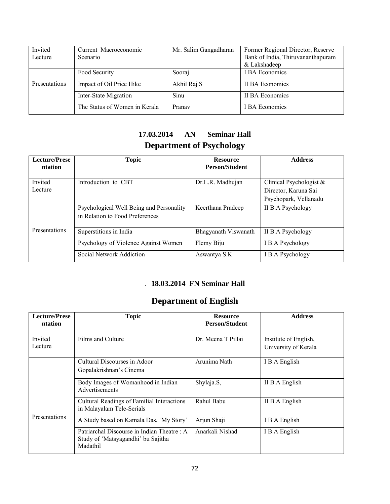| Invited<br>Lecture | Current Macroeconomic<br><b>Scenario</b> | Mr. Salim Gangadharan | Former Regional Director, Reserve<br>Bank of India, Thiruvananthapuram<br>& Lakshadeep |
|--------------------|------------------------------------------|-----------------------|----------------------------------------------------------------------------------------|
|                    | Food Security                            | Sooraj                | I BA Economics                                                                         |
| Presentations      | Impact of Oil Price Hike                 | Akhil Raj S           | II BA Economics                                                                        |
|                    | Inter-State Migration                    | Sinu                  | II BA Economics                                                                        |
|                    | The Status of Women in Kerala            | Pranav                | <b>I BA Economics</b>                                                                  |

# **17.03.2014 AN Seminar Hall Department of Psychology**

| <b>Lecture/Prese</b> | <b>Topic</b>                             | <b>Resource</b>       | <b>Address</b>             |
|----------------------|------------------------------------------|-----------------------|----------------------------|
| ntation              |                                          | <b>Person/Student</b> |                            |
|                      |                                          |                       |                            |
| Invited              | Introduction to CBT                      | Dr.L.R. Madhujan      | Clinical Psychologist $\&$ |
| Lecture              |                                          |                       | Director, Karuna Sai       |
|                      |                                          |                       | Psychopark, Vellanadu      |
|                      | Psychological Well Being and Personality | Keerthana Pradeep     | <b>II B.A Psychology</b>   |
|                      | in Relation to Food Preferences          |                       |                            |
|                      |                                          |                       |                            |
| Presentations        | Superstitions in India                   | Bhagyanath Viswanath  | II B.A Psychology          |
|                      | Psychology of Violence Against Women     | Flemy Biju            | I B.A Psychology           |
|                      | Social Network Addiction                 | Aswantya S.K          | I B.A Psychology           |

# . **18.03.2014 FN Seminar Hall**

# **Department of English**

| <b>Lecture/Prese</b><br>ntation | <b>Topic</b>                                                                                 | <b>Resource</b><br><b>Person/Student</b> | <b>Address</b>                                |
|---------------------------------|----------------------------------------------------------------------------------------------|------------------------------------------|-----------------------------------------------|
| Invited<br>Lecture              | Films and Culture                                                                            | Dr. Meena T Pillai                       | Institute of English,<br>University of Kerala |
|                                 | Cultural Discourses in Adoor<br>Gopalakrishnan's Cinema                                      | Arunima Nath                             | I B.A English                                 |
|                                 | Body Images of Womanhood in Indian<br>Advertisements                                         | Shylaja.S,                               | II B.A English                                |
|                                 | Cultural Readings of Familial Interactions<br>in Malayalam Tele-Serials                      | Rahul Babu                               | II B.A English                                |
| <b>Presentations</b>            | A Study based on Kamala Das, 'My Story'                                                      | Arjun Shaji                              | I B.A English                                 |
|                                 | Patriarchal Discourse in Indian Theatre: A<br>Study of 'Matsyagandhi' bu Sajitha<br>Madathil | Anarkali Nishad                          | I B.A English                                 |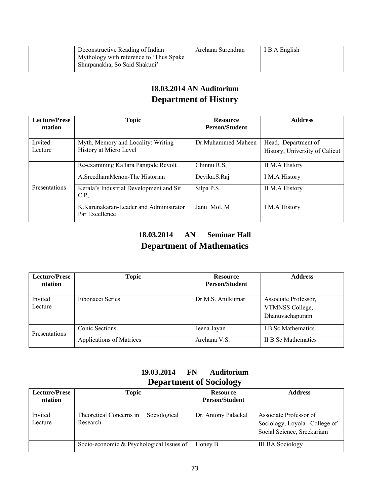| Deconstructive Reading of Indian        | Archana Surendran | I I B.A English |
|-----------------------------------------|-------------------|-----------------|
| Mythology with reference to 'Thus Spake |                   |                 |
| Shurpanakha, So Said Shakuni'           |                   |                 |

# **18.03.2014 AN Auditorium Department of History**

| <b>Lecture/Prese</b><br>ntation | <b>Topic</b>                                                 | <b>Resource</b><br><b>Person/Student</b> | <b>Address</b>                                        |
|---------------------------------|--------------------------------------------------------------|------------------------------------------|-------------------------------------------------------|
| Invited<br>Lecture              | Myth, Memory and Locality: Writing<br>History at Micro Level | Dr. Muhammed Maheen                      | Head, Department of<br>History, University of Calicut |
|                                 | Re-examining Kallara Pangode Revolt                          | Chinnu R.S,                              | II M.A History                                        |
|                                 | A SreedharaMenon-The Historian                               | Devika.S.Raj                             | I M.A History                                         |
| Presentations                   | Kerala's Industrial Development and Sir<br>C.P               | Silpa P.S                                | II M.A History                                        |
|                                 | K.Karunakaran-Leader and Administrator<br>Par Excellence     | Janu Mol. M                              | I M.A History                                         |

# **18.03.2014 AN Seminar Hall Department of Mathematics**

| <b>Lecture/Prese</b><br>ntation | <b>Topic</b>             | <b>Resource</b><br><b>Person/Student</b> | <b>Address</b>                                             |
|---------------------------------|--------------------------|------------------------------------------|------------------------------------------------------------|
| Invited<br>Lecture              | Fibonacci Series         | Dr.M.S. Anilkumar                        | Associate Professor,<br>VTMNSS College,<br>Dhanuvachapuram |
| Presentations                   | Conic Sections           | Jeena Jayan                              | I B.Sc Mathematics                                         |
|                                 | Applications of Matrices | Archana V.S.                             | II B.Sc Mathematics                                        |

## **19.03.2014 FN Auditorium Department of Sociology**

| <b>Lecture/Prese</b><br>ntation | Topic                                               | <b>Resource</b><br><b>Person/Student</b> | <b>Address</b>                                                                       |
|---------------------------------|-----------------------------------------------------|------------------------------------------|--------------------------------------------------------------------------------------|
| Invited<br>Lecture              | Sociological<br>Theoretical Concerns in<br>Research | Dr. Antony Palackal                      | Associate Professor of<br>Sociology, Loyola College of<br>Social Science, Sreekariam |
|                                 | Socio-economic & Psychological Issues of            | Honey B                                  | <b>III BA Sociology</b>                                                              |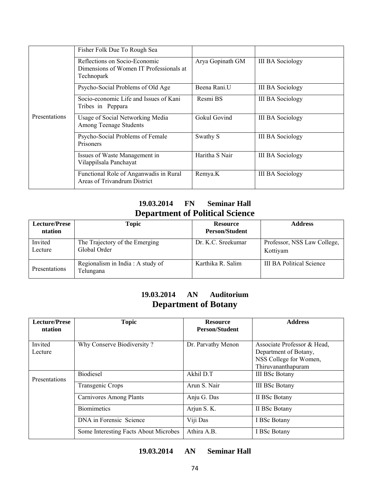|                      | Fisher Folk Due To Rough Sea                                                           |                          |                         |
|----------------------|----------------------------------------------------------------------------------------|--------------------------|-------------------------|
|                      | Reflections on Socio-Economic<br>Dimensions of Women IT Professionals at<br>Technopark | Arya Gopinath GM         | <b>III BA Sociology</b> |
|                      | Psycho-Social Problems of Old Age                                                      | Beena Rani. <sup>U</sup> | <b>III BA Sociology</b> |
|                      | Socio-economic Life and Issues of Kani<br>Tribes in Peppara                            | Resmi BS                 | <b>III BA Sociology</b> |
| <b>Presentations</b> | Usage of Social Networking Media<br>Among Teenage Students                             | Gokul Govind             | <b>III BA Sociology</b> |
|                      | Psycho-Social Problems of Female<br><b>Prisoners</b>                                   | Swathy S                 | <b>III BA Sociology</b> |
|                      | Issues of Waste Management in<br>Vilappilsala Panchayat                                | Haritha S Nair           | <b>III BA Sociology</b> |
|                      | Functional Role of Anganwadis in Rural<br>Areas of Trivandrum District                 | Remya.K                  | <b>III BA Sociology</b> |

## **19.03.2014 FN Seminar Hall Department of Political Science**

| <b>Lecture/Prese</b><br>ntation | <b>Topic</b>                                   | <b>Resource</b><br><b>Person/Student</b> | <b>Address</b>                          |
|---------------------------------|------------------------------------------------|------------------------------------------|-----------------------------------------|
| Invited<br>Lecture              | The Trajectory of the Emerging<br>Global Order | Dr. K.C. Sreekumar                       | Professor, NSS Law College,<br>Kottiyam |
| Presentations                   | Regionalism in India: A study of<br>Telungana  | Karthika R. Salim                        | <b>III BA Political Science</b>         |

## **19.03.2014 AN Auditorium Department of Botany**

| <b>Lecture/Prese</b><br><b>ntation</b> | <b>Topic</b>                          | <b>Resource</b><br><b>Person/Student</b> | <b>Address</b>                                                                                       |
|----------------------------------------|---------------------------------------|------------------------------------------|------------------------------------------------------------------------------------------------------|
| Invited<br>Lecture                     | Why Conserve Biodiversity?            | Dr. Parvathy Menon                       | Associate Professor & Head,<br>Department of Botany,<br>NSS College for Women,<br>Thiruvananthapuram |
| Presentations                          | <b>Biodiesel</b>                      | Akhil D.T                                | <b>III BSc Botany</b>                                                                                |
|                                        | Transgenic Crops                      | Arun S. Nair                             | <b>III BSc Botany</b>                                                                                |
|                                        | <b>Carnivores Among Plants</b>        | Anju G. Das                              | II BSc Botany                                                                                        |
|                                        | <b>Biomimetics</b>                    | Arjun S. K.                              | II BSc Botany                                                                                        |
|                                        | DNA in Forensic Science               | Viji Das                                 | I BSc Botany                                                                                         |
|                                        | Some Interesting Facts About Microbes | Athira A.B.                              | I BSc Botany                                                                                         |

## **19.03.2014 AN Seminar Hall**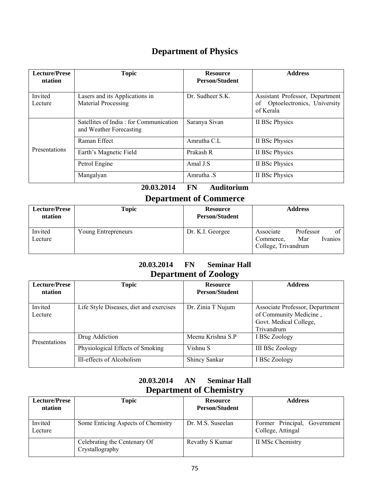# **Department of Physics**

| <b>Lecture/Prese</b><br>ntation | <b>Topic</b>                                                      | <b>Resource</b><br><b>Person/Student</b> | <b>Address</b>                                                                    |
|---------------------------------|-------------------------------------------------------------------|------------------------------------------|-----------------------------------------------------------------------------------|
| Invited<br>Lecture              | Lasers and its Applications in<br>Material Processing             | Dr. Sudheer S.K.                         | Assistant Professor, Department<br>Optoelectronics, University<br>οf<br>of Kerala |
| Presentations                   | Satellites of India: for Communication<br>and Weather Forecasting | Saranya Sivan                            | II BSc Physics                                                                    |
|                                 | Raman Effect                                                      | Amrutha C.L                              | II BSc Physics                                                                    |
|                                 | Earth's Magnetic Field                                            | Prakash R                                | II BSc Physics                                                                    |
|                                 | Petrol Engine                                                     | Amal J.S                                 | II BSc Physics                                                                    |
|                                 | Mangalyan                                                         | Amrutha S                                | II BSc Physics                                                                    |

## **20.03.2014 FN Auditorium**

# **Department of Commerce**

| <b>Lecture/Prese</b><br>ntation | <b>Topic</b>        | <b>Resource</b><br><b>Person/Student</b> | <b>Address</b>                                                                     |
|---------------------------------|---------------------|------------------------------------------|------------------------------------------------------------------------------------|
| Invited<br>Lecture              | Young Entrepreneurs | Dr. K.I. Georgee                         | of<br>Professor<br>Associate<br>Mar<br>Ivanios<br>Commerce,<br>College, Trivandrum |

## **20.03.2014 FN Seminar Hall Department of Zoology**

| <b>Lecture/Prese</b><br>ntation | <b>Topic</b>                                       | <b>Resource</b><br><b>Person/Student</b> | <b>Address</b>                                                                                    |
|---------------------------------|----------------------------------------------------|------------------------------------------|---------------------------------------------------------------------------------------------------|
| Invited<br>Lecture              | Life Style Diseases, diet and exercises            | Dr. Zinia T Nujum                        | Associate Professor, Department<br>of Community Medicine,<br>Govt. Medical College,<br>Trivandrum |
| Presentations                   | Drug Addiction<br>Physiological Effects of Smoking | Meenu Krishna S.P<br>Vishnu S            | I BSc Zoology<br><b>III BSc Zoology</b>                                                           |
|                                 | Ill-effects of Alcoholism                          | <b>Shincy Sankar</b>                     | I BSc Zoology                                                                                     |

## **20.03.2014 AN Seminar Hall Department of Chemistry**

| <b>Lecture/Prese</b><br>ntation | Topic                                           | <b>Resource</b><br><b>Person/Student</b> | <b>Address</b>                                         |
|---------------------------------|-------------------------------------------------|------------------------------------------|--------------------------------------------------------|
| Invited<br>Lecture              | Some Enticing Aspects of Chemistry              | Dr. M.S. Suseelan                        | Former Principal,<br>Government  <br>College, Attingal |
|                                 | Celebrating the Centenary Of<br>Crystallography | Revathy S Kumar                          | II MSc Chemistry                                       |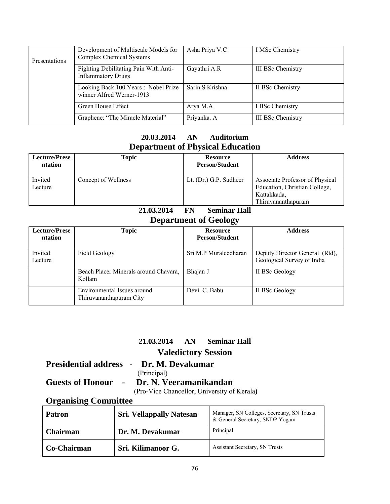| Presentations | Development of Multiscale Models for<br>Complex Chemical Systems   | Asha Priya V.C  | I MSc Chemistry          |
|---------------|--------------------------------------------------------------------|-----------------|--------------------------|
|               | Fighting Debilitating Pain With Anti-<br><b>Inflammatory Drugs</b> | Gayathri A.R    | III BSc Chemistry        |
|               | Looking Back 100 Years: Nobel Prize<br>winner Alfred Werner-1913   | Sarin S Krishna | II BSc Chemistry         |
|               | Green House Effect                                                 | Arya M.A        | I BSc Chemistry          |
|               | Graphene: "The Miracle Material"                                   | Priyanka. A     | <b>III BSc Chemistry</b> |

## **20.03.2014 AN Auditorium Department of Physical Education**

| <b>Lecture/Prese</b><br>ntation | <b>Topic</b>        | <b>Resource</b><br><b>Person/Student</b> | <b>Address</b>                                                                                        |
|---------------------------------|---------------------|------------------------------------------|-------------------------------------------------------------------------------------------------------|
| Invited<br>Lecture              | Concept of Wellness | Lt. (Dr.) G.P. Sudheer                   | Associate Professor of Physical<br>Education, Christian College,<br>Kattakkada,<br>Thiruvananthapuram |

## **21.03.2014 FN Seminar Hall Department of Geology**

| <b>Lecture/Prese</b><br>ntation | <b>Topic</b>                                           | <b>Resource</b><br><b>Person/Student</b> | <b>Address</b>                                               |
|---------------------------------|--------------------------------------------------------|------------------------------------------|--------------------------------------------------------------|
| Invited<br>Lecture              | Field Geology                                          | Sri M.P Muraleedharan                    | Deputy Director General (Rtd),<br>Geological Survey of India |
|                                 | Beach Placer Minerals around Chavara,<br>Kollam        | Bhajan J                                 | II BSc Geology                                               |
|                                 | Environmental Issues around<br>Thiruvananthapuram City | Devi. C. Babu                            | II BSc Geology                                               |

## **21.03.2014 AN Seminar Hall**

## **Valedictory Session**

### **Presidential address - Dr. M. Devakumar**  (Principal)

# **Guests of Honour - Dr. N. Veeramanikandan**

(Pro-Vice Chancellor, University of Kerala**)**

# **Organising Committee**

| <b>Patron</b>   | <b>Sri. Vellappally Natesan</b> | Manager, SN Colleges, Secretary, SN Trusts<br>& General Secretary, SNDP Yogam |
|-----------------|---------------------------------|-------------------------------------------------------------------------------|
| <b>Chairman</b> | Dr. M. Devakumar                | Principal                                                                     |
| Co-Chairman     | Sri. Kilimanoor G.              | <b>Assistant Secretary, SN Trusts</b>                                         |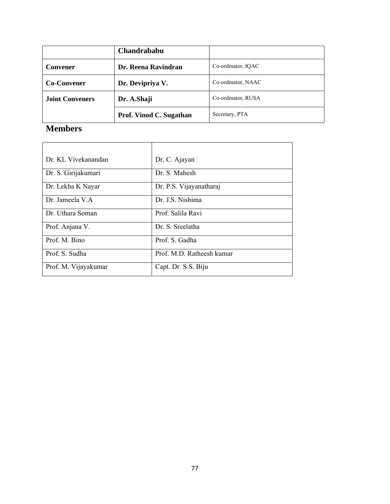|                        | Chandrababu             |                    |
|------------------------|-------------------------|--------------------|
| <b>Convener</b>        | Dr. Reena Ravindran     | Co-ordinator, IOAC |
| <b>Co-Convener</b>     | Dr. Devipriya V.        | Co-ordinator, NAAC |
| <b>Joint Conveners</b> | Dr. A.Shaji             | Co-ordinator, RUSA |
|                        | Prof. Vinod C. Sugathan | Secretary, PTA     |

# **Members**

| Dr. KL Vivekanandan  | Dr. C. Ajayan             |
|----------------------|---------------------------|
| Dr. S. Girijakumari  | Dr S Mahesh               |
| Dr. Lekha K Nayar    | Dr. P.S. Vijayanatharaj   |
| Dr. Jameela V A      | Dr. J.S. Nishima          |
| Dr. Uthara Soman     | Prof. Salila Ravi         |
| Prof. Anjana V.      | Dr. S. Sreelatha          |
| Prof. M. Bino        | Prof. S. Gadha            |
| Prof. S. Sudha       | Prof. M.D. Ratheesh kumar |
| Prof. M. Vijayakumar | Capt. Dr. S.S. Biju       |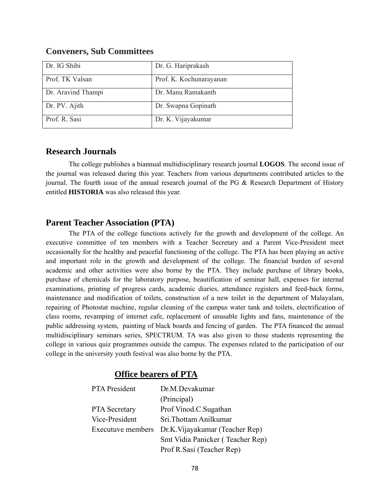| Dr. IG Shibi       | Dr. G. Hariprakash      |
|--------------------|-------------------------|
| Prof. TK Valsan    | Prof. K. Kochunarayanan |
| Dr. Aravind Thampi | Dr. Manu Ramakanth      |
| Dr. PV. Ajith      | Dr. Swapna Gopinath     |
| Prof. R. Sasi      | Dr. K. Vijayakumar      |

#### **Conveners, Sub Committees**

### **Research Journals**

The college publishes a biannual multidisciplinary research journal **LOGOS**. The second issue of the journal was released during this year. Teachers from various departments contributed articles to the journal. The fourth issue of the annual research journal of the PG & Research Department of History entitled **HISTORIA** was also released this year.

#### **Parent Teacher Association (PTA)**

The PTA of the college functions actively for the growth and development of the college. An executive committee of ten members with a Teacher Secretary and a Parent Vice-President meet occasionally for the healthy and peaceful functioning of the college. The PTA has been playing an active and important role in the growth and development of the college. The financial burden of several academic and other activities were also borne by the PTA. They include purchase of library books, purchase of chemicals for the laboratory purpose, beautification of seminar hall, expenses for internal examinations, printing of progress cards, academic diaries, attendance registers and feed-back forms, maintenance and modification of toilets, construction of a new toilet in the department of Malayalam, repairing of Photostat machine, regular cleaning of the campus water tank and toilets, electrification of class rooms, revamping of internet cafe, replacement of unusable lights and fans, maintenance of the public addressing system, painting of black boards and fencing of garden. The PTA financed the annual multidisciplinary seminars series, SPECTRUM. TA was also given to those students representing the college in various quiz programmes outside the campus. The expenses related to the participation of our college in the university youth festival was also borne by the PTA.

### **Office bearers of PTA**

| PTA President        | Dr.M.Devakumar                                    |
|----------------------|---------------------------------------------------|
|                      | (Principal)                                       |
| <b>PTA</b> Secretary | Prof Vinod.C.Sugathan                             |
| Vice-President       | Sri. Thottam Anilkumar                            |
|                      | Executuve members Dr.K. Vijayakumar (Teacher Rep) |
|                      | Smt Vidia Panicker (Teacher Rep)                  |
|                      | Prof R.Sasi (Teacher Rep)                         |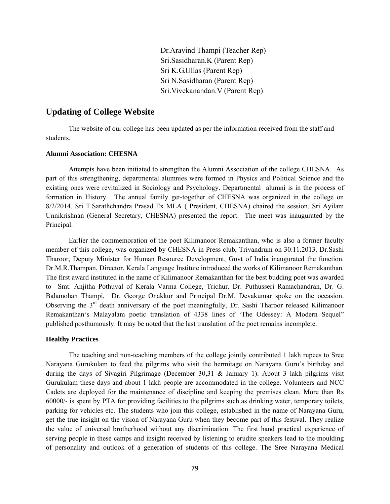Dr.Aravind Thampi (Teacher Rep) Sri.Sasidharan.K (Parent Rep) Sri K.G.Ullas (Parent Rep) Sri N.Sasidharan (Parent Rep) Sri.Vivekanandan.V (Parent Rep)

#### **Updating of College Website**

The website of our college has been updated as per the information received from the staff and students.

#### **Alumni Association: CHESNA**

 Attempts have been initiated to strengthen the Alumni Association of the college CHESNA. As part of this strengthening, departmental alumnies were formed in Physics and Political Science and the existing ones were revitalized in Sociology and Psychology. Departmental alumni is in the process of formation in History. The annual family get-together of CHESNA was organized in the college on 8/2/2014. Sri T.Sarathchandra Prasad Ex MLA ( President, CHESNA) chaired the session. Sri Ayilam Unnikrishnan (General Secretary, CHESNA) presented the report. The meet was inaugurated by the Principal.

Earlier the commemoration of the poet Kilimanoor Remakanthan, who is also a former faculty member of this college, was organized by CHESNA in Press club, Trivandrum on 30.11.2013. Dr.Sashi Tharoor, Deputy Minister for Human Resource Development, Govt of India inaugurated the function. Dr.M.R.Thampan, Director, Kerala Language Institute introduced the works of Kilimanoor Remakanthan. The first award instituted in the name of Kilimanoor Remakanthan for the best budding poet was awarded to Smt. Anjitha Pothuval of Kerala Varma College, Trichur. Dr. Puthusseri Ramachandran, Dr. G. Balamohan Thampi, Dr. George Onakkur and Principal Dr.M. Devakumar spoke on the occasion. Observing the 3<sup>rd</sup> death anniversary of the poet meaningfully, Dr. Sashi Tharoor released Kilimanoor Remakanthan's Malayalam poetic translation of 4338 lines of 'The Odessey: A Modern Sequel" published posthumously. It may be noted that the last translation of the poet remains incomplete.

#### **Healthy Practices**

 The teaching and non-teaching members of the college jointly contributed 1 lakh rupees to Sree Narayana Gurukulam to feed the pilgrims who visit the hermitage on Narayana Guru's birthday and during the days of Sivagiri Pilgrimage (December 30,31 & January 1). About 3 lakh pilgrims visit Gurukulam these days and about 1 lakh people are accommodated in the college. Volunteers and NCC Cadets are deployed for the maintenance of discipline and keeping the premises clean. More than Rs 60000/- is spent by PTA for providing facilities to the pilgrims such as drinking water, temporary toilets, parking for vehicles etc. The students who join this college, established in the name of Narayana Guru, get the true insight on the vision of Narayana Guru when they become part of this festival. They realize the value of universal brotherhood without any discrimination. The first hand practical experience of serving people in these camps and insight received by listening to erudite speakers lead to the moulding of personality and outlook of a generation of students of this college. The Sree Narayana Medical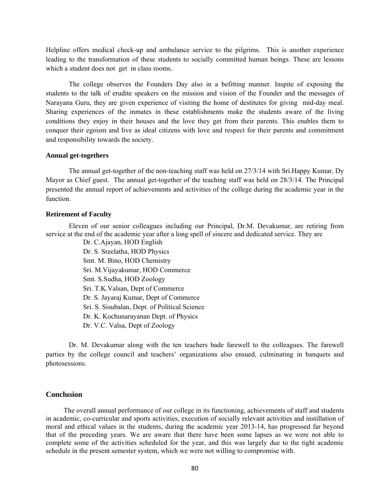Helpline offers medical check-up and ambulance service to the pilgrims. This is another experience leading to the transformation of these students to socially committed human beings. These are lessons which a student does not get in class rooms.

 The college observes the Founders Day also in a befitting manner. Inspite of exposing the students to the talk of erudite speakers on the mission and vision of the Founder and the messages of Narayana Guru, they are given experience of visiting the home of destitutes for giving mid-day meal. Sharing experiences of the inmates in these establishments make the students aware of the living conditions they enjoy in their houses and the love they get from their parents. This enables them to conquer their egoism and live as ideal citizens with love and respect for their parents and commitment and responsibility towards the society.

#### **Annual get-togethers**

 The annual get-together of the non-teaching staff was held on 27/3/14 with Sri.Happy Kumar, Dy Mayor as Chief guest. The annual get-together of the teaching staff was held on 28/3/14. The Principal presented the annual report of achievements and activities of the college during the academic year in the function.

#### **Retirement of Faculty**

Eleven of our senior colleagues including our Principal, Dr.M. Devakumar, are retiring from service at the end of the academic year after a long spell of sincere and dedicated service. They are

Dr. C.Ajayan, HOD English Dr. S. Sreelatha, HOD Physics Smt. M. Bino, HOD Chemistry Sri. M.Vijayakumar, HOD Commerce Smt. S.Sudha, HOD Zoology Sri. T.K.Valsan, Dept of Commerce Dr. S. Jayaraj Kumar, Dept of Commerce Sri. S. Sisubalan, Dept. of Political Science Dr. K. Kochunarayanan Dept. of Physics Dr. V.C. Valsa, Dept of Zoology

Dr. M. Devakumar along with the ten teachers bade farewell to the colleagues. The farewell parties by the college council and teachers' organizations also ensued, culminating in banquets and photosessions.

#### **Conclusion**

The overall annual performance of our college in its functioning, achievements of staff and students in academic, co-curricular and sports activities, execution of socially relevant activities and instillation of moral and ethical values in the students, during the academic year 2013-14, has progressed far beyond that of the preceding years. We are aware that there have been some lapses as we were not able to complete some of the activities scheduled for the year, and this was largely due to the tight academic schedule in the present semester system, which we were not willing to compromise with.